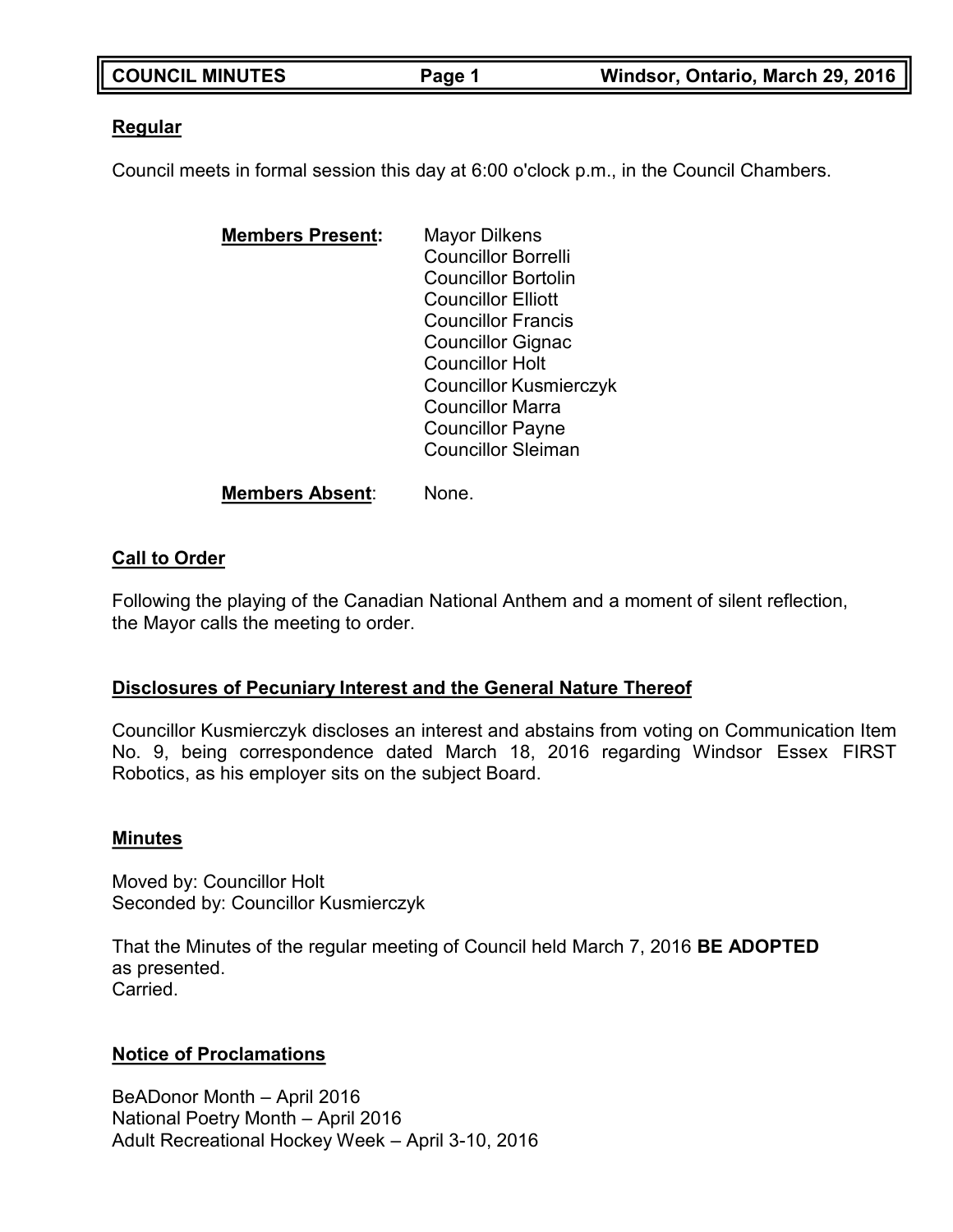| <b>COUNCIL MINUTES</b> | Page 1 | Windsor, Ontario, March 29, 2016 |
|------------------------|--------|----------------------------------|

### **Regular**

Council meets in formal session this day at 6:00 o'clock p.m., in the Council Chambers.

| <b>Members Present:</b> | Mayor Dilkens                 |
|-------------------------|-------------------------------|
|                         | <b>Councillor Borrelli</b>    |
|                         | <b>Councillor Bortolin</b>    |
|                         | <b>Councillor Elliott</b>     |
|                         | <b>Councillor Francis</b>     |
|                         | <b>Councillor Gignac</b>      |
|                         | <b>Councillor Holt</b>        |
|                         | <b>Councillor Kusmierczyk</b> |
|                         | <b>Councillor Marra</b>       |
|                         | <b>Councillor Payne</b>       |
|                         | <b>Councillor Sleiman</b>     |
|                         |                               |

### **Members Absent**: None.

### **Call to Order**

Following the playing of the Canadian National Anthem and a moment of silent reflection, the Mayor calls the meeting to order.

### **Disclosures of Pecuniary Interest and the General Nature Thereof**

Councillor Kusmierczyk discloses an interest and abstains from voting on Communication Item No. 9, being correspondence dated March 18, 2016 regarding Windsor Essex FIRST Robotics, as his employer sits on the subject Board.

### **Minutes**

Moved by: Councillor Holt Seconded by: Councillor Kusmierczyk

That the Minutes of the regular meeting of Council held March 7, 2016 **BE ADOPTED** as presented. Carried.

### **Notice of Proclamations**

BeADonor Month – April 2016 National Poetry Month – April 2016 Adult Recreational Hockey Week – April 3-10, 2016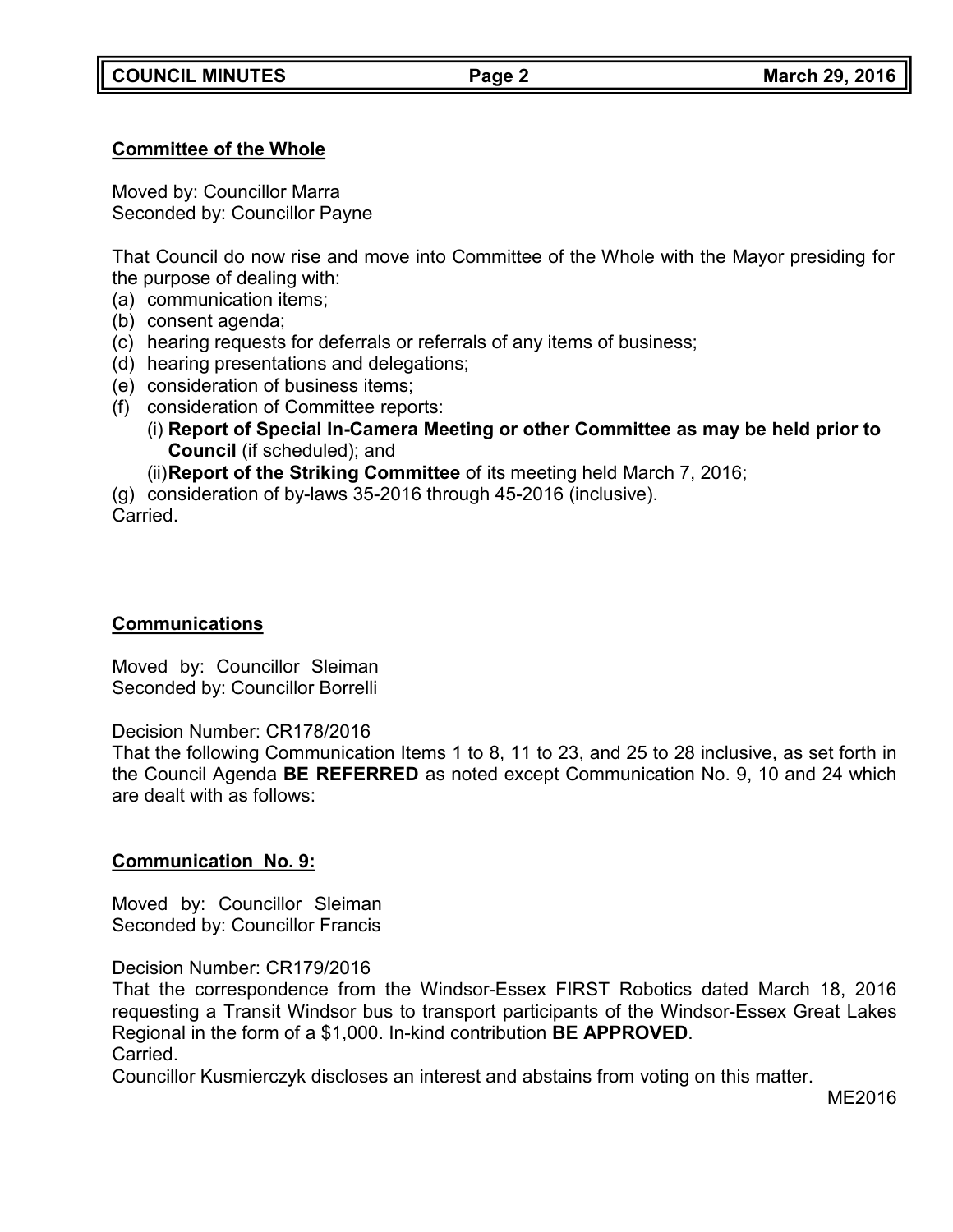# **Committee of the Whole**

Moved by: Councillor Marra Seconded by: Councillor Payne

That Council do now rise and move into Committee of the Whole with the Mayor presiding for the purpose of dealing with:

(a) communication items;

- (b) consent agenda;
- (c) hearing requests for deferrals or referrals of any items of business;
- (d) hearing presentations and delegations;
- (e) consideration of business items;
- (f) consideration of Committee reports:
	- (i) **Report of Special In-Camera Meeting or other Committee as may be held prior to Council** (if scheduled); and
	- (ii)**Report of the Striking Committee** of its meeting held March 7, 2016;

(g) consideration of by-laws 35-2016 through 45-2016 (inclusive).

Carried.

## **Communications**

Moved by: Councillor Sleiman Seconded by: Councillor Borrelli

Decision Number: CR178/2016

That the following Communication Items 1 to 8, 11 to 23, and 25 to 28 inclusive, as set forth in the Council Agenda **BE REFERRED** as noted except Communication No. 9, 10 and 24 which are dealt with as follows:

## **Communication No. 9:**

Moved by: Councillor Sleiman Seconded by: Councillor Francis

Decision Number: CR179/2016

That the correspondence from the Windsor-Essex FIRST Robotics dated March 18, 2016 requesting a Transit Windsor bus to transport participants of the Windsor-Essex Great Lakes Regional in the form of a \$1,000. In-kind contribution **BE APPROVED**. Carried.

Councillor Kusmierczyk discloses an interest and abstains from voting on this matter.

ME2016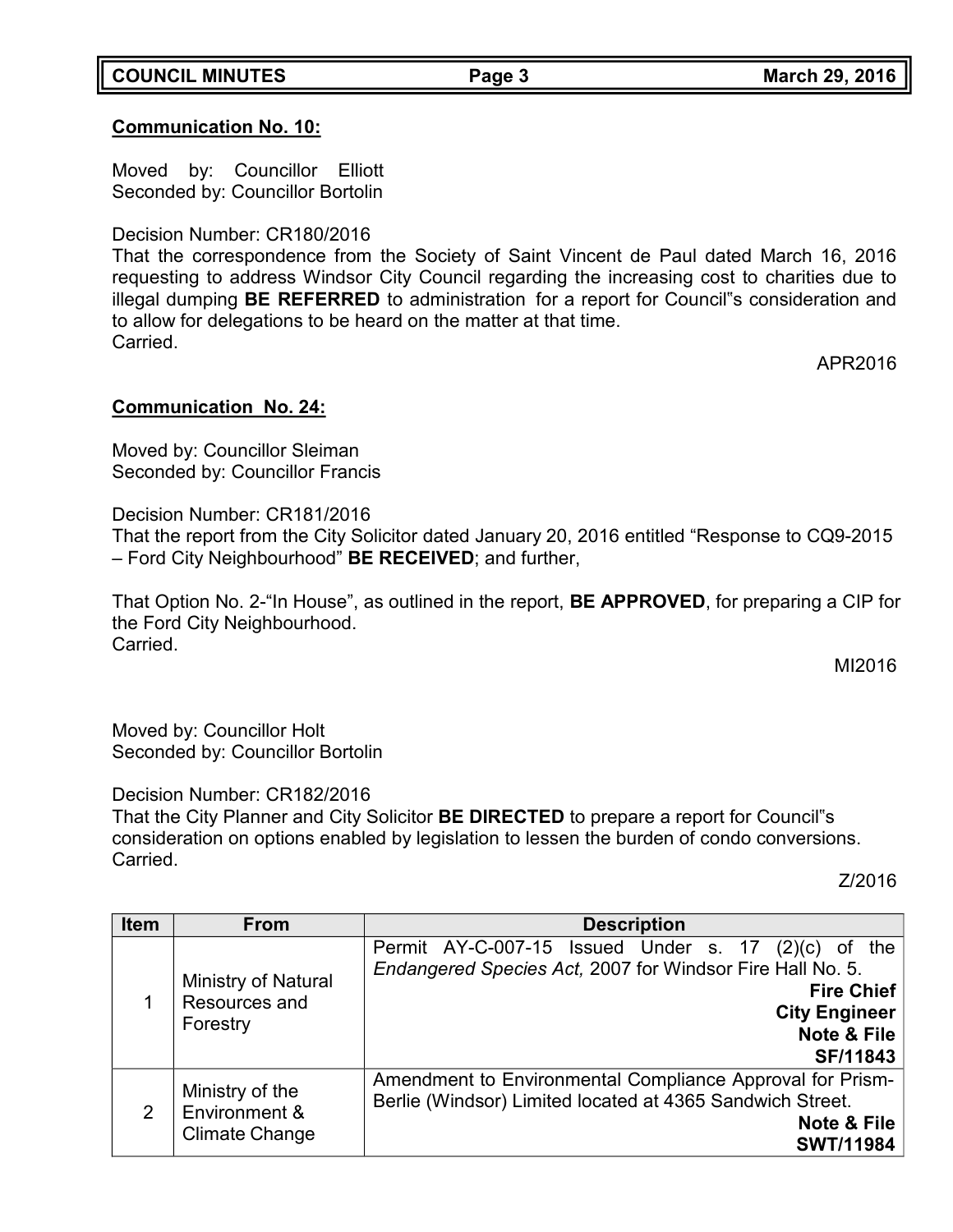## **COUNCIL MINUTES Page 3 March 29, 2016**

# **Communication No. 10:**

Moved by: Councillor Elliott Seconded by: Councillor Bortolin

# Decision Number: CR180/2016

That the correspondence from the Society of Saint Vincent de Paul dated March 16, 2016 requesting to address Windsor City Council regarding the increasing cost to charities due to illegal dumping **BE REFERRED** to administration for a report for Council"s consideration and to allow for delegations to be heard on the matter at that time. Carried.

APR2016

# **Communication No. 24:**

Moved by: Councillor Sleiman Seconded by: Councillor Francis

Decision Number: CR181/2016

That the report from the City Solicitor dated January 20, 2016 entitled "Response to CQ9-2015 – Ford City Neighbourhood" **BE RECEIVED**; and further,

That Option No. 2-"In House", as outlined in the report, **BE APPROVED**, for preparing a CIP for the Ford City Neighbourhood. Carried.

MI2016

Moved by: Councillor Holt Seconded by: Councillor Bortolin

Decision Number: CR182/2016

That the City Planner and City Solicitor **BE DIRECTED** to prepare a report for Council"s consideration on options enabled by legislation to lessen the burden of condo conversions. Carried.

Z/2016

| <b>Item</b> | <b>From</b>                                               | <b>Description</b>                                                                                                                                                                                |  |
|-------------|-----------------------------------------------------------|---------------------------------------------------------------------------------------------------------------------------------------------------------------------------------------------------|--|
|             | Ministry of Natural<br>Resources and<br>Forestry          | Permit AY-C-007-15 Issued Under s. 17<br>(2)(c)<br>0f<br>the<br>Endangered Species Act, 2007 for Windsor Fire Hall No. 5.<br><b>Fire Chief</b><br><b>City Engineer</b><br>Note & File<br>SF/11843 |  |
| 2           | Ministry of the<br>Environment &<br><b>Climate Change</b> | Amendment to Environmental Compliance Approval for Prism-<br>Berlie (Windsor) Limited located at 4365 Sandwich Street.<br>Note & File<br><b>SWT/11984</b>                                         |  |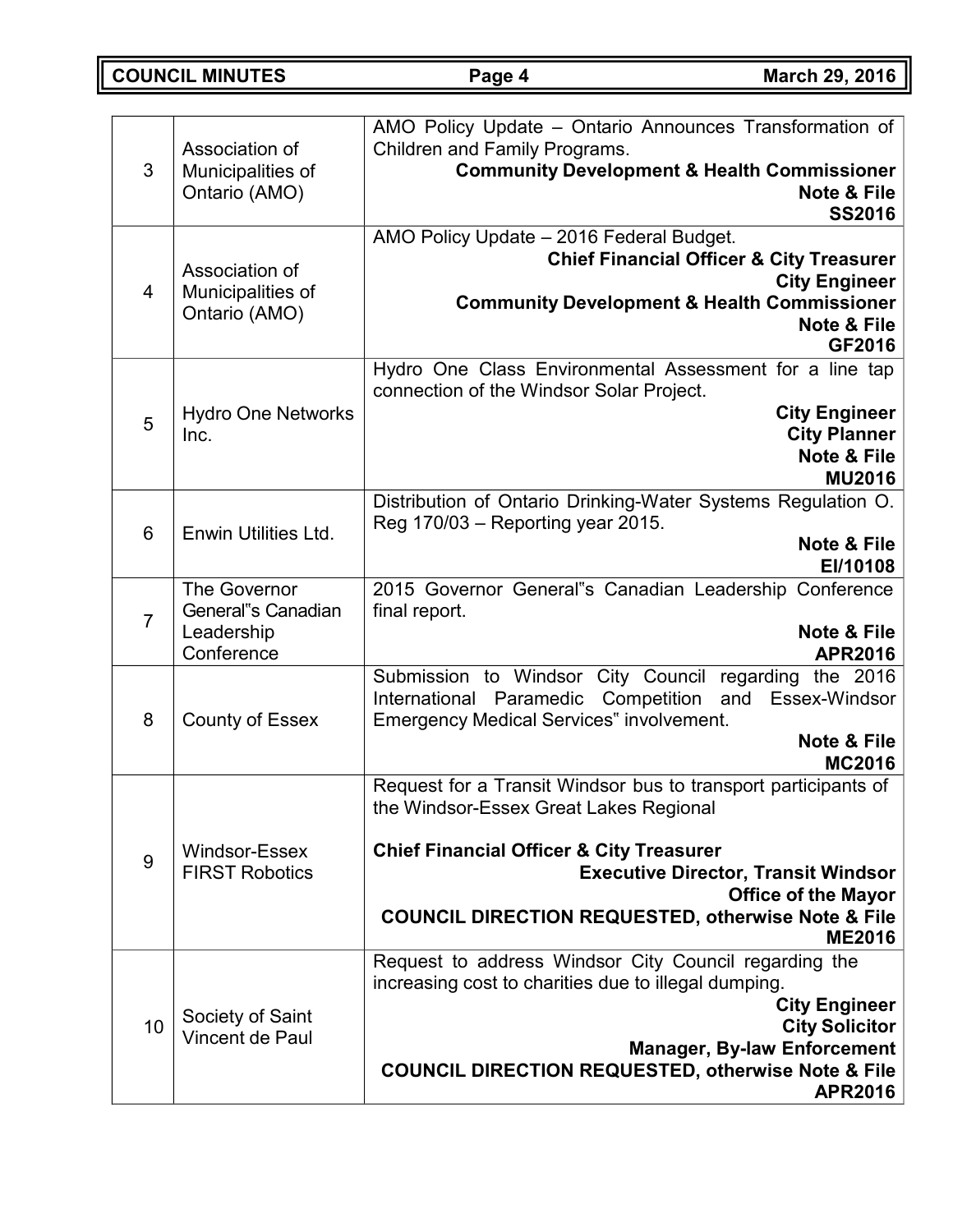**COUNCIL MINUTES Page 4 March 29, 2016**

| 3              | Association of<br>Municipalities of<br>Ontario (AMO)                  | AMO Policy Update - Ontario Announces Transformation of<br>Children and Family Programs.<br><b>Community Development &amp; Health Commissioner</b><br>Note & File<br><b>SS2016</b>                                                                                                                                            |  |
|----------------|-----------------------------------------------------------------------|-------------------------------------------------------------------------------------------------------------------------------------------------------------------------------------------------------------------------------------------------------------------------------------------------------------------------------|--|
| 4              | Association of<br>Municipalities of<br>Ontario (AMO)                  | AMO Policy Update - 2016 Federal Budget.<br><b>Chief Financial Officer &amp; City Treasurer</b><br><b>City Engineer</b><br><b>Community Development &amp; Health Commissioner</b><br><b>Note &amp; File</b><br>GF2016                                                                                                         |  |
| 5              | <b>Hydro One Networks</b><br>Inc.                                     | Hydro One Class Environmental Assessment for a line tap<br>connection of the Windsor Solar Project.<br><b>City Engineer</b><br><b>City Planner</b><br>Note & File<br><b>MU2016</b>                                                                                                                                            |  |
| 6              | Enwin Utilities Ltd.                                                  | Distribution of Ontario Drinking-Water Systems Regulation O.<br>Reg 170/03 - Reporting year 2015.<br>Note & File<br>EI/10108                                                                                                                                                                                                  |  |
| $\overline{7}$ | <b>The Governor</b><br>General"s Canadian<br>Leadership<br>Conference | 2015 Governor General"s Canadian Leadership Conference<br>final report.<br>Note & File<br><b>APR2016</b>                                                                                                                                                                                                                      |  |
| 8              | <b>County of Essex</b>                                                | Submission to Windsor City Council regarding the 2016<br>International Paramedic Competition<br>and<br>Essex-Windsor<br><b>Emergency Medical Services" involvement.</b><br>Note & File<br><b>MC2016</b>                                                                                                                       |  |
| 9              | Windsor-Essex<br><b>FIRST Robotics</b>                                | Request for a Transit Windsor bus to transport participants of<br>the Windsor-Essex Great Lakes Regional<br><b>Chief Financial Officer &amp; City Treasurer</b><br><b>Executive Director, Transit Windsor</b><br><b>Office of the Mayor</b><br><b>COUNCIL DIRECTION REQUESTED, otherwise Note &amp; File</b><br><b>ME2016</b> |  |
| 10             | Society of Saint<br>Vincent de Paul                                   | Request to address Windsor City Council regarding the<br>increasing cost to charities due to illegal dumping.<br><b>City Engineer</b><br><b>City Solicitor</b><br><b>Manager, By-law Enforcement</b><br><b>COUNCIL DIRECTION REQUESTED, otherwise Note &amp; File</b><br><b>APR2016</b>                                       |  |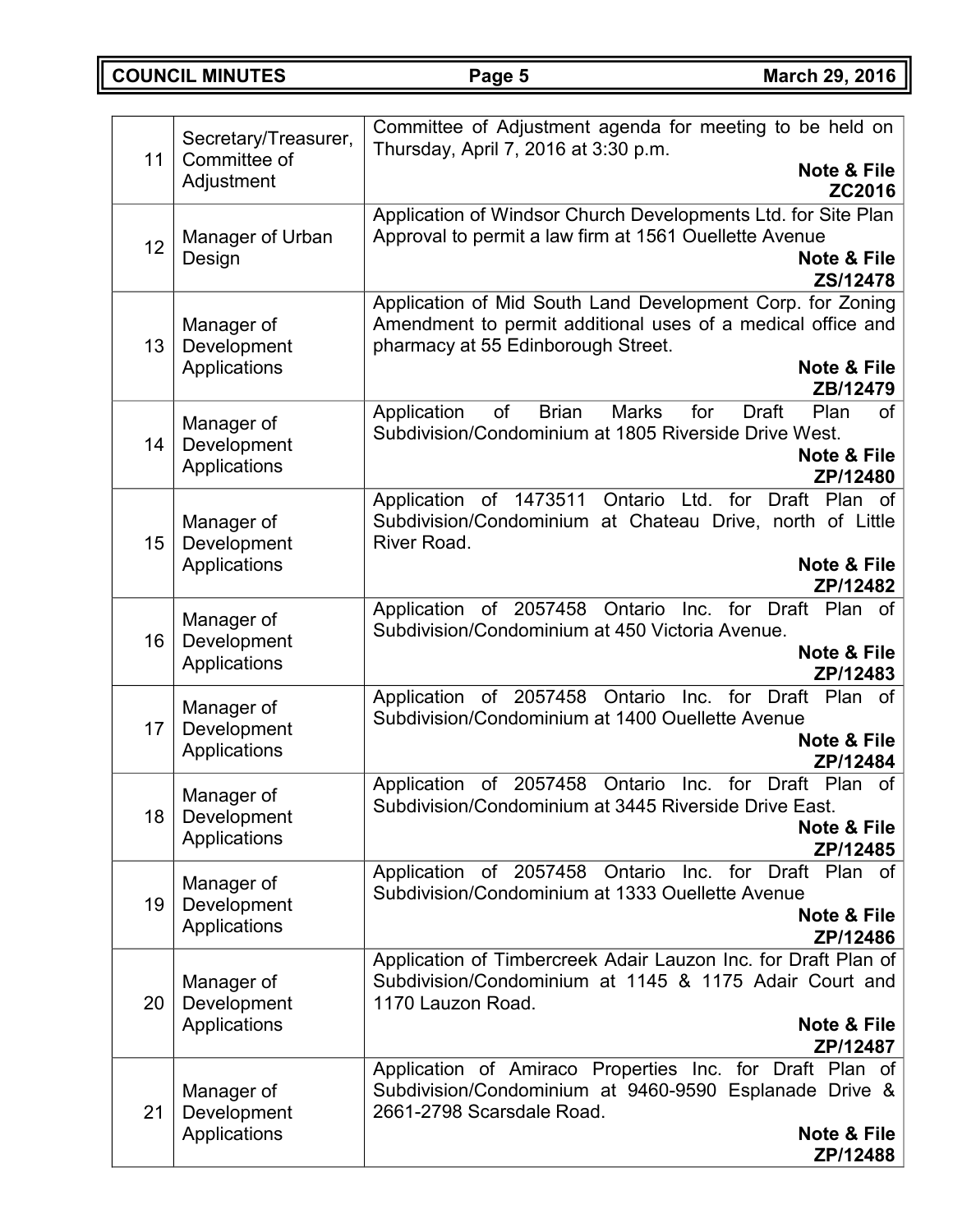**COUNCIL MINUTES Page 5 March 29, 2016**

| 11 | Secretary/Treasurer,<br>Committee of      | Committee of Adjustment agenda for meeting to be held on<br>Thursday, April 7, 2016 at 3:30 p.m.<br><b>Note &amp; File</b>                                                                 |
|----|-------------------------------------------|--------------------------------------------------------------------------------------------------------------------------------------------------------------------------------------------|
|    | Adjustment                                | ZC2016                                                                                                                                                                                     |
| 12 | Manager of Urban<br>Design                | Application of Windsor Church Developments Ltd. for Site Plan<br>Approval to permit a law firm at 1561 Ouellette Avenue<br>Note & File<br>ZS/12478                                         |
| 13 | Manager of<br>Development<br>Applications | Application of Mid South Land Development Corp. for Zoning<br>Amendment to permit additional uses of a medical office and<br>pharmacy at 55 Edinborough Street.<br>Note & File<br>ZB/12479 |
| 14 | Manager of<br>Development<br>Applications | of<br><b>Brian</b><br><b>Marks</b><br>for<br><b>Draft</b><br>Application<br>Plan<br>of<br>Subdivision/Condominium at 1805 Riverside Drive West.<br><b>Note &amp; File</b><br>ZP/12480      |
| 15 | Manager of<br>Development<br>Applications | Application of 1473511<br>Ontario<br>Ltd. for<br>Draft Plan of<br>Subdivision/Condominium at Chateau Drive, north of Little<br>River Road.<br>Note & File<br>ZP/12482                      |
| 16 | Manager of<br>Development<br>Applications | Ontario Inc. for Draft Plan of<br>Application of 2057458<br>Subdivision/Condominium at 450 Victoria Avenue.<br><b>Note &amp; File</b><br>ZP/12483                                          |
| 17 | Manager of<br>Development<br>Applications | Application of 2057458 Ontario Inc. for Draft Plan of<br>Subdivision/Condominium at 1400 Ouellette Avenue<br>Note & File<br>ZP/12484                                                       |
| 18 | Manager of<br>Development<br>Applications | of 2057458<br>Inc. for<br>Ontario<br>Draft Plan<br>Application<br>0f<br>Subdivision/Condominium at 3445 Riverside Drive East.<br>Note & File<br>ZP/12485                                   |
| 19 | Manager of<br>Development<br>Applications | of 2057458<br>Ontario<br>Inc. for Draft Plan of<br>Application<br>Subdivision/Condominium at 1333 Ouellette Avenue<br><b>Note &amp; File</b><br>ZP/12486                                   |
| 20 | Manager of<br>Development<br>Applications | Application of Timbercreek Adair Lauzon Inc. for Draft Plan of<br>Subdivision/Condominium at 1145 & 1175 Adair Court and<br>1170 Lauzon Road.<br>Note & File<br>ZP/12487                   |
| 21 | Manager of<br>Development<br>Applications | Application of Amiraco Properties Inc. for Draft Plan of<br>Subdivision/Condominium at 9460-9590 Esplanade Drive &<br>2661-2798 Scarsdale Road.<br>Note & File<br>ZP/12488                 |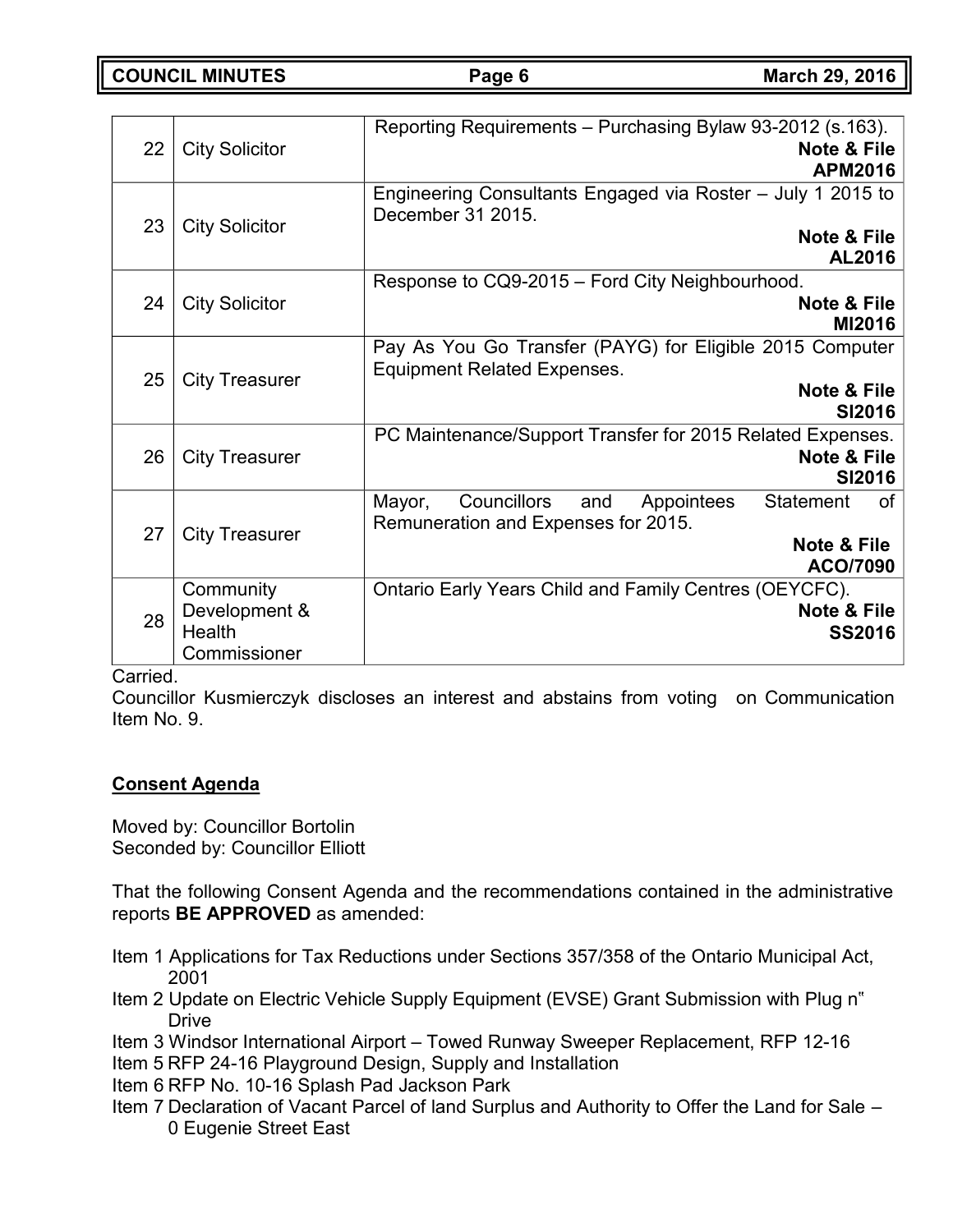**COUNCIL MINUTES Page 6 March 29, 2016**

| Reporting Requirements - Purchasing Bylaw 93-2012 (s.163).<br><b>Note &amp; File</b><br><b>APM2016</b> |
|--------------------------------------------------------------------------------------------------------|
|                                                                                                        |
| Engineering Consultants Engaged via Roster - July 1 2015 to                                            |
| <b>Note &amp; File</b>                                                                                 |
| AL2016                                                                                                 |
|                                                                                                        |
|                                                                                                        |
| <b>Note &amp; File</b>                                                                                 |
| MI2016                                                                                                 |
| Pay As You Go Transfer (PAYG) for Eligible 2015 Computer                                               |
|                                                                                                        |
| Note & File                                                                                            |
| <b>SI2016</b>                                                                                          |
|                                                                                                        |
| PC Maintenance/Support Transfer for 2015 Related Expenses.                                             |
| <b>Note &amp; File</b>                                                                                 |
| <b>SI2016</b>                                                                                          |
| <b>Statement</b><br><b>of</b>                                                                          |
|                                                                                                        |
| <b>Note &amp; File</b>                                                                                 |
| ACO/7090                                                                                               |
|                                                                                                        |
|                                                                                                        |
| Note & File                                                                                            |
| <b>SS2016</b>                                                                                          |
|                                                                                                        |
| Ontario Early Years Child and Family Centres (OEYCFC).                                                 |

Carried.

Councillor Kusmierczyk discloses an interest and abstains from voting on Communication Item No. 9.

## **Consent Agenda**

Moved by: Councillor Bortolin Seconded by: Councillor Elliott

That the following Consent Agenda and the recommendations contained in the administrative reports **BE APPROVED** as amended:

- Item 1 Applications for Tax Reductions under Sections 357/358 of the Ontario Municipal Act, 2001
- Item 2 Update on Electric Vehicle Supply Equipment (EVSE) Grant Submission with Plug n" **Drive**
- Item 3 Windsor International Airport Towed Runway Sweeper Replacement, RFP 12-16
- Item 5 RFP 24-16 Playground Design, Supply and Installation
- Item 6 RFP No. 10-16 Splash Pad Jackson Park
- Item 7 Declaration of Vacant Parcel of land Surplus and Authority to Offer the Land for Sale 0 Eugenie Street East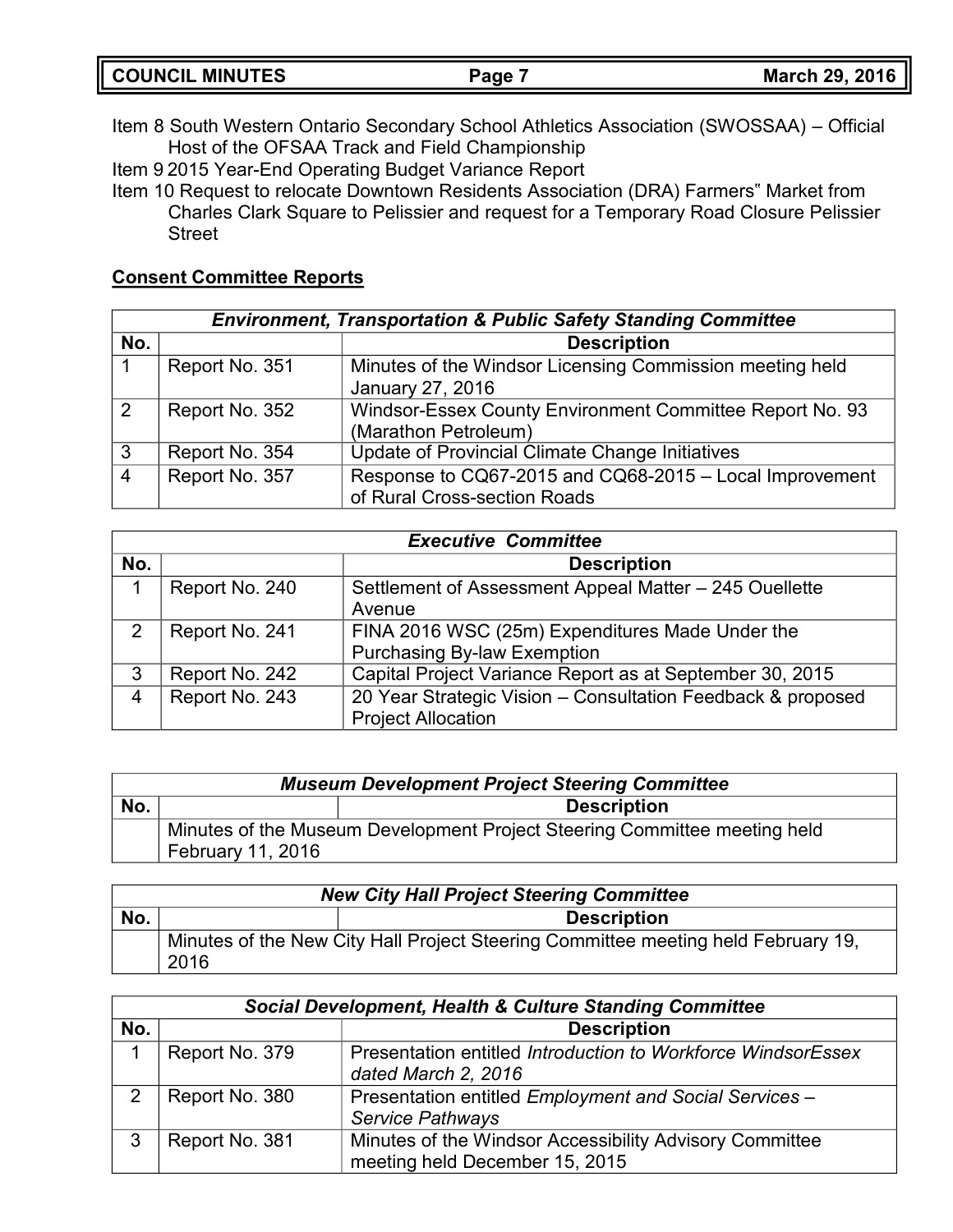| <b>COUNCIL MINUTES</b> | Page i | <b>March 29, 2016</b> |
|------------------------|--------|-----------------------|
|                        |        |                       |

- Item 8 South Western Ontario Secondary School Athletics Association (SWOSSAA) Official Host of the OFSAA Track and Field Championship
- Item 9 2015 Year-End Operating Budget Variance Report
- Item 10 Request to relocate Downtown Residents Association (DRA) Farmers" Market from Charles Clark Square to Pelissier and request for a Temporary Road Closure Pelissier **Street**

# **Consent Committee Reports**

|     | <b>Environment, Transportation &amp; Public Safety Standing Committee</b> |                                                          |  |
|-----|---------------------------------------------------------------------------|----------------------------------------------------------|--|
| No. |                                                                           | <b>Description</b>                                       |  |
|     | Report No. 351                                                            | Minutes of the Windsor Licensing Commission meeting held |  |
|     |                                                                           | January 27, 2016                                         |  |
| 2   | Report No. 352                                                            | Windsor-Essex County Environment Committee Report No. 93 |  |
|     |                                                                           | (Marathon Petroleum)                                     |  |
| 3   | Report No. 354                                                            | Update of Provincial Climate Change Initiatives          |  |
| 4   | Report No. 357                                                            | Response to CQ67-2015 and CQ68-2015 - Local Improvement  |  |
|     |                                                                           | of Rural Cross-section Roads                             |  |

| <b>Executive Committee</b> |                |                                                                                          |
|----------------------------|----------------|------------------------------------------------------------------------------------------|
| No.                        |                | <b>Description</b>                                                                       |
|                            | Report No. 240 | Settlement of Assessment Appeal Matter – 245 Ouellette<br>Avenue                         |
| 2                          | Report No. 241 | FINA 2016 WSC (25m) Expenditures Made Under the<br><b>Purchasing By-law Exemption</b>    |
| 3                          | Report No. 242 | Capital Project Variance Report as at September 30, 2015                                 |
| 4                          | Report No. 243 | 20 Year Strategic Vision - Consultation Feedback & proposed<br><b>Project Allocation</b> |

|     | <b>Museum Development Project Steering Committee</b> |                                                                           |  |
|-----|------------------------------------------------------|---------------------------------------------------------------------------|--|
| No. |                                                      | <b>Description</b>                                                        |  |
|     |                                                      | Minutes of the Museum Development Project Steering Committee meeting held |  |
|     | February 11, 2016                                    |                                                                           |  |

|     | <b>New City Hall Project Steering Committee</b> |                                                                                   |  |
|-----|-------------------------------------------------|-----------------------------------------------------------------------------------|--|
| No. | <b>Description</b>                              |                                                                                   |  |
|     | 2016                                            | Minutes of the New City Hall Project Steering Committee meeting held February 19, |  |

|               | <b>Social Development, Health &amp; Culture Standing Committee</b> |                                                                                           |  |
|---------------|--------------------------------------------------------------------|-------------------------------------------------------------------------------------------|--|
| No.           |                                                                    | <b>Description</b>                                                                        |  |
|               | Report No. 379                                                     | Presentation entitled Introduction to Workforce WindsorEssex<br>dated March 2, 2016       |  |
| $\mathcal{P}$ | Report No. 380                                                     | Presentation entitled Employment and Social Services -<br>Service Pathways                |  |
| 3             | Report No. 381                                                     | Minutes of the Windsor Accessibility Advisory Committee<br>meeting held December 15, 2015 |  |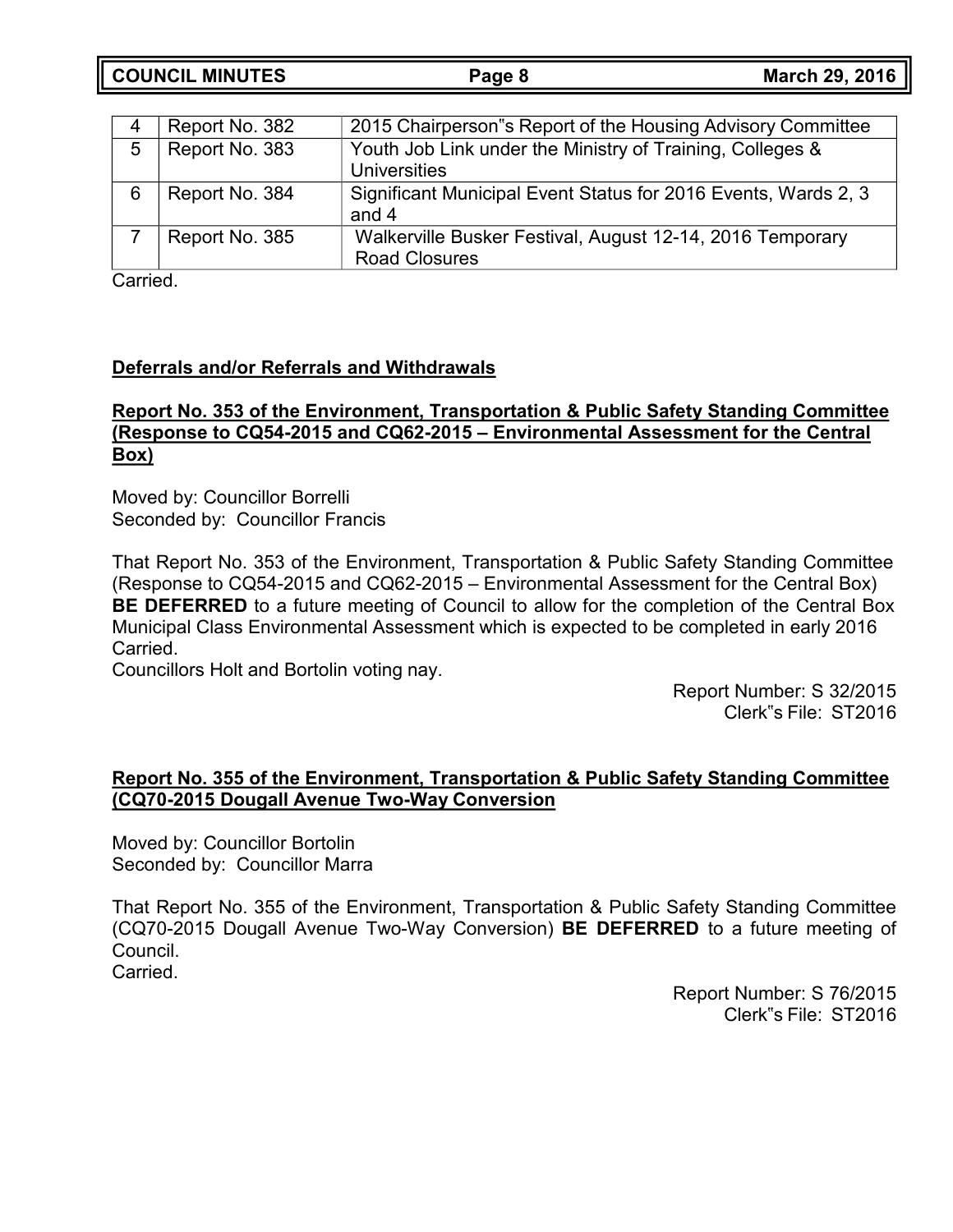**COUNCIL MINUTES Page 8 March 29, 2016**

|   | Report No. 382 | 2015 Chairperson"s Report of the Housing Advisory Committee                       |
|---|----------------|-----------------------------------------------------------------------------------|
| 5 | Report No. 383 | Youth Job Link under the Ministry of Training, Colleges &                         |
|   |                | Universities                                                                      |
|   | Report No. 384 | Significant Municipal Event Status for 2016 Events, Wards 2, 3                    |
|   |                | and 4                                                                             |
|   | Report No. 385 | Walkerville Busker Festival, August 12-14, 2016 Temporary<br><b>Road Closures</b> |

Carried.

## **Deferrals and/or Referrals and Withdrawals**

### **Report No. 353 of the Environment, Transportation & Public Safety Standing Committee (Response to CQ54-2015 and CQ62-2015 – Environmental Assessment for the Central Box)**

Moved by: Councillor Borrelli Seconded by: Councillor Francis

That Report No. 353 of the Environment, Transportation & Public Safety Standing Committee (Response to CQ54-2015 and CQ62-2015 – Environmental Assessment for the Central Box) **BE DEFERRED** to a future meeting of Council to allow for the completion of the Central Box Municipal Class Environmental Assessment which is expected to be completed in early 2016 Carried.

Councillors Holt and Bortolin voting nay.

Report Number: S 32/2015 Clerk"s File: ST2016

# **Report No. 355 of the Environment, Transportation & Public Safety Standing Committee (CQ70-2015 Dougall Avenue Two-Way Conversion**

Moved by: Councillor Bortolin Seconded by: Councillor Marra

That Report No. 355 of the Environment, Transportation & Public Safety Standing Committee (CQ70-2015 Dougall Avenue Two-Way Conversion) **BE DEFERRED** to a future meeting of Council. Carried.

> Report Number: S 76/2015 Clerk"s File: ST2016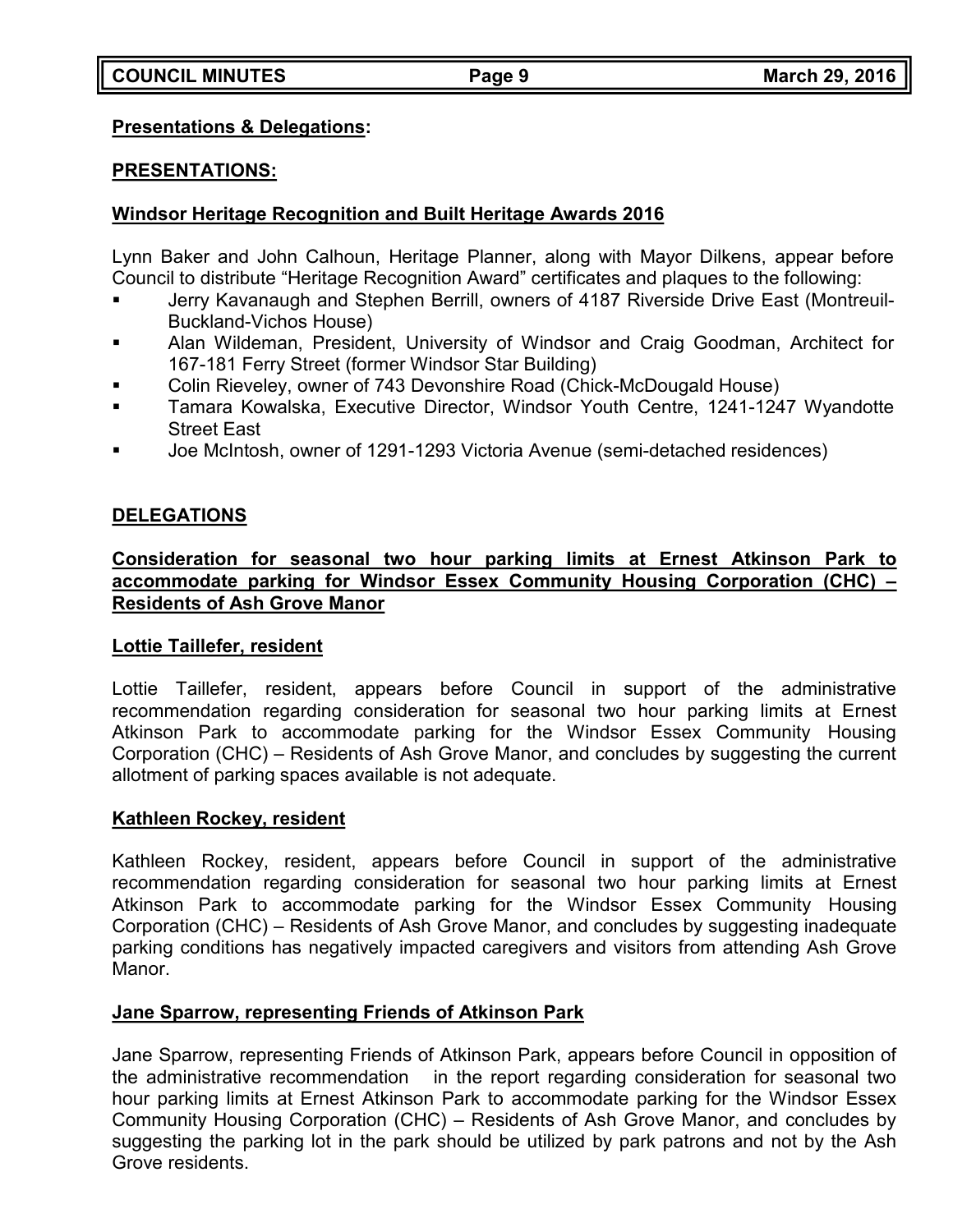### **Presentations & Delegations:**

### **PRESENTATIONS:**

# **Windsor Heritage Recognition and Built Heritage Awards 2016**

Lynn Baker and John Calhoun, Heritage Planner, along with Mayor Dilkens, appear before Council to distribute "Heritage Recognition Award" certificates and plaques to the following:

- Jerry Kavanaugh and Stephen Berrill, owners of 4187 Riverside Drive East (Montreuil-Buckland-Vichos House)
- Alan Wildeman, President, University of Windsor and Craig Goodman, Architect for 167-181 Ferry Street (former Windsor Star Building)
- Colin Rieveley, owner of 743 Devonshire Road (Chick-McDougald House)
- Tamara Kowalska, Executive Director, Windsor Youth Centre, 1241-1247 Wyandotte Street East
- Joe McIntosh, owner of 1291-1293 Victoria Avenue (semi-detached residences)

# **DELEGATIONS**

### **Consideration for seasonal two hour parking limits at Ernest Atkinson Park to accommodate parking for Windsor Essex Community Housing Corporation (CHC) – Residents of Ash Grove Manor**

## **Lottie Taillefer, resident**

Lottie Taillefer, resident, appears before Council in support of the administrative recommendation regarding consideration for seasonal two hour parking limits at Ernest Atkinson Park to accommodate parking for the Windsor Essex Community Housing Corporation (CHC) – Residents of Ash Grove Manor, and concludes by suggesting the current allotment of parking spaces available is not adequate.

## **Kathleen Rockey, resident**

Kathleen Rockey, resident, appears before Council in support of the administrative recommendation regarding consideration for seasonal two hour parking limits at Ernest Atkinson Park to accommodate parking for the Windsor Essex Community Housing Corporation (CHC) – Residents of Ash Grove Manor, and concludes by suggesting inadequate parking conditions has negatively impacted caregivers and visitors from attending Ash Grove Manor.

## **Jane Sparrow, representing Friends of Atkinson Park**

Jane Sparrow, representing Friends of Atkinson Park, appears before Council in opposition of the administrative recommendation in the report regarding consideration for seasonal two hour parking limits at Ernest Atkinson Park to accommodate parking for the Windsor Essex Community Housing Corporation (CHC) – Residents of Ash Grove Manor, and concludes by suggesting the parking lot in the park should be utilized by park patrons and not by the Ash Grove residents.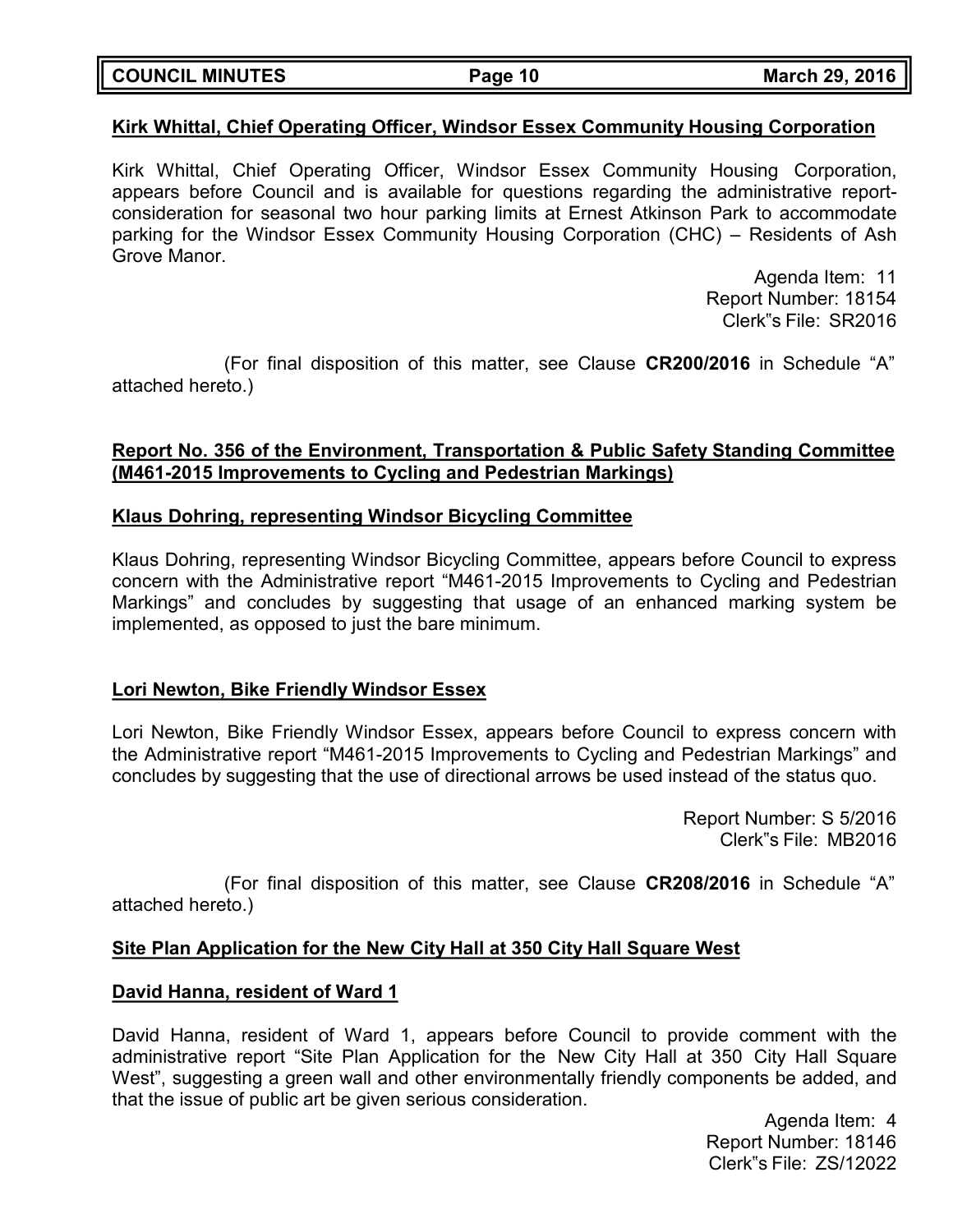| <b>COUNCIL MINUTES</b> | Page 10 | <b>March 29, 2016</b> |  |
|------------------------|---------|-----------------------|--|
|                        |         |                       |  |

### **Kirk Whittal, Chief Operating Officer, Windsor Essex Community Housing Corporation**

Kirk Whittal, Chief Operating Officer, Windsor Essex Community Housing Corporation, appears before Council and is available for questions regarding the administrative reportconsideration for seasonal two hour parking limits at Ernest Atkinson Park to accommodate parking for the Windsor Essex Community Housing Corporation (CHC) – Residents of Ash Grove Manor.

> Agenda Item: 11 Report Number: 18154 Clerk"s File: SR2016

(For final disposition of this matter, see Clause **CR200/2016** in Schedule "A" attached hereto.)

### **Report No. 356 of the Environment, Transportation & Public Safety Standing Committee (M461-2015 Improvements to Cycling and Pedestrian Markings)**

### **Klaus Dohring, representing Windsor Bicycling Committee**

Klaus Dohring, representing Windsor Bicycling Committee, appears before Council to express concern with the Administrative report "M461-2015 Improvements to Cycling and Pedestrian Markings" and concludes by suggesting that usage of an enhanced marking system be implemented, as opposed to just the bare minimum.

### **Lori Newton, Bike Friendly Windsor Essex**

Lori Newton, Bike Friendly Windsor Essex, appears before Council to express concern with the Administrative report "M461-2015 Improvements to Cycling and Pedestrian Markings" and concludes by suggesting that the use of directional arrows be used instead of the status quo.

> Report Number: S 5/2016 Clerk"s File: MB2016

(For final disposition of this matter, see Clause **CR208/2016** in Schedule "A" attached hereto.)

### **Site Plan Application for the New City Hall at 350 City Hall Square West**

### **David Hanna, resident of Ward 1**

David Hanna, resident of Ward 1, appears before Council to provide comment with the administrative report "Site Plan Application for the New City Hall at 350 City Hall Square West", suggesting a green wall and other environmentally friendly components be added, and that the issue of public art be given serious consideration.

> Agenda Item: 4 Report Number: 18146 Clerk"s File: ZS/12022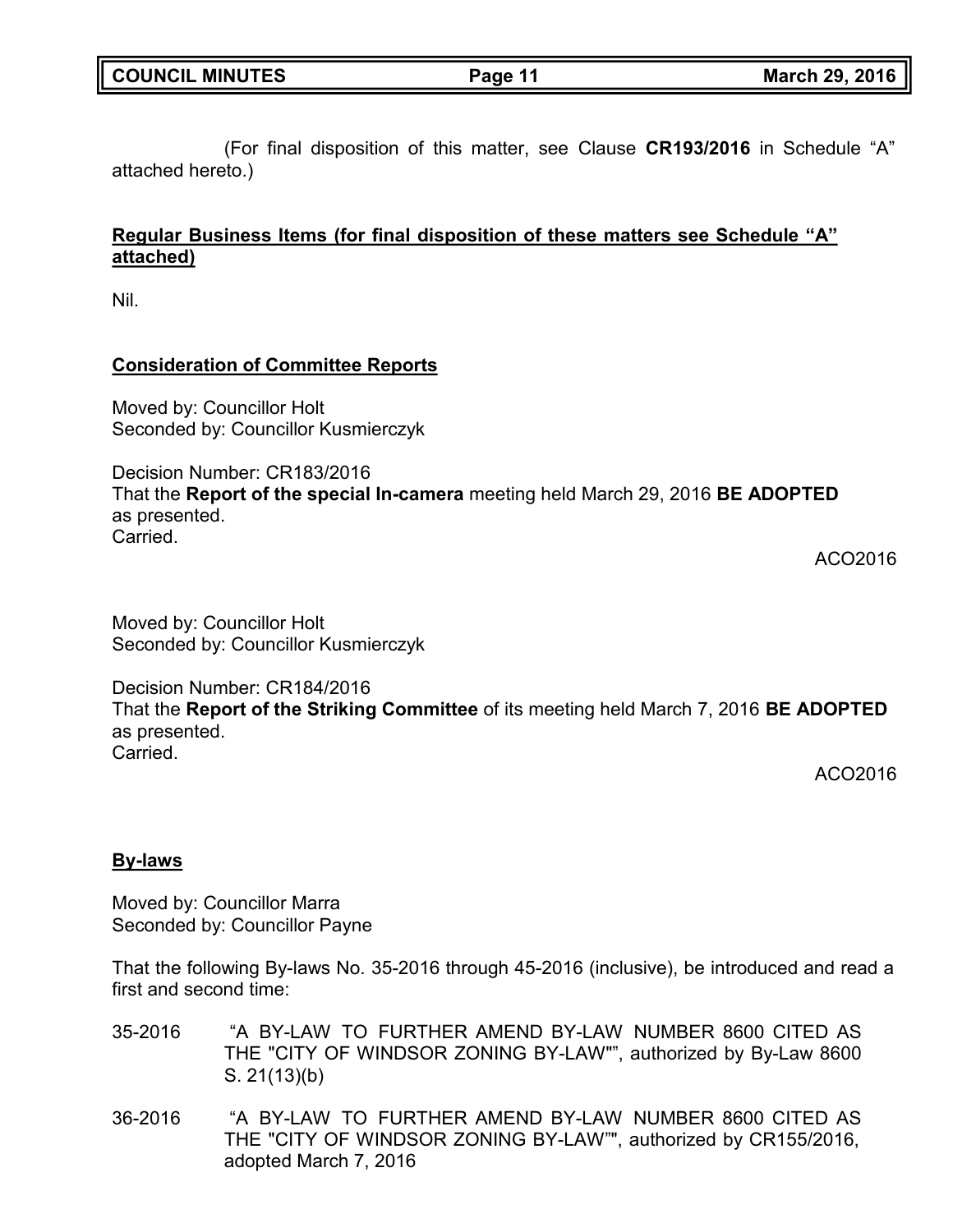(For final disposition of this matter, see Clause **CR193/2016** in Schedule "A" attached hereto.)

# **Regular Business Items (for final disposition of these matters see Schedule "A" attached)**

Nil.

## **Consideration of Committee Reports**

Moved by: Councillor Holt Seconded by: Councillor Kusmierczyk

Decision Number: CR183/2016 That the **Report of the special In-camera** meeting held March 29, 2016 **BE ADOPTED** as presented. Carried.

ACO2016

Moved by: Councillor Holt Seconded by: Councillor Kusmierczyk

Decision Number: CR184/2016

That the **Report of the Striking Committee** of its meeting held March 7, 2016 **BE ADOPTED** as presented. Carried.

ACO2016

# **By-laws**

Moved by: Councillor Marra Seconded by: Councillor Payne

That the following By-laws No. 35-2016 through 45-2016 (inclusive), be introduced and read a first and second time:

- 35-2016 "A BY-LAW TO FURTHER AMEND BY-LAW NUMBER 8600 CITED AS THE "CITY OF WINDSOR ZONING BY-LAW"", authorized by By-Law 8600 S. 21(13)(b)
- 36-2016 "A BY-LAW TO FURTHER AMEND BY-LAW NUMBER 8600 CITED AS THE "CITY OF WINDSOR ZONING BY-LAW"", authorized by CR155/2016, adopted March 7, 2016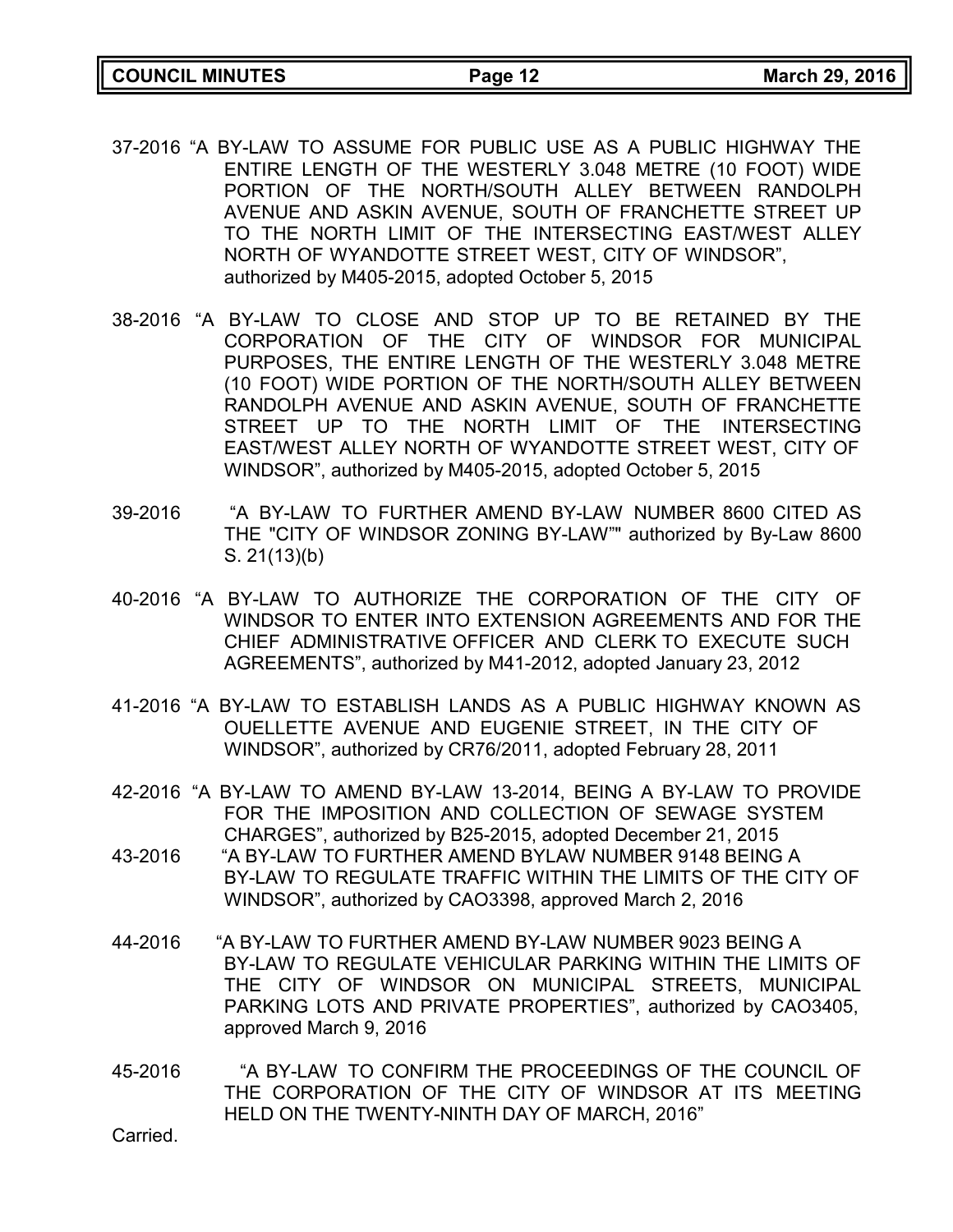- 37-2016 "A BY-LAW TO ASSUME FOR PUBLIC USE AS A PUBLIC HIGHWAY THE ENTIRE LENGTH OF THE WESTERLY 3.048 METRE (10 FOOT) WIDE PORTION OF THE NORTH/SOUTH ALLEY BETWEEN RANDOLPH AVENUE AND ASKIN AVENUE, SOUTH OF FRANCHETTE STREET UP TO THE NORTH LIMIT OF THE INTERSECTING EAST/WEST ALLEY NORTH OF WYANDOTTE STREET WEST, CITY OF WINDSOR", authorized by M405-2015, adopted October 5, 2015
- 38-2016 "A BY-LAW TO CLOSE AND STOP UP TO BE RETAINED BY THE CORPORATION OF THE CITY OF WINDSOR FOR MUNICIPAL PURPOSES, THE ENTIRE LENGTH OF THE WESTERLY 3.048 METRE (10 FOOT) WIDE PORTION OF THE NORTH/SOUTH ALLEY BETWEEN RANDOLPH AVENUE AND ASKIN AVENUE, SOUTH OF FRANCHETTE STREET UP TO THE NORTH LIMIT OF THE INTERSECTING EAST/WEST ALLEY NORTH OF WYANDOTTE STREET WEST, CITY OF WINDSOR", authorized by M405-2015, adopted October 5, 2015
- 39-2016 "A BY-LAW TO FURTHER AMEND BY-LAW NUMBER 8600 CITED AS THE "CITY OF WINDSOR ZONING BY-LAW"" authorized by By-Law 8600 S. 21(13)(b)
- 40-2016 "A BY-LAW TO AUTHORIZE THE CORPORATION OF THE CITY OF WINDSOR TO ENTER INTO EXTENSION AGREEMENTS AND FOR THE CHIEF ADMINISTRATIVE OFFICER AND CLERK TO EXECUTE SUCH AGREEMENTS", authorized by M41-2012, adopted January 23, 2012
- 41-2016 "A BY-LAW TO ESTABLISH LANDS AS A PUBLIC HIGHWAY KNOWN AS OUELLETTE AVENUE AND EUGENIE STREET, IN THE CITY OF WINDSOR", authorized by CR76/2011, adopted February 28, 2011
- 42-2016 "A BY-LAW TO AMEND BY-LAW 13-2014, BEING A BY-LAW TO PROVIDE FOR THE IMPOSITION AND COLLECTION OF SEWAGE SYSTEM CHARGES", authorized by B25-2015, adopted December 21, 2015
- 43-2016 "A BY-LAW TO FURTHER AMEND BYLAW NUMBER 9148 BEING A BY-LAW TO REGULATE TRAFFIC WITHIN THE LIMITS OF THE CITY OF WINDSOR", authorized by CAO3398, approved March 2, 2016
- 44-2016 "A BY-LAW TO FURTHER AMEND BY-LAW NUMBER 9023 BEING A BY-LAW TO REGULATE VEHICULAR PARKING WITHIN THE LIMITS OF THE CITY OF WINDSOR ON MUNICIPAL STREETS, MUNICIPAL PARKING LOTS AND PRIVATE PROPERTIES", authorized by CAO3405, approved March 9, 2016
- 45-2016 "A BY-LAW TO CONFIRM THE PROCEEDINGS OF THE COUNCIL OF THE CORPORATION OF THE CITY OF WINDSOR AT ITS MEETING HELD ON THE TWENTY-NINTH DAY OF MARCH, 2016"

Carried.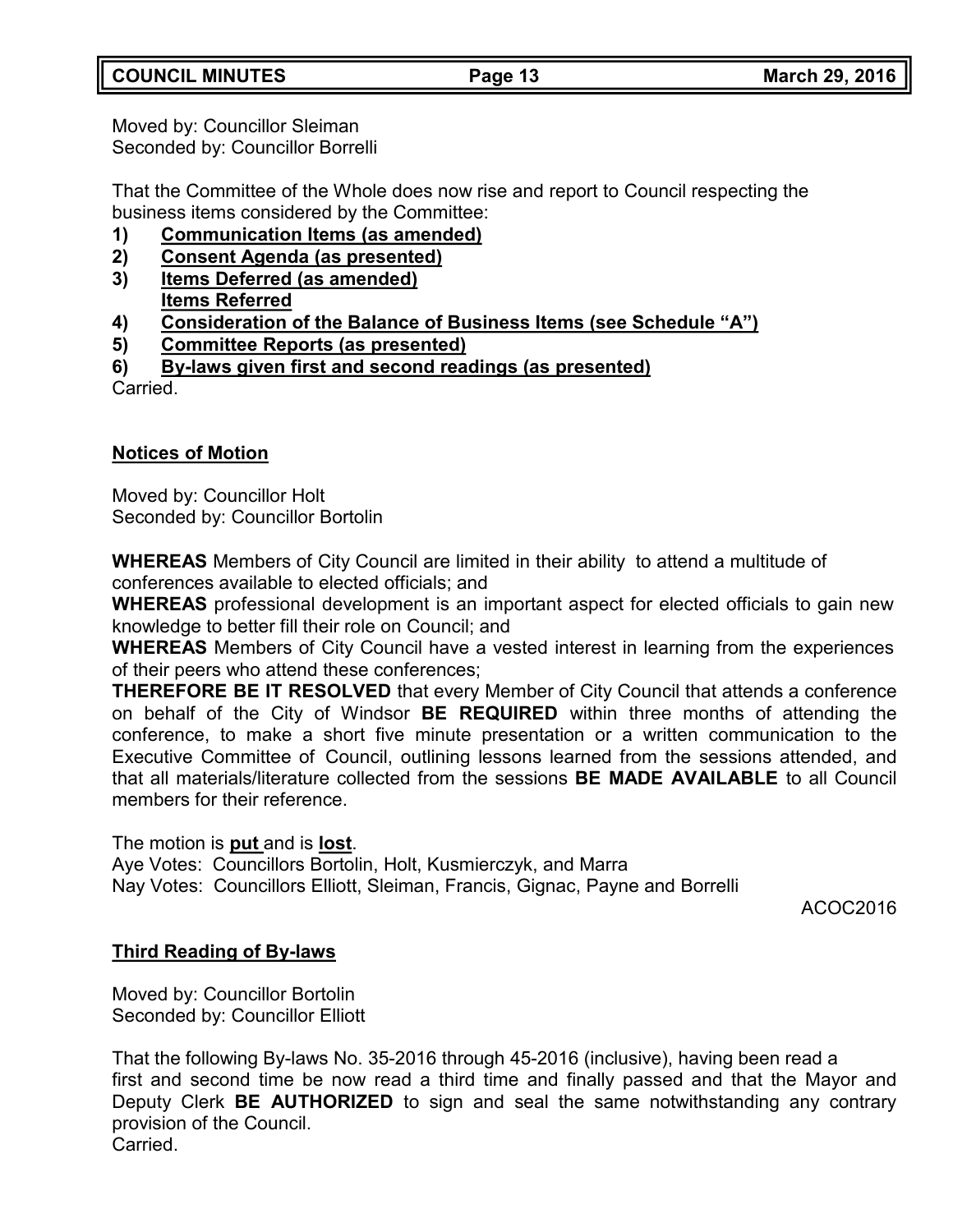Moved by: Councillor Sleiman Seconded by: Councillor Borrelli

That the Committee of the Whole does now rise and report to Council respecting the business items considered by the Committee:

- **1) Communication Items (as amended)**
- **2) Consent Agenda (as presented)**
- **3) Items Deferred (as amended) Items Referred**
- **4) Consideration of the Balance of Business Items (see Schedule "A")**
- **5) Committee Reports (as presented)**
- **6) By-laws given first and second readings (as presented)**

**Carried** 

# **Notices of Motion**

Moved by: Councillor Holt Seconded by: Councillor Bortolin

**WHEREAS** Members of City Council are limited in their ability to attend a multitude of conferences available to elected officials; and

**WHEREAS** professional development is an important aspect for elected officials to gain new knowledge to better fill their role on Council; and

**WHEREAS** Members of City Council have a vested interest in learning from the experiences of their peers who attend these conferences;

**THEREFORE BE IT RESOLVED** that every Member of City Council that attends a conference on behalf of the City of Windsor **BE REQUIRED** within three months of attending the conference, to make a short five minute presentation or a written communication to the Executive Committee of Council, outlining lessons learned from the sessions attended, and that all materials/literature collected from the sessions **BE MADE AVAILABLE** to all Council members for their reference.

The motion is **put** and is **lost**.

Aye Votes: Councillors Bortolin, Holt, Kusmierczyk, and Marra Nay Votes: Councillors Elliott, Sleiman, Francis, Gignac, Payne and Borrelli

ACOC2016

# **Third Reading of By-laws**

Moved by: Councillor Bortolin Seconded by: Councillor Elliott

That the following By-laws No. 35-2016 through 45-2016 (inclusive), having been read a first and second time be now read a third time and finally passed and that the Mayor and Deputy Clerk **BE AUTHORIZED** to sign and seal the same notwithstanding any contrary provision of the Council. Carried.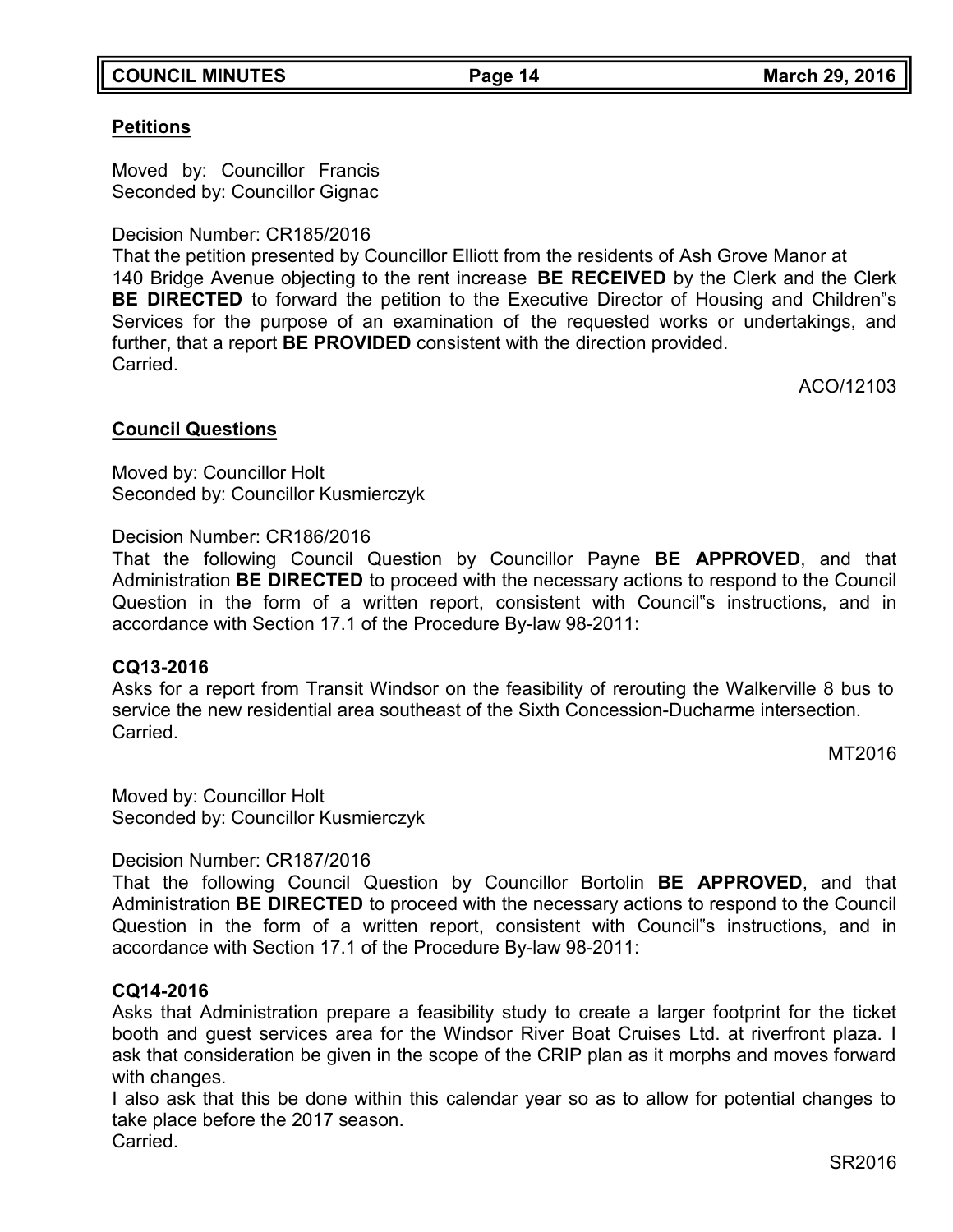## **COUNCIL MINUTES Page 14 March 29, 2016**

# **Petitions**

Moved by: Councillor Francis Seconded by: Councillor Gignac

Decision Number: CR185/2016

That the petition presented by Councillor Elliott from the residents of Ash Grove Manor at 140 Bridge Avenue objecting to the rent increase **BE RECEIVED** by the Clerk and the Clerk **BE DIRECTED** to forward the petition to the Executive Director of Housing and Children"s Services for the purpose of an examination of the requested works or undertakings, and further, that a report **BE PROVIDED** consistent with the direction provided. Carried.

ACO/12103

## **Council Questions**

Moved by: Councillor Holt Seconded by: Councillor Kusmierczyk

## Decision Number: CR186/2016

That the following Council Question by Councillor Payne **BE APPROVED**, and that Administration **BE DIRECTED** to proceed with the necessary actions to respond to the Council Question in the form of a written report, consistent with Council"s instructions, and in accordance with Section 17.1 of the Procedure By-law 98-2011:

## **CQ13-2016**

Asks for a report from Transit Windsor on the feasibility of rerouting the Walkerville 8 bus to service the new residential area southeast of the Sixth Concession-Ducharme intersection. **Carried** 

MT2016

Moved by: Councillor Holt Seconded by: Councillor Kusmierczyk

Decision Number: CR187/2016

That the following Council Question by Councillor Bortolin **BE APPROVED**, and that Administration **BE DIRECTED** to proceed with the necessary actions to respond to the Council Question in the form of a written report, consistent with Council"s instructions, and in accordance with Section 17.1 of the Procedure By-law 98-2011:

## **CQ14-2016**

Asks that Administration prepare a feasibility study to create a larger footprint for the ticket booth and guest services area for the Windsor River Boat Cruises Ltd. at riverfront plaza. I ask that consideration be given in the scope of the CRIP plan as it morphs and moves forward with changes.

I also ask that this be done within this calendar year so as to allow for potential changes to take place before the 2017 season. **Carried**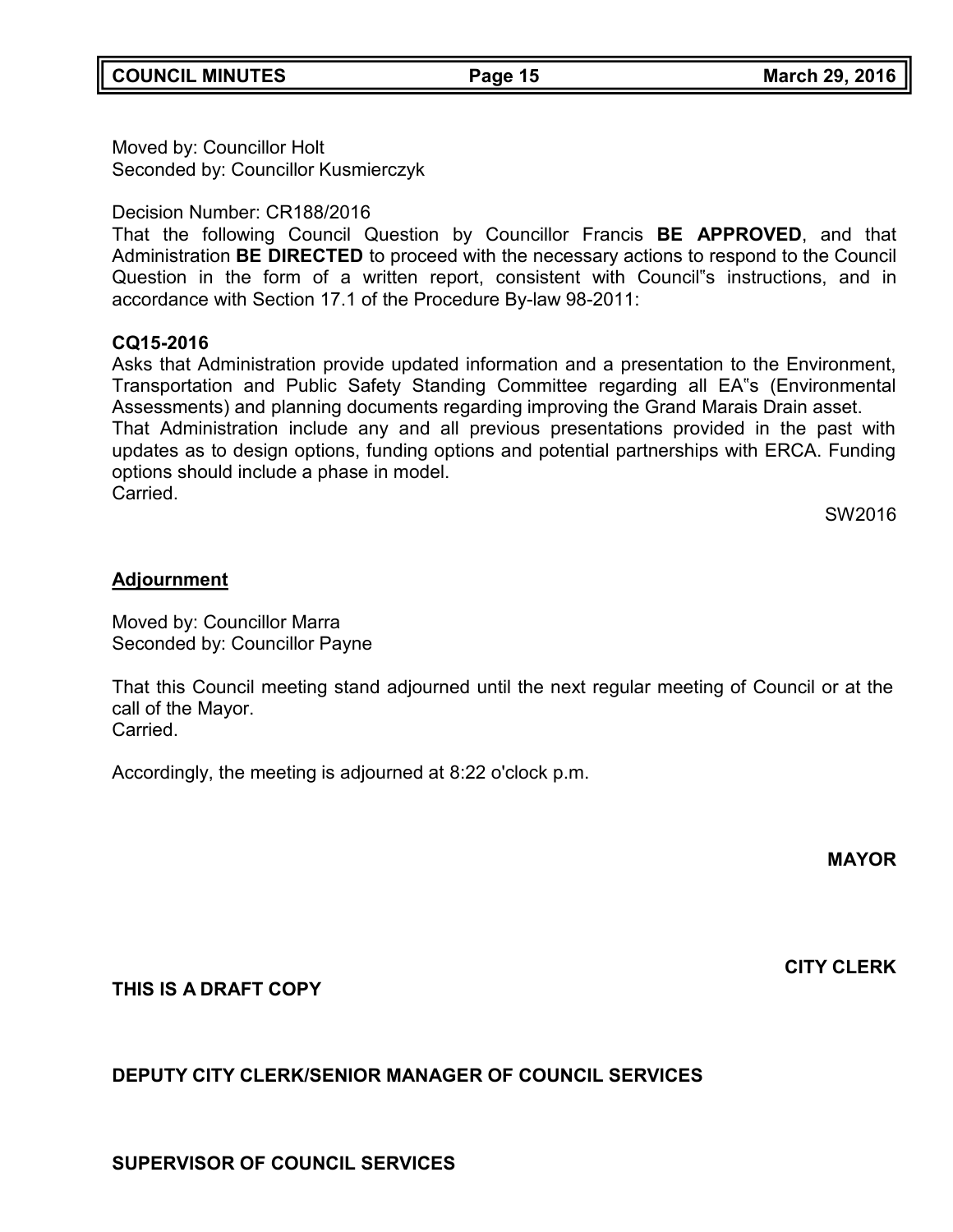Moved by: Councillor Holt Seconded by: Councillor Kusmierczyk

Decision Number: CR188/2016

That the following Council Question by Councillor Francis **BE APPROVED**, and that Administration **BE DIRECTED** to proceed with the necessary actions to respond to the Council Question in the form of a written report, consistent with Council"s instructions, and in accordance with Section 17.1 of the Procedure By-law 98-2011:

### **CQ15-2016**

Asks that Administration provide updated information and a presentation to the Environment, Transportation and Public Safety Standing Committee regarding all EA"s (Environmental Assessments) and planning documents regarding improving the Grand Marais Drain asset. That Administration include any and all previous presentations provided in the past with updates as to design options, funding options and potential partnerships with ERCA. Funding options should include a phase in model. Carried.

SW2016

### **Adjournment**

Moved by: Councillor Marra Seconded by: Councillor Payne

That this Council meeting stand adjourned until the next regular meeting of Council or at the call of the Mayor. Carried.

Accordingly, the meeting is adjourned at 8:22 o'clock p.m.

**MAYOR**

**CITY CLERK**

**THIS IS A DRAFT COPY**

## **DEPUTY CITY CLERK/SENIOR MANAGER OF COUNCIL SERVICES**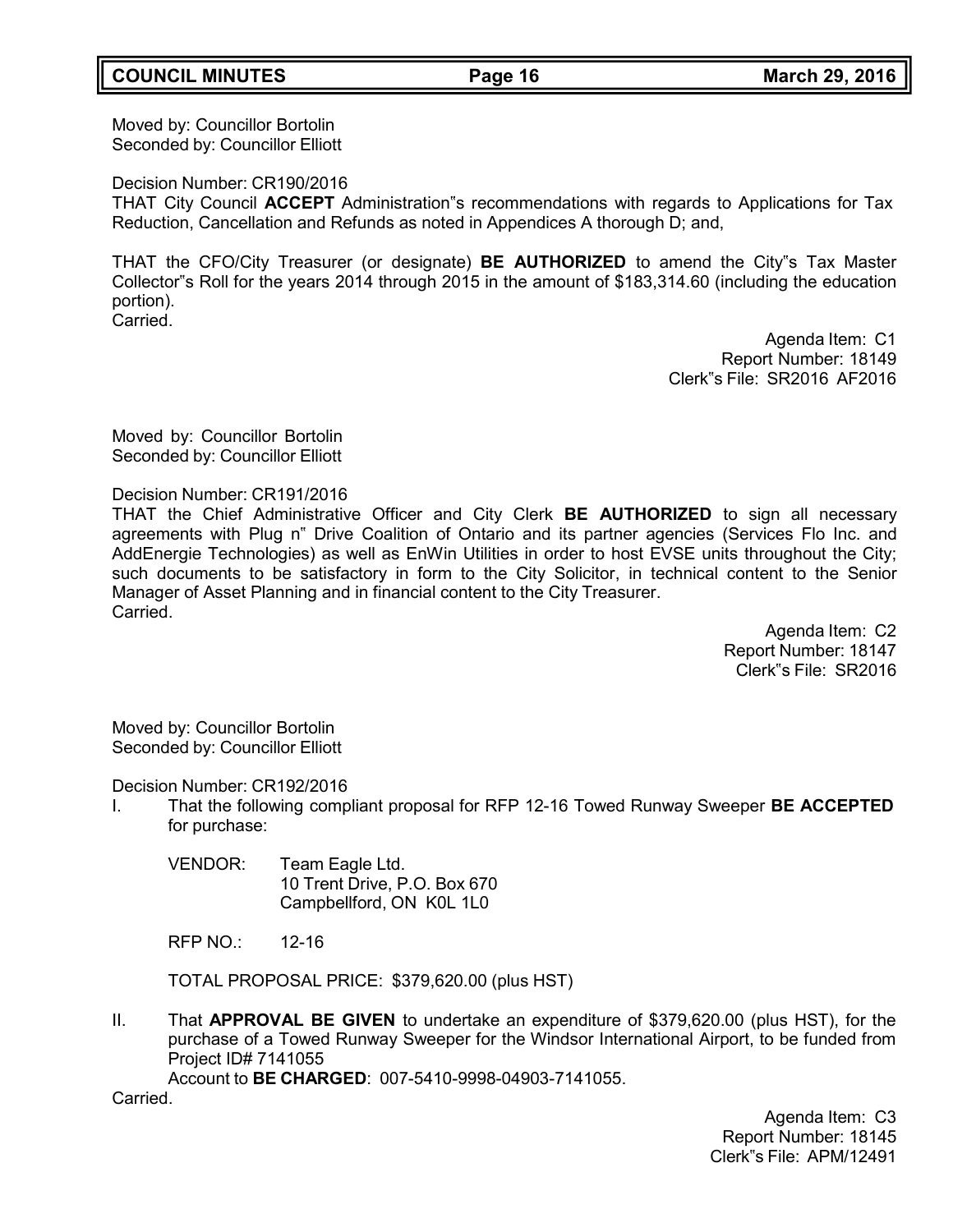Moved by: Councillor Bortolin Seconded by: Councillor Elliott

Decision Number: CR190/2016

THAT City Council **ACCEPT** Administration"s recommendations with regards to Applications for Tax Reduction, Cancellation and Refunds as noted in Appendices A thorough D; and,

THAT the CFO/City Treasurer (or designate) **BE AUTHORIZED** to amend the City"s Tax Master Collector"s Roll for the years 2014 through 2015 in the amount of \$183,314.60 (including the education portion). Carried.

> Agenda Item: C1 Report Number: 18149 Clerk"s File: SR2016 AF2016

Moved by: Councillor Bortolin Seconded by: Councillor Elliott

Decision Number: CR191/2016

THAT the Chief Administrative Officer and City Clerk **BE AUTHORIZED** to sign all necessary agreements with Plug n" Drive Coalition of Ontario and its partner agencies (Services Flo Inc. and AddEnergie Technologies) as well as EnWin Utilities in order to host EVSE units throughout the City; such documents to be satisfactory in form to the City Solicitor, in technical content to the Senior Manager of Asset Planning and in financial content to the City Treasurer. Carried.

> Agenda Item: C2 Report Number: 18147 Clerk"s File: SR2016

Moved by: Councillor Bortolin Seconded by: Councillor Elliott

Decision Number: CR192/2016

- I. That the following compliant proposal for RFP 12-16 Towed Runway Sweeper **BE ACCEPTED** for purchase:
	- VENDOR: Team Eagle Ltd. 10 Trent Drive, P.O. Box 670 Campbellford, ON K0L 1L0

RFP NO.: 12-16

TOTAL PROPOSAL PRICE: \$379,620.00 (plus HST)

II. That **APPROVAL BE GIVEN** to undertake an expenditure of \$379,620.00 (plus HST), for the purchase of a Towed Runway Sweeper for the Windsor International Airport, to be funded from Project ID# 7141055

Account to **BE CHARGED**: 007-5410-9998-04903-7141055.

Carried.

Agenda Item: C3 Report Number: 18145 Clerk"s File: APM/12491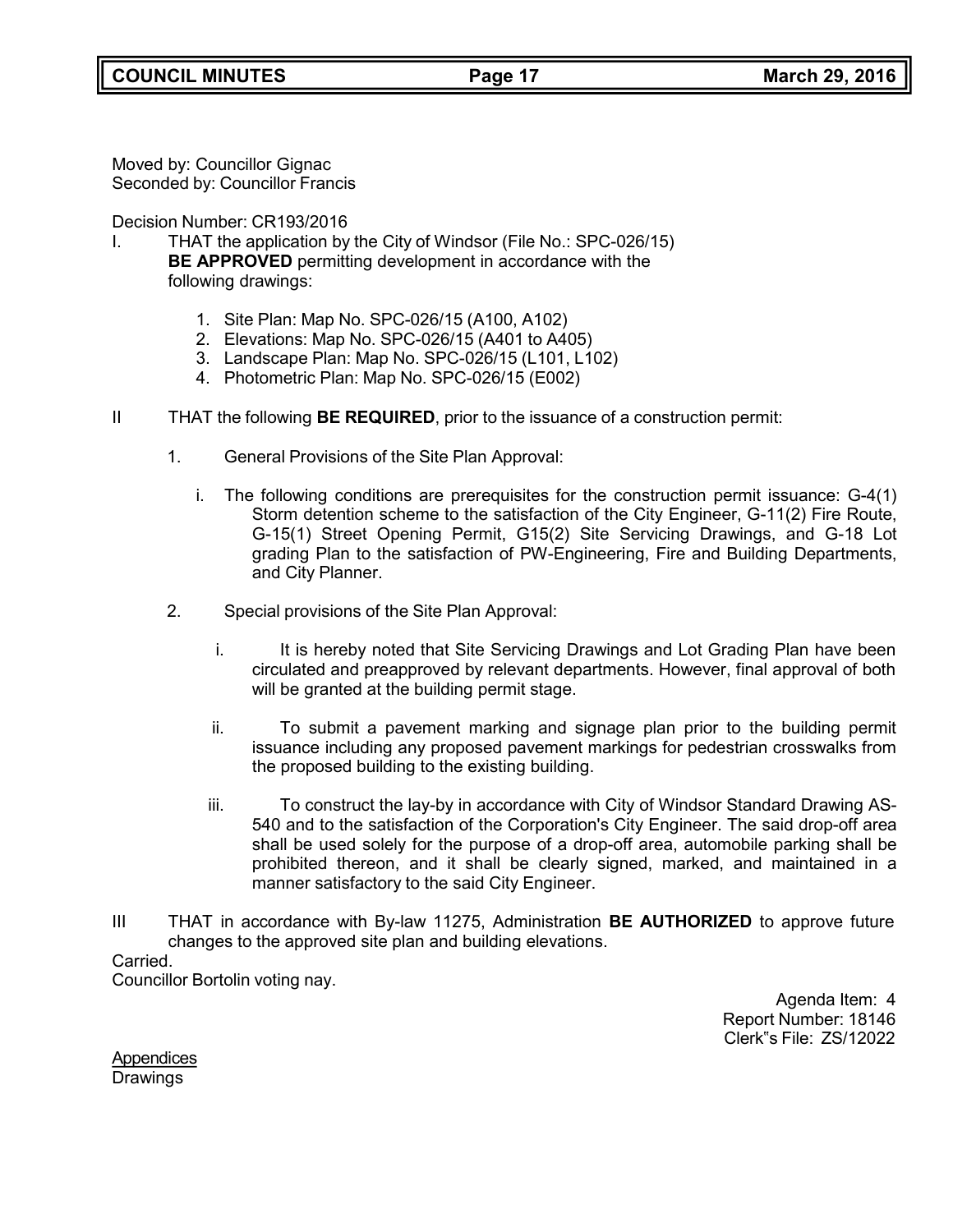Moved by: Councillor Gignac Seconded by: Councillor Francis

Decision Number: CR193/2016

- I. THAT the application by the City of Windsor (File No.: SPC-026/15) **BE APPROVED** permitting development in accordance with the following drawings:
	- 1. Site Plan: Map No. SPC-026/15 (A100, A102)
	- 2. Elevations: Map No. SPC-026/15 (A401 to A405)
	- 3. Landscape Plan: Map No. SPC-026/15 (L101, L102)
	- 4. Photometric Plan: Map No. SPC-026/15 (E002)
- II THAT the following **BE REQUIRED**, prior to the issuance of a construction permit:
	- 1. General Provisions of the Site Plan Approval:
		- i. The following conditions are prerequisites for the construction permit issuance: G-4(1) Storm detention scheme to the satisfaction of the City Engineer, G-11(2) Fire Route, G-15(1) Street Opening Permit, G15(2) Site Servicing Drawings, and G-18 Lot grading Plan to the satisfaction of PW-Engineering, Fire and Building Departments, and City Planner.
	- 2. Special provisions of the Site Plan Approval:
		- i. It is hereby noted that Site Servicing Drawings and Lot Grading Plan have been circulated and preapproved by relevant departments. However, final approval of both will be granted at the building permit stage.
		- ii. To submit a pavement marking and signage plan prior to the building permit issuance including any proposed pavement markings for pedestrian crosswalks from the proposed building to the existing building.
		- iii. To construct the lay-by in accordance with City of Windsor Standard Drawing AS-540 and to the satisfaction of the Corporation's City Engineer. The said drop-off area shall be used solely for the purpose of a drop-off area, automobile parking shall be prohibited thereon, and it shall be clearly signed, marked, and maintained in a manner satisfactory to the said City Engineer.
- III THAT in accordance with By-law 11275, Administration **BE AUTHORIZED** to approve future changes to the approved site plan and building elevations.

#### Carried.

Councillor Bortolin voting nay.

Agenda Item: 4 Report Number: 18146 Clerk"s File: ZS/12022

**Appendices Drawings**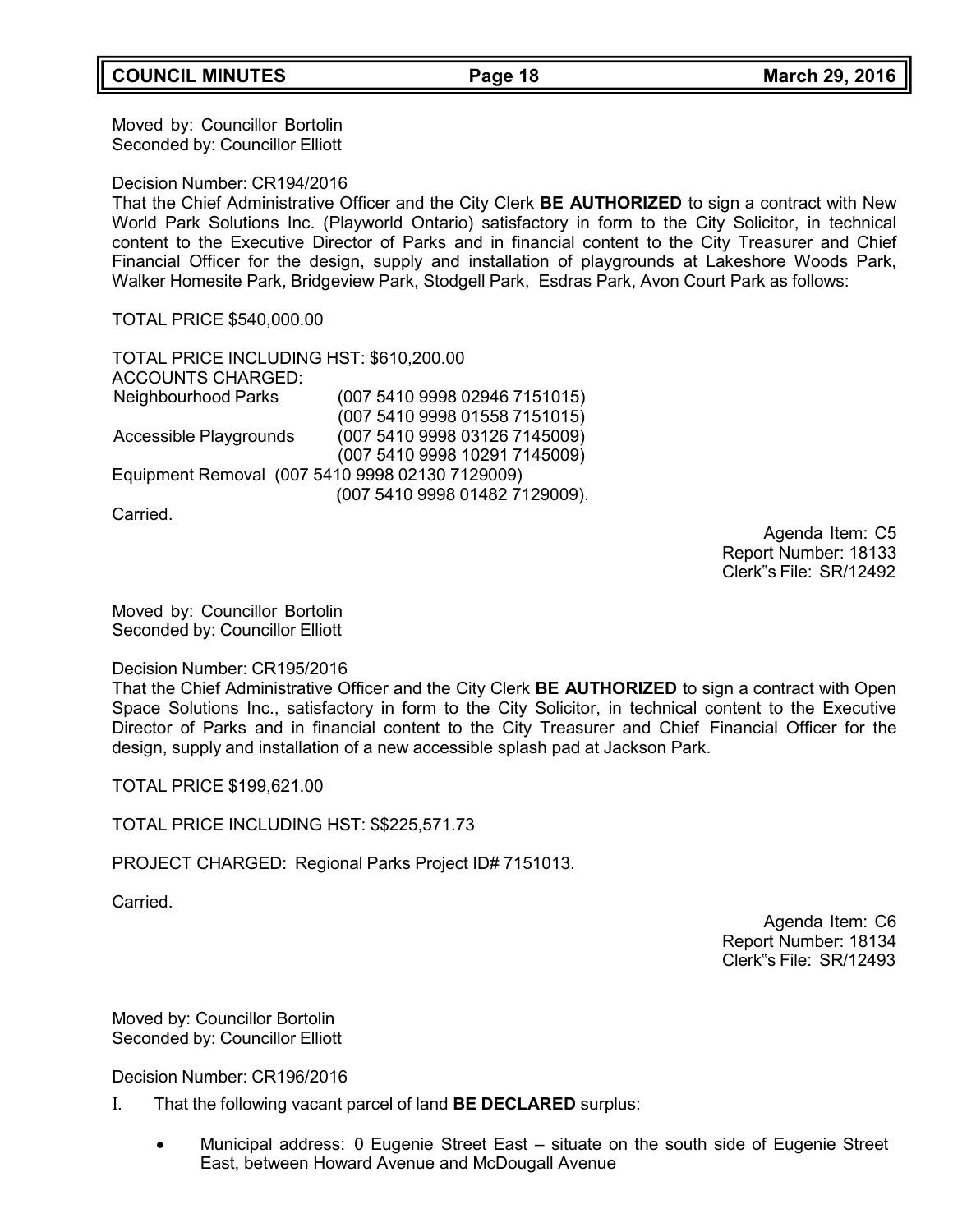Moved by: Councillor Bortolin Seconded by: Councillor Elliott

Decision Number: CR194/2016

That the Chief Administrative Officer and the City Clerk **BE AUTHORIZED** to sign a contract with New World Park Solutions Inc. (Playworld Ontario) satisfactory in form to the City Solicitor, in technical content to the Executive Director of Parks and in financial content to the City Treasurer and Chief Financial Officer for the design, supply and installation of playgrounds at Lakeshore Woods Park, Walker Homesite Park, Bridgeview Park, Stodgell Park, Esdras Park, Avon Court Park as follows:

TOTAL PRICE \$540,000.00

TOTAL PRICE INCLUDING HST: \$610,200.00 ACCOUNTS CHARGED: Neighbourhood Parks (007 5410 9998 02946 7151015) (007 5410 9998 01558 7151015) Accessible Playgrounds (007 5410 9998 03126 7145009) (007 5410 9998 10291 7145009) Equipment Removal (007 5410 9998 02130 7129009) (007 5410 9998 01482 7129009).

Carried.

Agenda Item: C5 Report Number: 18133 Clerk"s File: SR/12492

Moved by: Councillor Bortolin Seconded by: Councillor Elliott

#### Decision Number: CR195/2016

That the Chief Administrative Officer and the City Clerk **BE AUTHORIZED** to sign a contract with Open Space Solutions Inc., satisfactory in form to the City Solicitor, in technical content to the Executive Director of Parks and in financial content to the City Treasurer and Chief Financial Officer for the design, supply and installation of a new accessible splash pad at Jackson Park.

TOTAL PRICE \$199,621.00

TOTAL PRICE INCLUDING HST: \$\$225,571.73

PROJECT CHARGED: Regional Parks Project ID# 7151013.

Carried.

Agenda Item: C6 Report Number: 18134 Clerk"s File: SR/12493

Moved by: Councillor Bortolin Seconded by: Councillor Elliott

Decision Number: CR196/2016

- I. That the following vacant parcel of land **BE DECLARED** surplus:
	- Municipal address: 0 Eugenie Street East situate on the south side of Eugenie Street East, between Howard Avenue and McDougall Avenue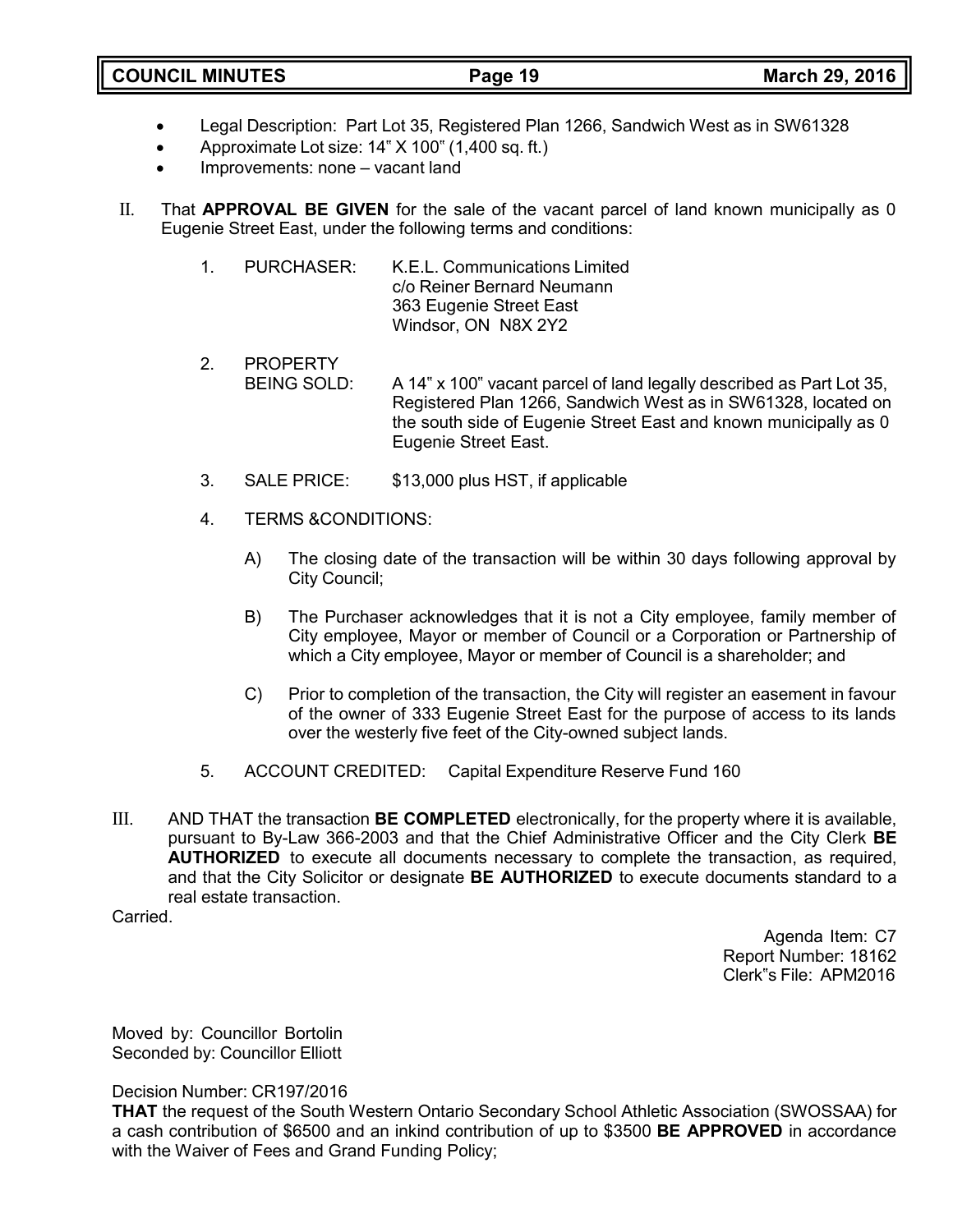- Legal Description: Part Lot 35, Registered Plan 1266, Sandwich West as in SW61328
- Approximate Lot size: 14" X 100" (1,400 sq. ft.)
- Improvements: none vacant land
- II. That **APPROVAL BE GIVEN** for the sale of the vacant parcel of land known municipally as 0 Eugenie Street East, under the following terms and conditions:
	- 1. PURCHASER: K.E.L. Communications Limited c/o Reiner Bernard Neumann 363 Eugenie Street East Windsor, ON N8X 2Y2
	- 2. PROPERTY BEING SOLD: A 14" x 100" vacant parcel of land legally described as Part Lot 35, Registered Plan 1266, Sandwich West as in SW61328, located on the south side of Eugenie Street East and known municipally as 0 Eugenie Street East.
	- 3. SALE PRICE: \$13,000 plus HST, if applicable
	- 4. TERMS &CONDITIONS:
		- A) The closing date of the transaction will be within 30 days following approval by City Council;
		- B) The Purchaser acknowledges that it is not a City employee, family member of City employee, Mayor or member of Council or a Corporation or Partnership of which a City employee, Mayor or member of Council is a shareholder; and
		- C) Prior to completion of the transaction, the City will register an easement in favour of the owner of 333 Eugenie Street East for the purpose of access to its lands over the westerly five feet of the City-owned subject lands.
	- 5. ACCOUNT CREDITED: Capital Expenditure Reserve Fund 160
- III. AND THAT the transaction **BE COMPLETED** electronically, for the property where it is available, pursuant to By-Law 366-2003 and that the Chief Administrative Officer and the City Clerk **BE AUTHORIZED** to execute all documents necessary to complete the transaction, as required, and that the City Solicitor or designate **BE AUTHORIZED** to execute documents standard to a real estate transaction.

Carried.

Agenda Item: C7 Report Number: 18162 Clerk"s File: APM2016

Moved by: Councillor Bortolin Seconded by: Councillor Elliott

Decision Number: CR197/2016

**THAT** the request of the South Western Ontario Secondary School Athletic Association (SWOSSAA) for a cash contribution of \$6500 and an inkind contribution of up to \$3500 **BE APPROVED** in accordance with the Waiver of Fees and Grand Funding Policy;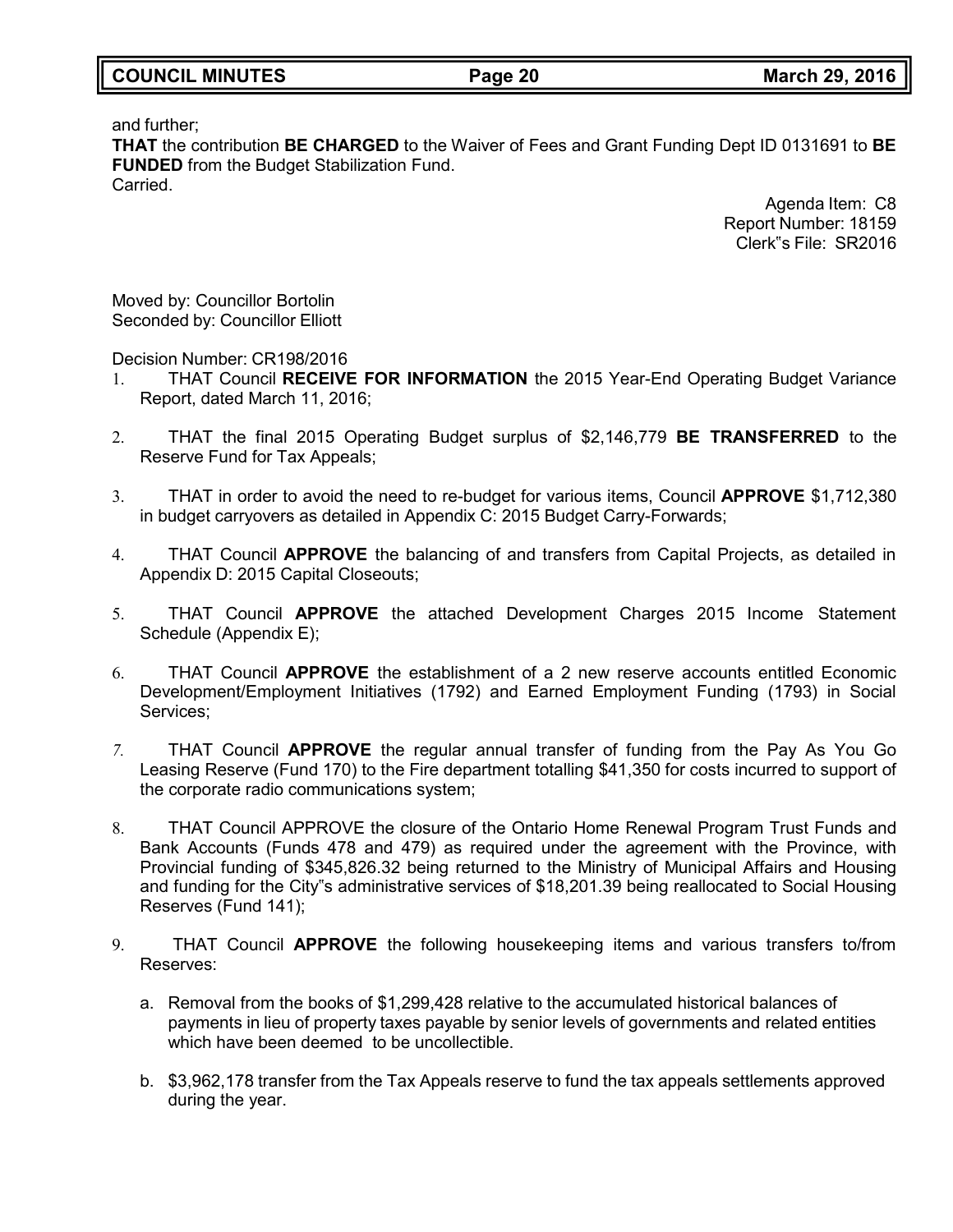| <b>COUNCIL MINUTES</b> | Page 20 | <b>March 29, 2016</b> |
|------------------------|---------|-----------------------|
|                        |         |                       |

and further;

**THAT** the contribution **BE CHARGED** to the Waiver of Fees and Grant Funding Dept ID 0131691 to **BE FUNDED** from the Budget Stabilization Fund. **Carried** 

> Agenda Item: C8 Report Number: 18159 Clerk"s File: SR2016

Moved by: Councillor Bortolin Seconded by: Councillor Elliott

Decision Number: CR198/2016

- 1. THAT Council **RECEIVE FOR INFORMATION** the 2015 Year-End Operating Budget Variance Report, dated March 11, 2016;
- 2. THAT the final 2015 Operating Budget surplus of \$2,146,779 **BE TRANSFERRED** to the Reserve Fund for Tax Appeals;
- 3. THAT in order to avoid the need to re-budget for various items, Council **APPROVE** \$1,712,380 in budget carryovers as detailed in Appendix C: 2015 Budget Carry-Forwards;
- 4. THAT Council **APPROVE** the balancing of and transfers from Capital Projects, as detailed in Appendix D: 2015 Capital Closeouts;
- 5. THAT Council **APPROVE** the attached Development Charges 2015 Income Statement Schedule (Appendix E);
- 6. THAT Council **APPROVE** the establishment of a 2 new reserve accounts entitled Economic Development/Employment Initiatives (1792) and Earned Employment Funding (1793) in Social Services;
- *7.* THAT Council **APPROVE** the regular annual transfer of funding from the Pay As You Go Leasing Reserve (Fund 170) to the Fire department totalling \$41,350 for costs incurred to support of the corporate radio communications system;
- 8. THAT Council APPROVE the closure of the Ontario Home Renewal Program Trust Funds and Bank Accounts (Funds 478 and 479) as required under the agreement with the Province, with Provincial funding of \$345,826.32 being returned to the Ministry of Municipal Affairs and Housing and funding for the City"s administrative services of \$18,201.39 being reallocated to Social Housing Reserves (Fund 141);
- 9. THAT Council **APPROVE** the following housekeeping items and various transfers to/from Reserves:
	- a. Removal from the books of \$1,299,428 relative to the accumulated historical balances of payments in lieu of property taxes payable by senior levels of governments and related entities which have been deemed to be uncollectible.
	- b. \$3,962,178 transfer from the Tax Appeals reserve to fund the tax appeals settlements approved during the year.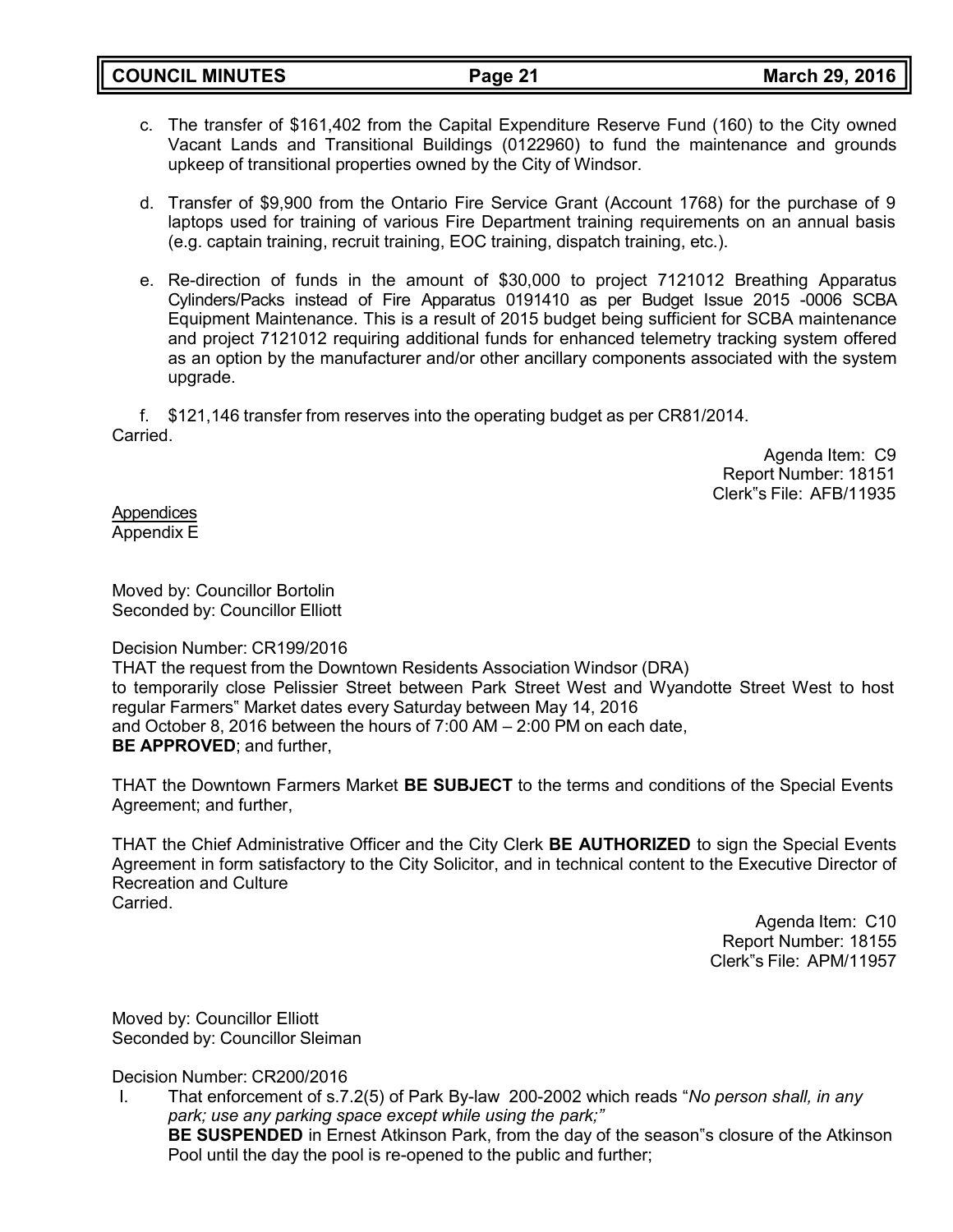- c. The transfer of \$161,402 from the Capital Expenditure Reserve Fund (160) to the City owned Vacant Lands and Transitional Buildings (0122960) to fund the maintenance and grounds upkeep of transitional properties owned by the City of Windsor.
- d. Transfer of \$9,900 from the Ontario Fire Service Grant (Account 1768) for the purchase of 9 laptops used for training of various Fire Department training requirements on an annual basis (e.g. captain training, recruit training, EOC training, dispatch training, etc.).
- e. Re-direction of funds in the amount of \$30,000 to project 7121012 Breathing Apparatus Cylinders/Packs instead of Fire Apparatus 0191410 as per Budget Issue 2015 -0006 SCBA Equipment Maintenance. This is a result of 2015 budget being sufficient for SCBA maintenance and project 7121012 requiring additional funds for enhanced telemetry tracking system offered as an option by the manufacturer and/or other ancillary components associated with the system upgrade.

f. \$121,146 transfer from reserves into the operating budget as per CR81/2014. **Carried** 

> Agenda Item: C9 Report Number: 18151 Clerk"s File: AFB/11935

**Appendices** Appendix E

Moved by: Councillor Bortolin Seconded by: Councillor Elliott

#### Decision Number: CR199/2016

THAT the request from the Downtown Residents Association Windsor (DRA) to temporarily close Pelissier Street between Park Street West and Wyandotte Street West to host regular Farmers" Market dates every Saturday between May 14, 2016 and October 8, 2016 between the hours of 7:00 AM – 2:00 PM on each date, **BE APPROVED**; and further,

THAT the Downtown Farmers Market **BE SUBJECT** to the terms and conditions of the Special Events Agreement; and further,

THAT the Chief Administrative Officer and the City Clerk **BE AUTHORIZED** to sign the Special Events Agreement in form satisfactory to the City Solicitor, and in technical content to the Executive Director of Recreation and Culture Carried.

> Agenda Item: C10 Report Number: 18155 Clerk"s File: APM/11957

Moved by: Councillor Elliott Seconded by: Councillor Sleiman

Decision Number: CR200/2016

I. That enforcement of s.7.2(5) of Park By-law 200-2002 which reads "*No person shall, in any park; use any parking space except while using the park;"* **BE SUSPENDED** in Ernest Atkinson Park, from the day of the season"s closure of the Atkinson Pool until the day the pool is re-opened to the public and further;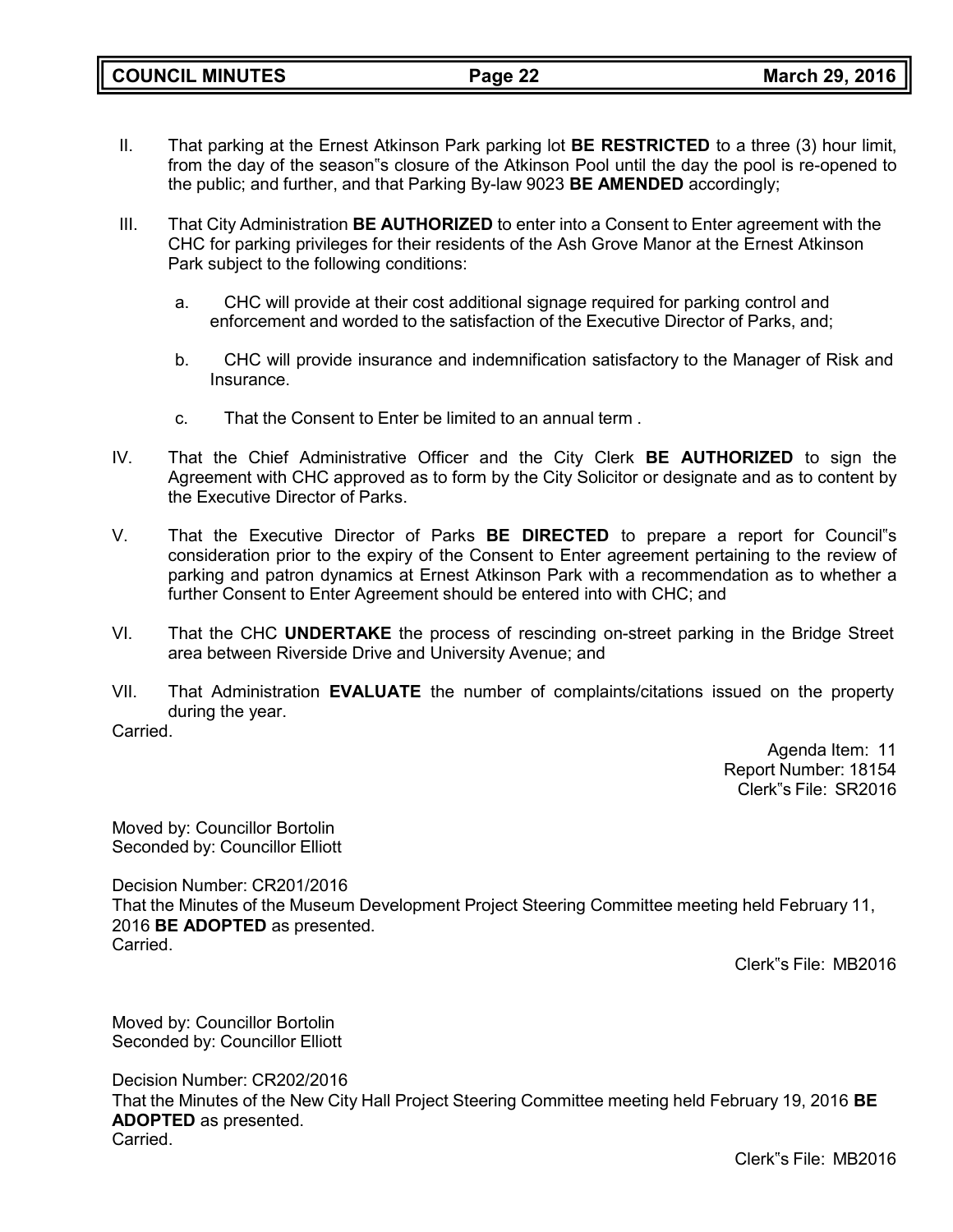- II. That parking at the Ernest Atkinson Park parking lot **BE RESTRICTED** to a three (3) hour limit, from the day of the season"s closure of the Atkinson Pool until the day the pool is re-opened to the public; and further, and that Parking By-law 9023 **BE AMENDED** accordingly;
- III. That City Administration **BE AUTHORIZED** to enter into a Consent to Enter agreement with the CHC for parking privileges for their residents of the Ash Grove Manor at the Ernest Atkinson Park subject to the following conditions:
	- a. CHC will provide at their cost additional signage required for parking control and enforcement and worded to the satisfaction of the Executive Director of Parks, and;
	- b. CHC will provide insurance and indemnification satisfactory to the Manager of Risk and Insurance.
	- c. That the Consent to Enter be limited to an annual term .
- IV. That the Chief Administrative Officer and the City Clerk **BE AUTHORIZED** to sign the Agreement with CHC approved as to form by the City Solicitor or designate and as to content by the Executive Director of Parks.
- V. That the Executive Director of Parks **BE DIRECTED** to prepare a report for Council"s consideration prior to the expiry of the Consent to Enter agreement pertaining to the review of parking and patron dynamics at Ernest Atkinson Park with a recommendation as to whether a further Consent to Enter Agreement should be entered into with CHC; and
- VI. That the CHC **UNDERTAKE** the process of rescinding on-street parking in the Bridge Street area between Riverside Drive and University Avenue; and
- VII. That Administration **EVALUATE** the number of complaints/citations issued on the property during the year.

Carried.

Agenda Item: 11 Report Number: 18154 Clerk"s File: SR2016

Moved by: Councillor Bortolin Seconded by: Councillor Elliott

Decision Number: CR201/2016 That the Minutes of the Museum Development Project Steering Committee meeting held February 11, 2016 **BE ADOPTED** as presented. Carried.

Clerk"s File: MB2016

Moved by: Councillor Bortolin Seconded by: Councillor Elliott

Decision Number: CR202/2016 That the Minutes of the New City Hall Project Steering Committee meeting held February 19, 2016 **BE ADOPTED** as presented. Carried.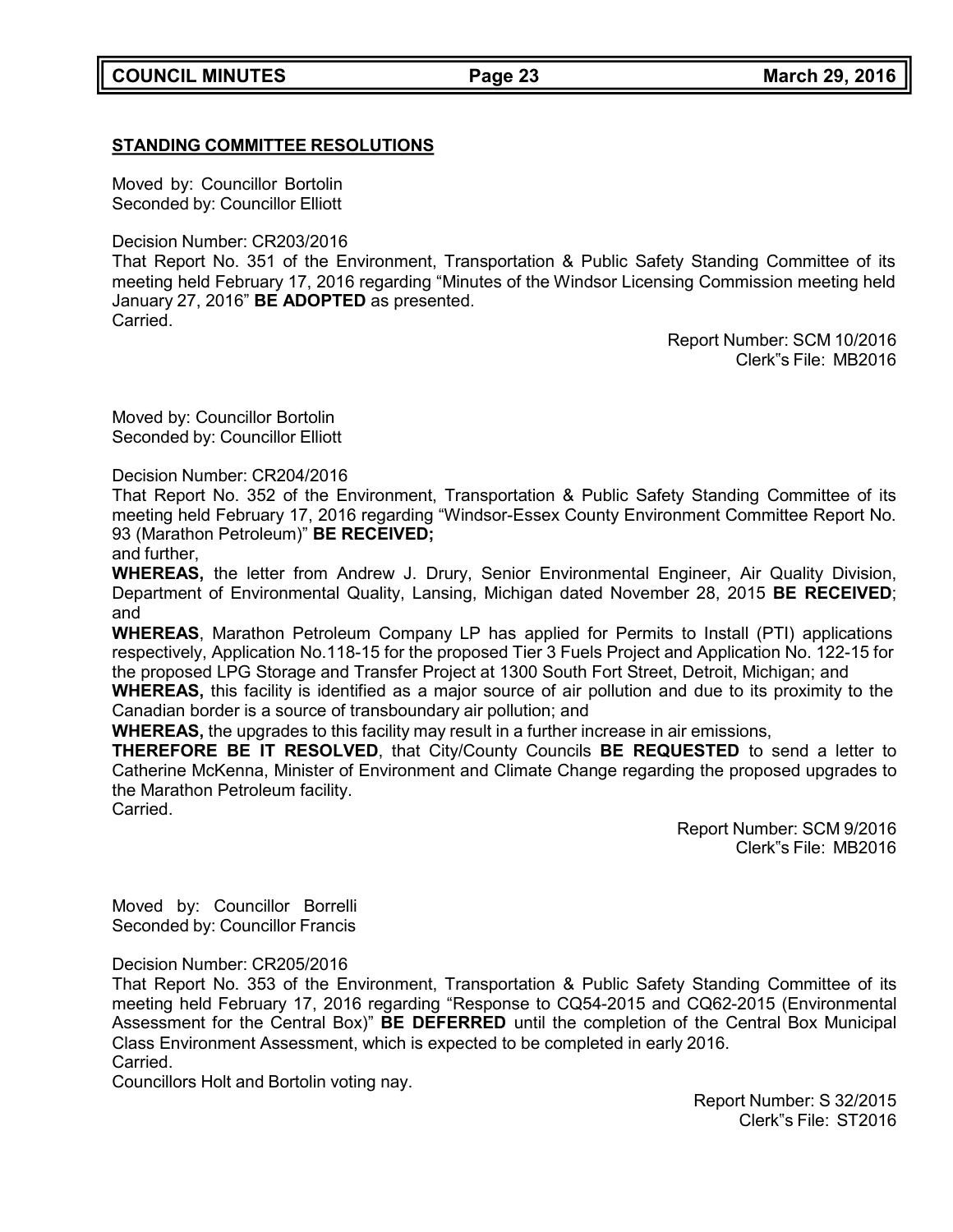# **STANDING COMMITTEE RESOLUTIONS**

Moved by: Councillor Bortolin Seconded by: Councillor Elliott

Decision Number: CR203/2016

That Report No. 351 of the Environment, Transportation & Public Safety Standing Committee of its meeting held February 17, 2016 regarding "Minutes of the Windsor Licensing Commission meeting held January 27, 2016" **BE ADOPTED** as presented.

Carried.

Report Number: SCM 10/2016 Clerk"s File: MB2016

Moved by: Councillor Bortolin Seconded by: Councillor Elliott

Decision Number: CR204/2016

That Report No. 352 of the Environment, Transportation & Public Safety Standing Committee of its meeting held February 17, 2016 regarding "Windsor-Essex County Environment Committee Report No. 93 (Marathon Petroleum)" **BE RECEIVED;**

and further,

**WHEREAS,** the letter from Andrew J. Drury, Senior Environmental Engineer, Air Quality Division, Department of Environmental Quality, Lansing, Michigan dated November 28, 2015 **BE RECEIVED**; and

**WHEREAS**, Marathon Petroleum Company LP has applied for Permits to Install (PTI) applications respectively, Application No.118-15 for the proposed Tier 3 Fuels Project and Application No. 122-15 for the proposed LPG Storage and Transfer Project at 1300 South Fort Street, Detroit, Michigan; and **WHEREAS,** this facility is identified as a major source of air pollution and due to its proximity to the

Canadian border is a source of transboundary air pollution; and

**WHEREAS,** the upgrades to this facility may result in a further increase in air emissions,

**THEREFORE BE IT RESOLVED**, that City/County Councils **BE REQUESTED** to send a letter to Catherine McKenna, Minister of Environment and Climate Change regarding the proposed upgrades to the Marathon Petroleum facility. Carried.

> Report Number: SCM 9/2016 Clerk"s File: MB2016

Moved by: Councillor Borrelli Seconded by: Councillor Francis

Decision Number: CR205/2016

That Report No. 353 of the Environment, Transportation & Public Safety Standing Committee of its meeting held February 17, 2016 regarding "Response to CQ54-2015 and CQ62-2015 (Environmental Assessment for the Central Box)" **BE DEFERRED** until the completion of the Central Box Municipal Class Environment Assessment, which is expected to be completed in early 2016. Carried.

Councillors Holt and Bortolin voting nay.

Report Number: S 32/2015 Clerk"s File: ST2016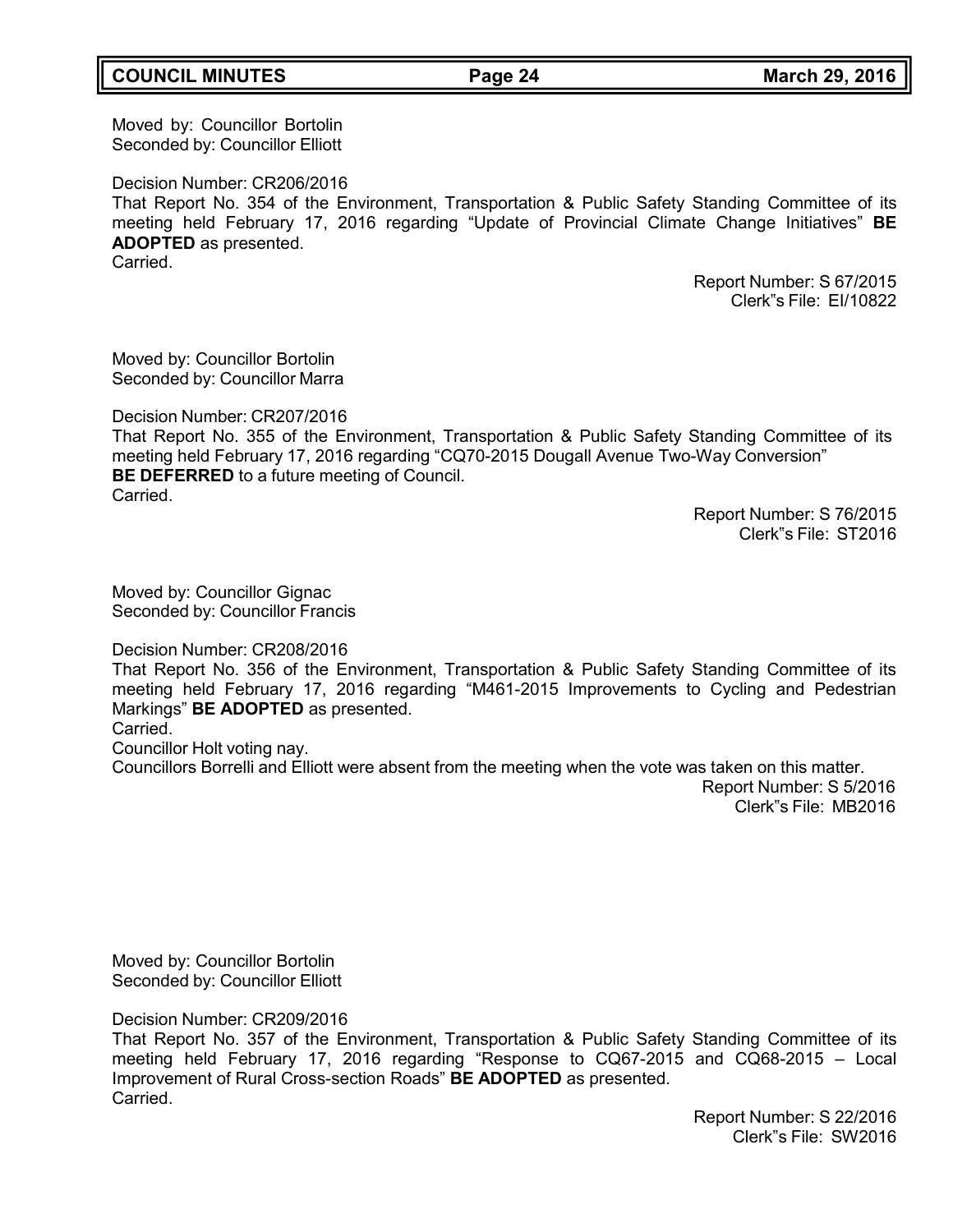# **COUNCIL MINUTES Page 24 March 29, 2016**

Moved by: Councillor Bortolin Seconded by: Councillor Elliott

Decision Number: CR206/2016

That Report No. 354 of the Environment, Transportation & Public Safety Standing Committee of its meeting held February 17, 2016 regarding "Update of Provincial Climate Change Initiatives" **BE ADOPTED** as presented. Carried.

> Report Number: S 67/2015 Clerk"s File: EI/10822

Moved by: Councillor Bortolin Seconded by: Councillor Marra

Decision Number: CR207/2016

That Report No. 355 of the Environment, Transportation & Public Safety Standing Committee of its meeting held February 17, 2016 regarding "CQ70-2015 Dougall Avenue Two-Way Conversion" **BE DEFERRED** to a future meeting of Council. Carried.

Report Number: S 76/2015 Clerk"s File: ST2016

Moved by: Councillor Gignac Seconded by: Councillor Francis

Decision Number: CR208/2016

That Report No. 356 of the Environment, Transportation & Public Safety Standing Committee of its meeting held February 17, 2016 regarding "M461-2015 Improvements to Cycling and Pedestrian Markings" **BE ADOPTED** as presented.

#### Carried.

Councillor Holt voting nay.

Councillors Borrelli and Elliott were absent from the meeting when the vote was taken on this matter. Report Number: S 5/2016 Clerk"s File: MB2016

Moved by: Councillor Bortolin

Decision Number: CR209/2016

Seconded by: Councillor Elliott

That Report No. 357 of the Environment, Transportation & Public Safety Standing Committee of its meeting held February 17, 2016 regarding "Response to CQ67-2015 and CQ68-2015 – Local Improvement of Rural Cross-section Roads" **BE ADOPTED** as presented. **Carried**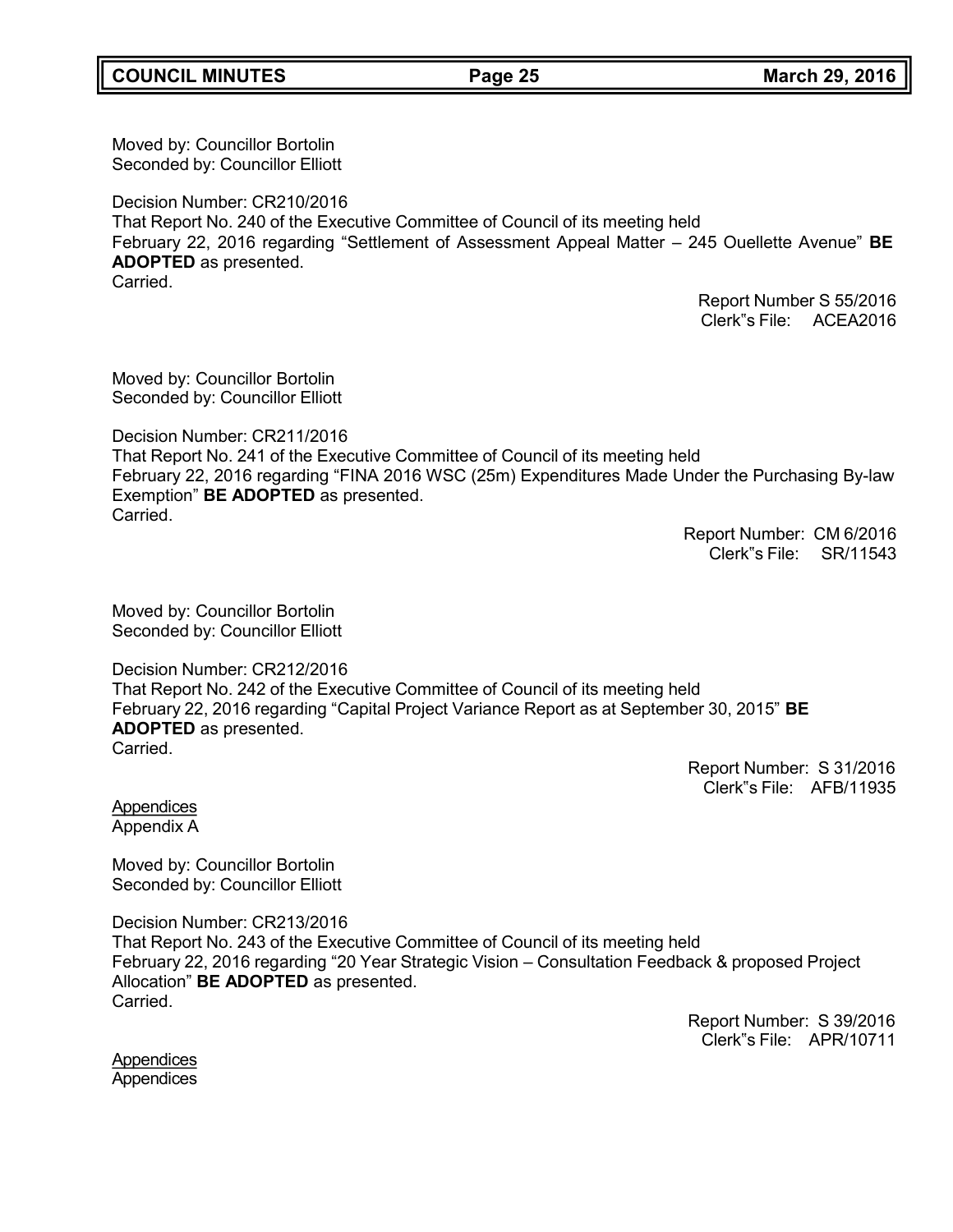Moved by: Councillor Bortolin Seconded by: Councillor Elliott

Decision Number: CR210/2016 That Report No. 240 of the Executive Committee of Council of its meeting held February 22, 2016 regarding "Settlement of Assessment Appeal Matter – 245 Ouellette Avenue" **BE ADOPTED** as presented. Carried.

> Report Number S 55/2016 Clerk"s File: ACEA2016

Moved by: Councillor Bortolin Seconded by: Councillor Elliott

Decision Number: CR211/2016 That Report No. 241 of the Executive Committee of Council of its meeting held February 22, 2016 regarding "FINA 2016 WSC (25m) Expenditures Made Under the Purchasing By-law Exemption" **BE ADOPTED** as presented. **Carried** 

Report Number: CM 6/2016 Clerk"s File: SR/11543

Moved by: Councillor Bortolin Seconded by: Councillor Elliott

Decision Number: CR212/2016 That Report No. 242 of the Executive Committee of Council of its meeting held February 22, 2016 regarding "Capital Project Variance Report as at September 30, 2015" **BE ADOPTED** as presented. **Carried** 

> Report Number: S 31/2016 Clerk"s File: AFB/11935

Appendices Appendix A

Moved by: Councillor Bortolin Seconded by: Councillor Elliott

Decision Number: CR213/2016 That Report No. 243 of the Executive Committee of Council of its meeting held February 22, 2016 regarding "20 Year Strategic Vision – Consultation Feedback & proposed Project Allocation" **BE ADOPTED** as presented. Carried.

> Report Number: S 39/2016 Clerk"s File: APR/10711

**Appendices Appendices**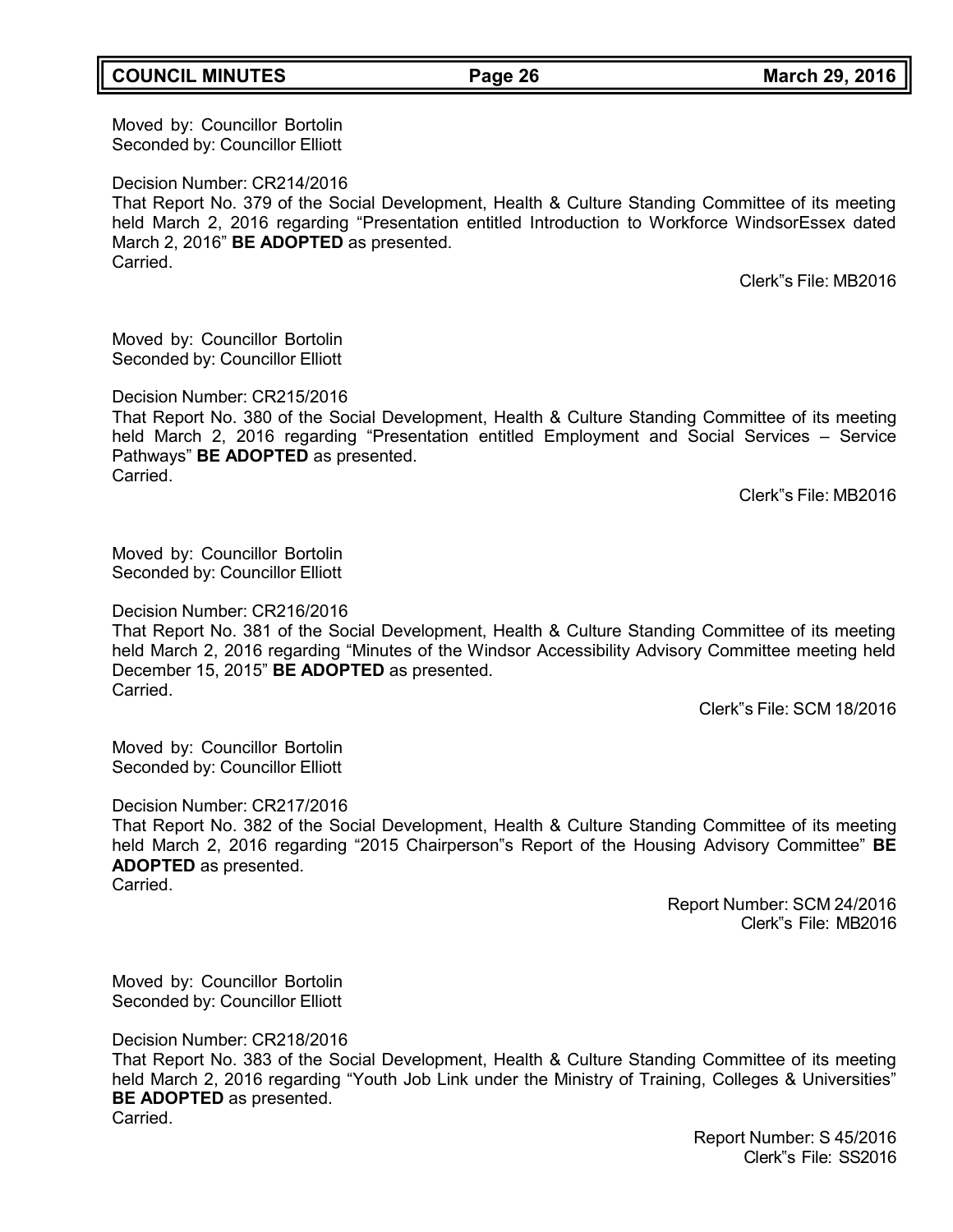### **COUNCIL MINUTES Page 26 March 29, 2016**

Moved by: Councillor Bortolin Seconded by: Councillor Elliott

Decision Number: CR214/2016

That Report No. 379 of the Social Development, Health & Culture Standing Committee of its meeting held March 2, 2016 regarding "Presentation entitled Introduction to Workforce WindsorEssex dated March 2, 2016" **BE ADOPTED** as presented. Carried.

Clerk"s File: MB2016

Moved by: Councillor Bortolin Seconded by: Councillor Elliott

Decision Number: CR215/2016

That Report No. 380 of the Social Development, Health & Culture Standing Committee of its meeting held March 2, 2016 regarding "Presentation entitled Employment and Social Services – Service Pathways" **BE ADOPTED** as presented. Carried.

Clerk"s File: MB2016

Moved by: Councillor Bortolin Seconded by: Councillor Elliott

Decision Number: CR216/2016

That Report No. 381 of the Social Development, Health & Culture Standing Committee of its meeting held March 2, 2016 regarding "Minutes of the Windsor Accessibility Advisory Committee meeting held December 15, 2015" **BE ADOPTED** as presented. **Carried** 

Clerk"s File: SCM 18/2016

Moved by: Councillor Bortolin Seconded by: Councillor Elliott

Decision Number: CR217/2016

That Report No. 382 of the Social Development, Health & Culture Standing Committee of its meeting held March 2, 2016 regarding "2015 Chairperson"s Report of the Housing Advisory Committee" **BE ADOPTED** as presented.

Carried.

Report Number: SCM 24/2016 Clerk"s File: MB2016

Moved by: Councillor Bortolin Seconded by: Councillor Elliott

Decision Number: CR218/2016

That Report No. 383 of the Social Development, Health & Culture Standing Committee of its meeting held March 2, 2016 regarding "Youth Job Link under the Ministry of Training, Colleges & Universities" **BE ADOPTED** as presented. Carried.

> Report Number: S 45/2016 Clerk"s File: SS2016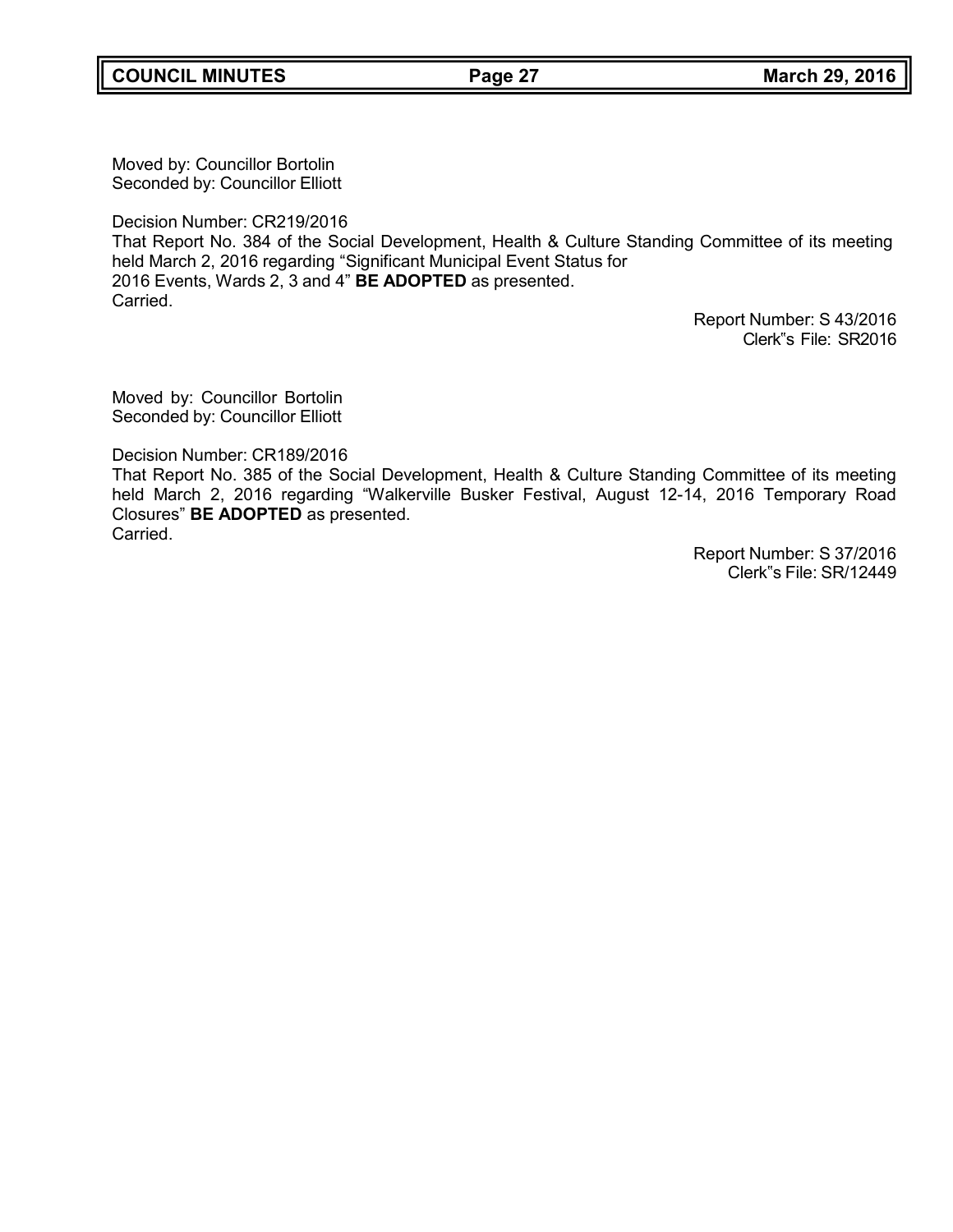Moved by: Councillor Bortolin Seconded by: Councillor Elliott

Decision Number: CR219/2016

That Report No. 384 of the Social Development, Health & Culture Standing Committee of its meeting held March 2, 2016 regarding "Significant Municipal Event Status for 2016 Events, Wards 2, 3 and 4" **BE ADOPTED** as presented. Carried.

Report Number: S 43/2016 Clerk"s File: SR2016

Moved by: Councillor Bortolin Seconded by: Councillor Elliott

Decision Number: CR189/2016

That Report No. 385 of the Social Development, Health & Culture Standing Committee of its meeting held March 2, 2016 regarding "Walkerville Busker Festival, August 12-14, 2016 Temporary Road Closures" **BE ADOPTED** as presented. Carried.

> Report Number: S 37/2016 Clerk"s File: SR/12449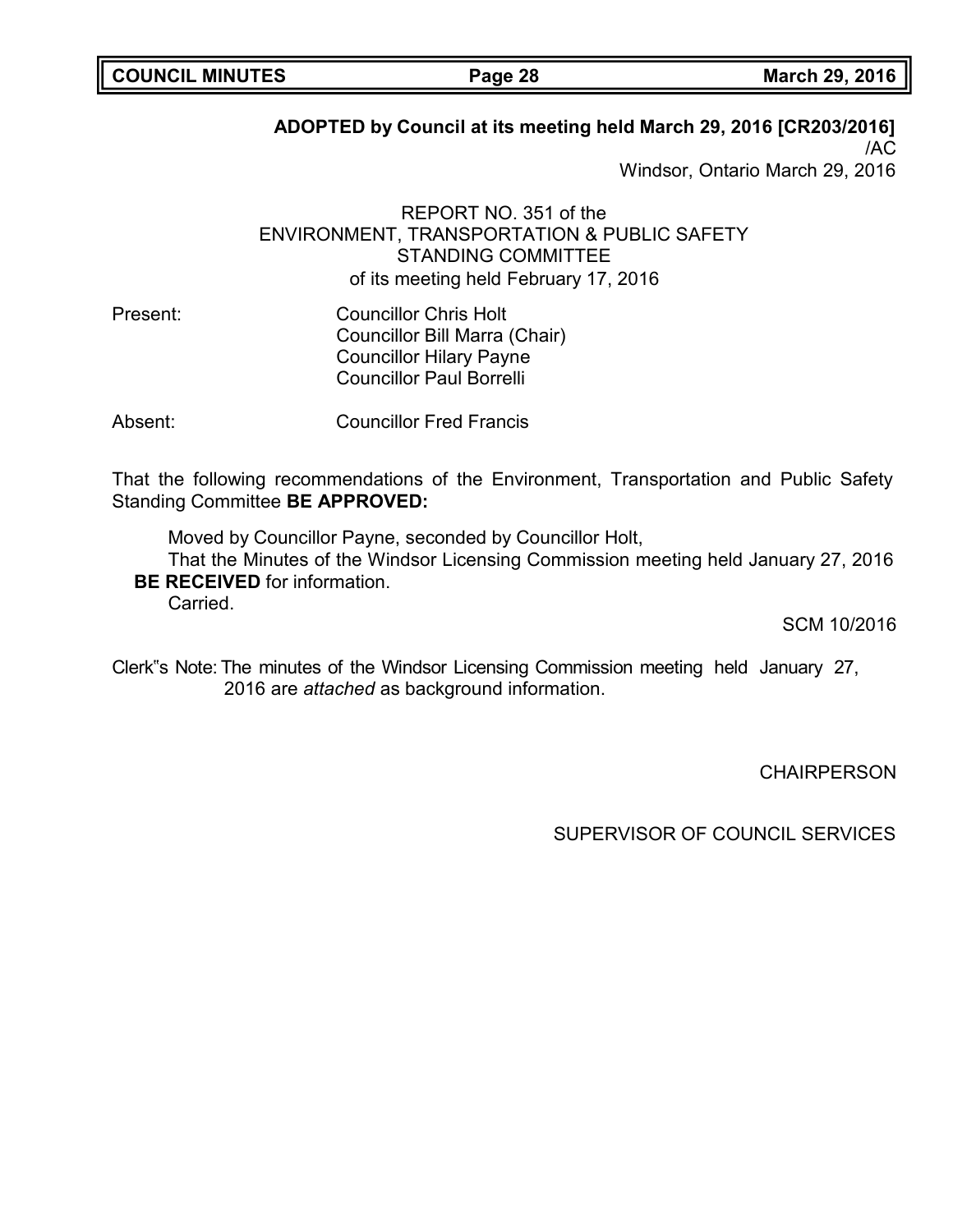# **ADOPTED by Council at its meeting held March 29, 2016 [CR203/2016]**

/AC Windsor, Ontario March 29, 2016

REPORT NO. 351 of the ENVIRONMENT, TRANSPORTATION & PUBLIC SAFETY STANDING COMMITTEE of its meeting held February 17, 2016

Present: Councillor Chris Holt Councillor Bill Marra (Chair) Councillor Hilary Payne Councillor Paul Borrelli

Absent: Councillor Fred Francis

That the following recommendations of the Environment, Transportation and Public Safety Standing Committee **BE APPROVED:**

Moved by Councillor Payne, seconded by Councillor Holt, That the Minutes of the Windsor Licensing Commission meeting held January 27, 2016 **BE RECEIVED** for information. **Carried** 

SCM 10/2016

Clerk"s Note: The minutes of the Windsor Licensing Commission meeting held January 27, 2016 are *attached* as background information.

**CHAIRPERSON** 

SUPERVISOR OF COUNCIL SERVICES

**COUNCIL MINUTES Page 28 March 29, 2016**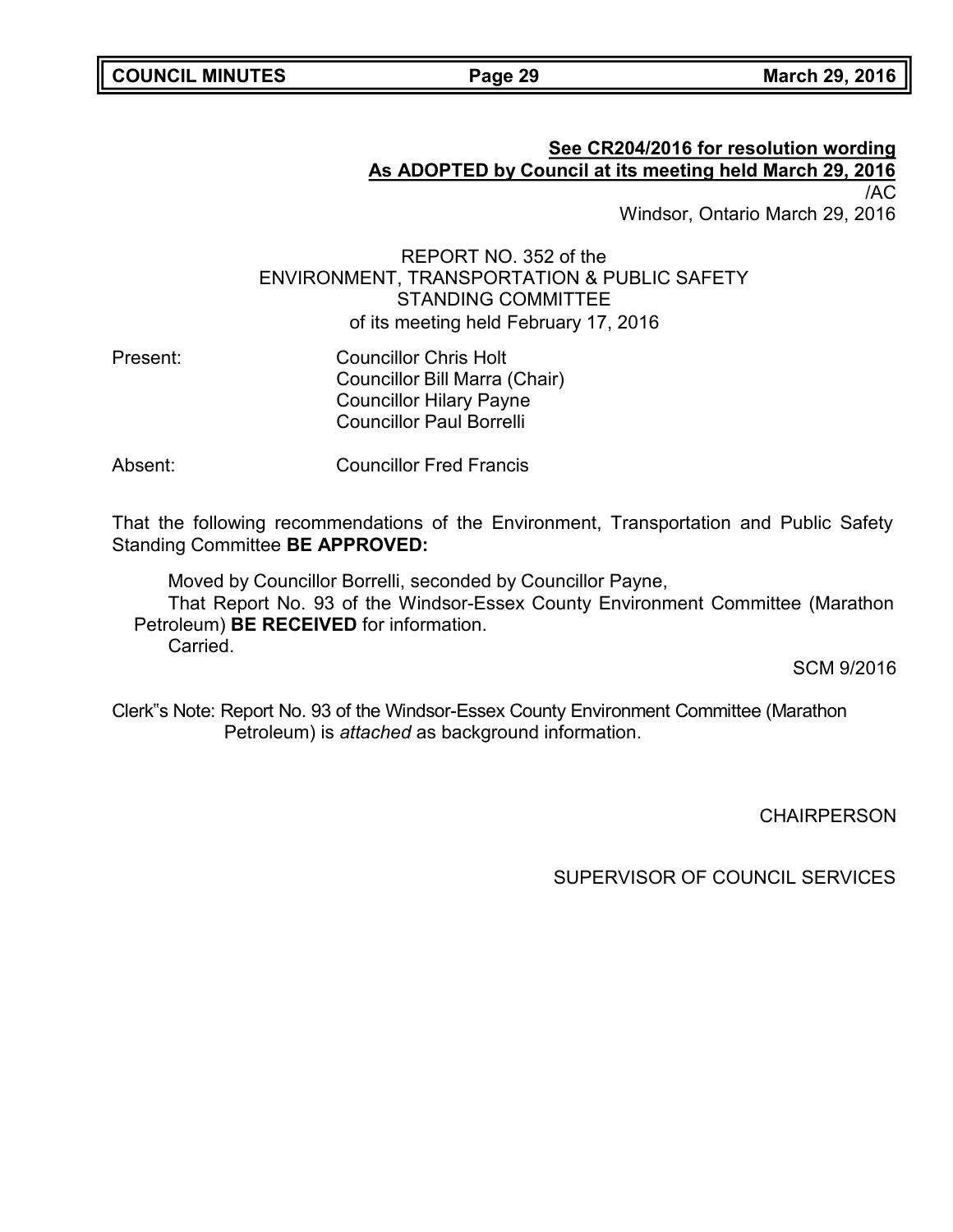# **See CR204/2016 for resolution wording As ADOPTED by Council at its meeting held March 29, 2016** /AC

Windsor, Ontario March 29, 2016

REPORT NO. 352 of the ENVIRONMENT, TRANSPORTATION & PUBLIC SAFETY STANDING COMMITTEE of its meeting held February 17, 2016

Present: Councillor Chris Holt Councillor Bill Marra (Chair) Councillor Hilary Payne Councillor Paul Borrelli

Absent: Councillor Fred Francis

That the following recommendations of the Environment, Transportation and Public Safety Standing Committee **BE APPROVED:**

Moved by Councillor Borrelli, seconded by Councillor Payne, That Report No. 93 of the Windsor-Essex County Environment Committee (Marathon Petroleum) **BE RECEIVED** for information. Carried.

SCM 9/2016

Clerk"s Note: Report No. 93 of the Windsor-Essex County Environment Committee (Marathon Petroleum) is *attached* as background information.

**CHAIRPERSON**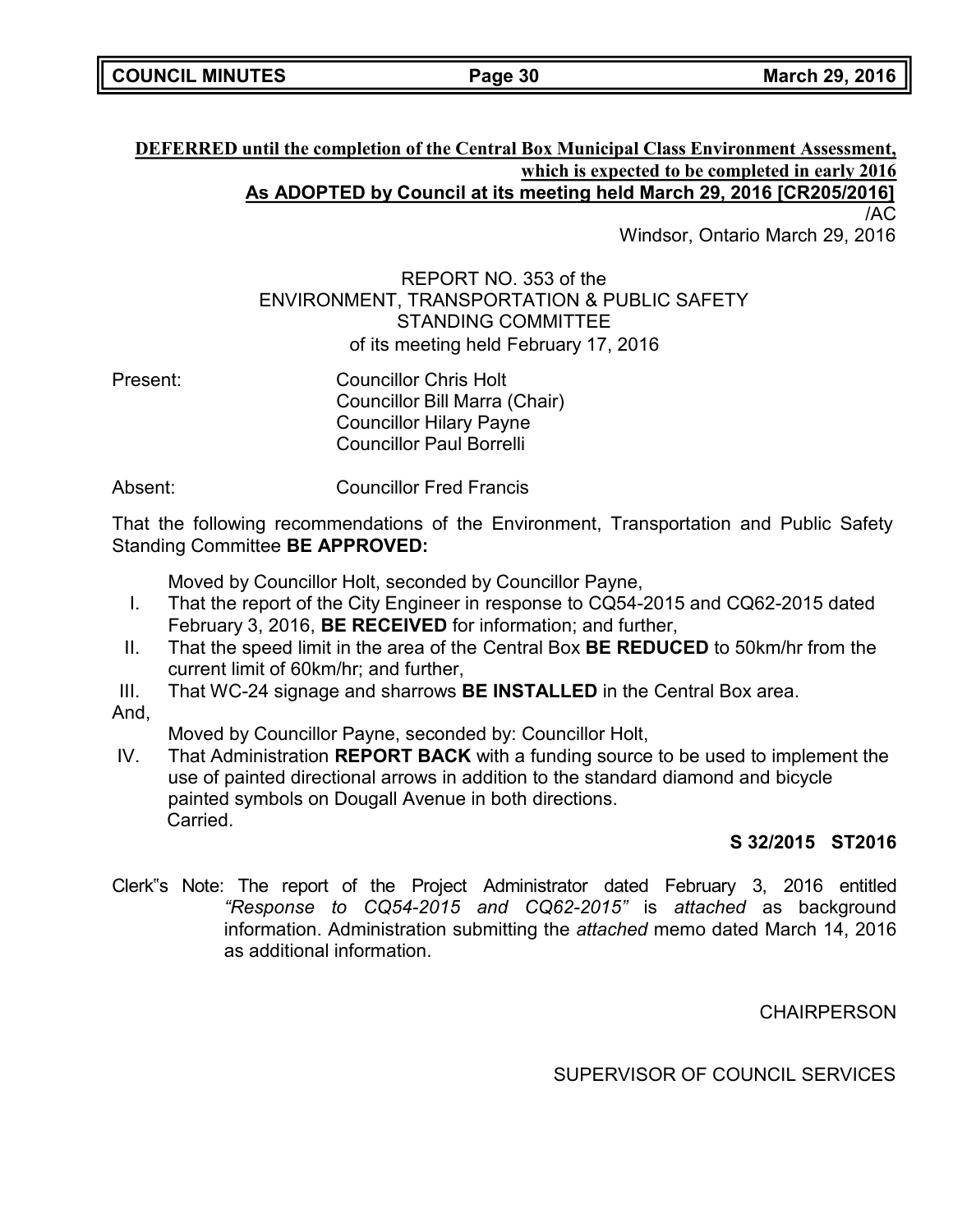### **DEFERRED until the completion of the Central Box Municipal Class Environment Assessment, which is expected to be completed in early 2016 As ADOPTED by Council at its meeting held March 29, 2016 [CR205/2016]** /AC

Windsor, Ontario March 29, 2016

# REPORT NO. 353 of the ENVIRONMENT, TRANSPORTATION & PUBLIC SAFETY STANDING COMMITTEE of its meeting held February 17, 2016

Present: Councillor Chris Holt Councillor Bill Marra (Chair) Councillor Hilary Payne Councillor Paul Borrelli

Absent: Councillor Fred Francis

That the following recommendations of the Environment, Transportation and Public Safety Standing Committee **BE APPROVED:**

Moved by Councillor Holt, seconded by Councillor Payne,

- I. That the report of the City Engineer in response to CQ54-2015 and CQ62-2015 dated February 3, 2016, **BE RECEIVED** for information; and further,
- II. That the speed limit in the area of the Central Box **BE REDUCED** to 50km/hr from the current limit of 60km/hr; and further,
- III. That WC-24 signage and sharrows **BE INSTALLED** in the Central Box area.
- And,

Moved by Councillor Payne, seconded by: Councillor Holt,

IV. That Administration **REPORT BACK** with a funding source to be used to implement the use of painted directional arrows in addition to the standard diamond and bicycle painted symbols on Dougall Avenue in both directions. Carried.

## **S 32/2015 ST2016**

Clerk"s Note: The report of the Project Administrator dated February 3, 2016 entitled *"Response to CQ54-2015 and CQ62-2015"* is *attached* as background information. Administration submitting the *attached* memo dated March 14, 2016 as additional information.

**CHAIRPERSON**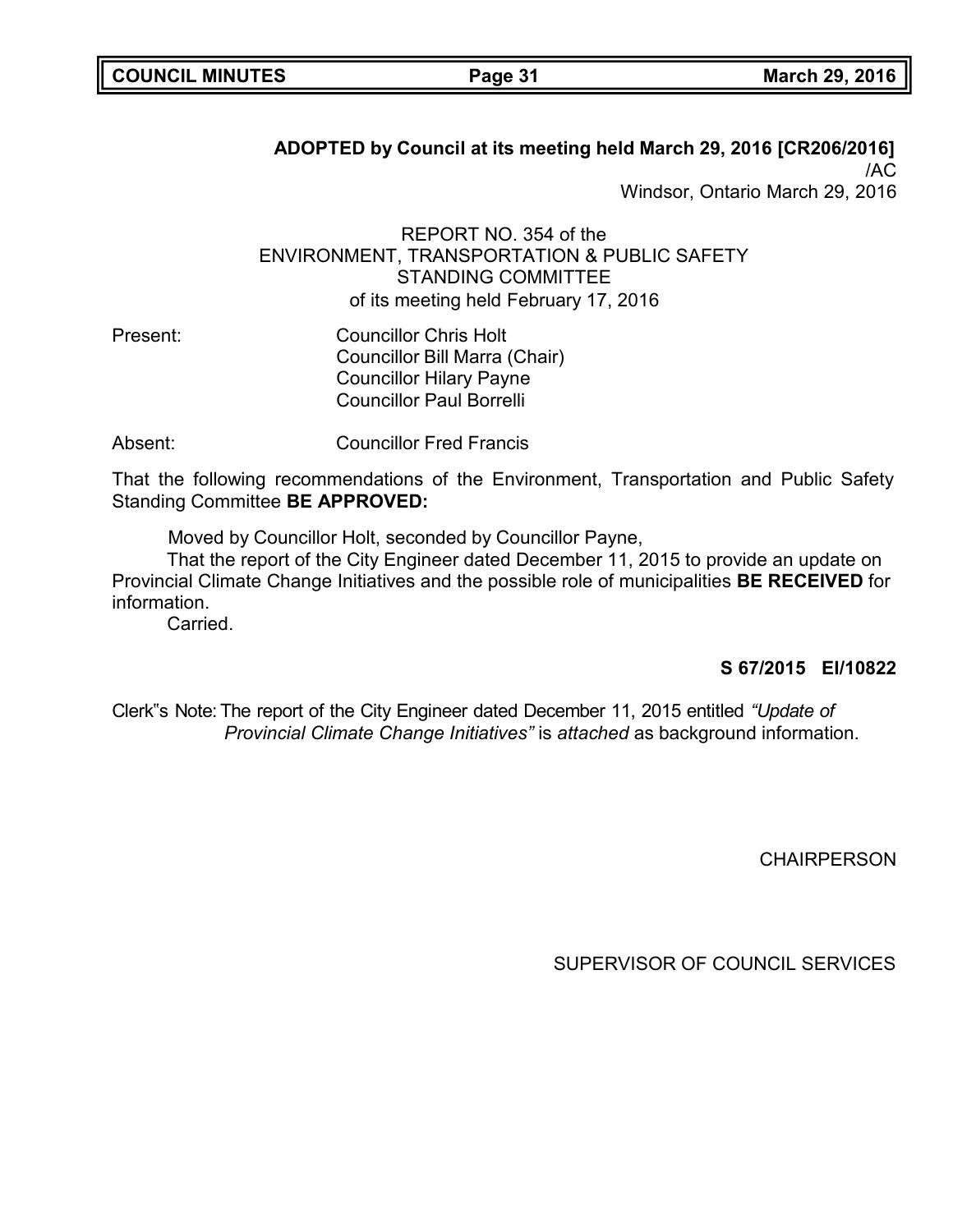| <b>COUNCIL MINUTES</b> |  |
|------------------------|--|
|------------------------|--|

**ADOPTED by Council at its meeting held March 29, 2016 [CR206/2016]** /AC

Windsor, Ontario March 29, 2016

REPORT NO. 354 of the ENVIRONMENT, TRANSPORTATION & PUBLIC SAFETY STANDING COMMITTEE of its meeting held February 17, 2016

- Present: Councillor Chris Holt Councillor Bill Marra (Chair) Councillor Hilary Payne Councillor Paul Borrelli
- Absent: Councillor Fred Francis

That the following recommendations of the Environment, Transportation and Public Safety Standing Committee **BE APPROVED:**

Moved by Councillor Holt, seconded by Councillor Payne,

That the report of the City Engineer dated December 11, 2015 to provide an update on Provincial Climate Change Initiatives and the possible role of municipalities **BE RECEIVED** for information.

Carried.

### **S 67/2015 EI/10822**

Clerk"s Note: The report of the City Engineer dated December 11, 2015 entitled *"Update of Provincial Climate Change Initiatives"* is *attached* as background information.

**CHAIRPERSON**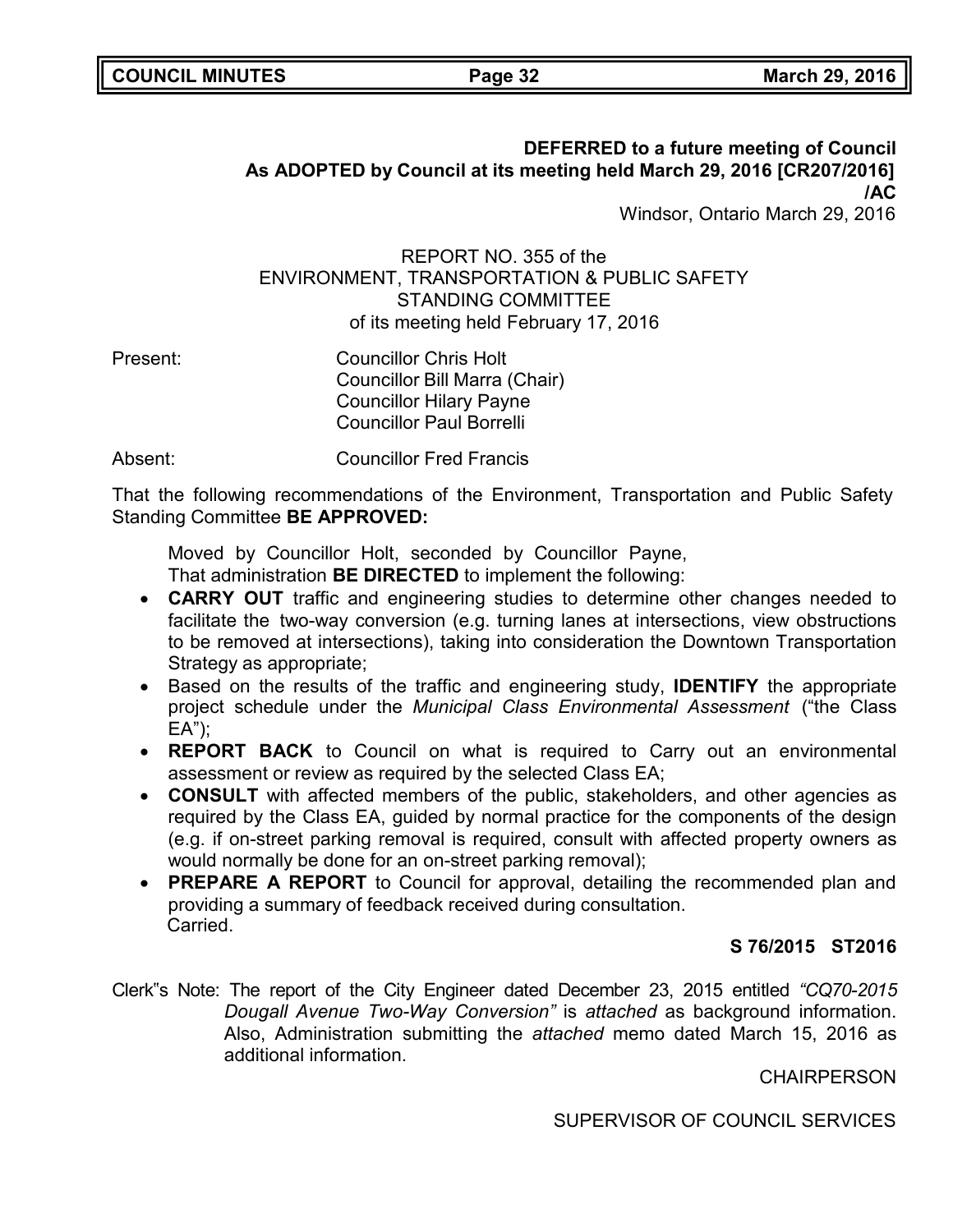### **DEFERRED to a future meeting of Council As ADOPTED by Council at its meeting held March 29, 2016 [CR207/2016] /AC** Windsor, Ontario March 29, 2016

REPORT NO. 355 of the ENVIRONMENT, TRANSPORTATION & PUBLIC SAFETY STANDING COMMITTEE of its meeting held February 17, 2016

Present: Councillor Chris Holt Councillor Bill Marra (Chair) Councillor Hilary Payne Councillor Paul Borrelli

Absent: Councillor Fred Francis

That the following recommendations of the Environment, Transportation and Public Safety Standing Committee **BE APPROVED:**

Moved by Councillor Holt, seconded by Councillor Payne,

That administration **BE DIRECTED** to implement the following:

- **CARRY OUT** traffic and engineering studies to determine other changes needed to facilitate the two-way conversion (e.g. turning lanes at intersections, view obstructions to be removed at intersections), taking into consideration the Downtown Transportation Strategy as appropriate;
- Based on the results of the traffic and engineering study, **IDENTIFY** the appropriate project schedule under the *Municipal Class Environmental Assessment* ("the Class EA");
- **REPORT BACK** to Council on what is required to Carry out an environmental assessment or review as required by the selected Class EA;
- **CONSULT** with affected members of the public, stakeholders, and other agencies as required by the Class EA, guided by normal practice for the components of the design (e.g. if on-street parking removal is required, consult with affected property owners as would normally be done for an on-street parking removal);
- **PREPARE A REPORT** to Council for approval, detailing the recommended plan and providing a summary of feedback received during consultation. Carried.

# **S 76/2015 ST2016**

Clerk"s Note: The report of the City Engineer dated December 23, 2015 entitled *"CQ70-2015 Dougall Avenue Two-Way Conversion"* is *attached* as background information. Also, Administration submitting the *attached* memo dated March 15, 2016 as additional information.

**CHAIRPERSON**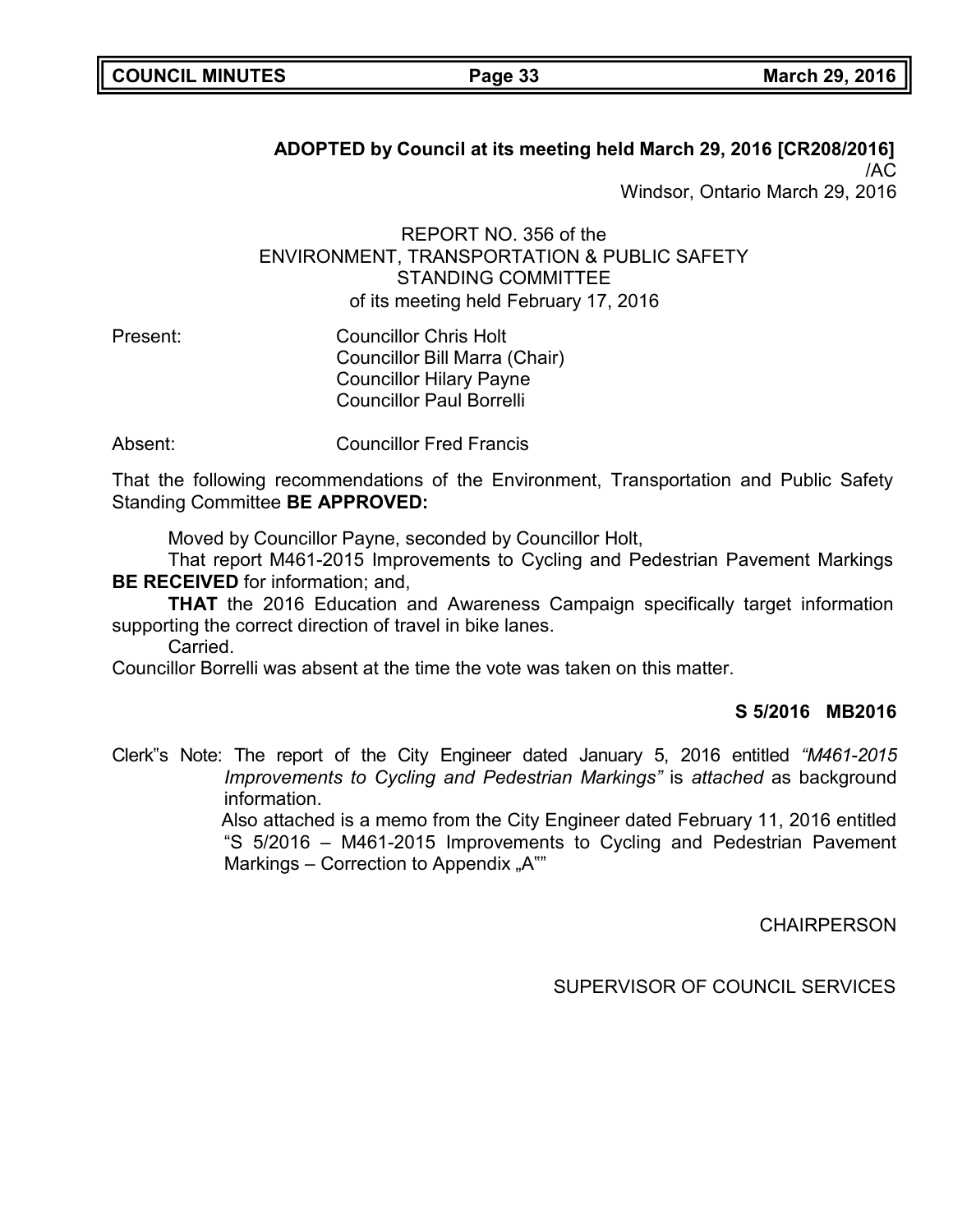| <b>COUNCIL MINUTES</b> |  |  |  |  |
|------------------------|--|--|--|--|
|------------------------|--|--|--|--|

## **ADOPTED by Council at its meeting held March 29, 2016 [CR208/2016]** /AC

Windsor, Ontario March 29, 2016

REPORT NO. 356 of the ENVIRONMENT, TRANSPORTATION & PUBLIC SAFETY STANDING COMMITTEE of its meeting held February 17, 2016

Present: Councillor Chris Holt Councillor Bill Marra (Chair) Councillor Hilary Payne Councillor Paul Borrelli

Absent: Councillor Fred Francis

That the following recommendations of the Environment, Transportation and Public Safety Standing Committee **BE APPROVED:**

Moved by Councillor Payne, seconded by Councillor Holt,

That report M461-2015 Improvements to Cycling and Pedestrian Pavement Markings **BE RECEIVED** for information; and,

**THAT** the 2016 Education and Awareness Campaign specifically target information supporting the correct direction of travel in bike lanes.

Carried.

Councillor Borrelli was absent at the time the vote was taken on this matter.

### **S 5/2016 MB2016**

Clerk"s Note: The report of the City Engineer dated January 5, 2016 entitled *"M461-2015 Improvements to Cycling and Pedestrian Markings*" is *attached* as background information.

Also attached is a memo from the City Engineer dated February 11, 2016 entitled "S 5/2016 – M461-2015 Improvements to Cycling and Pedestrian Pavement Markings – Correction to Appendix "A""

**CHAIRPERSON**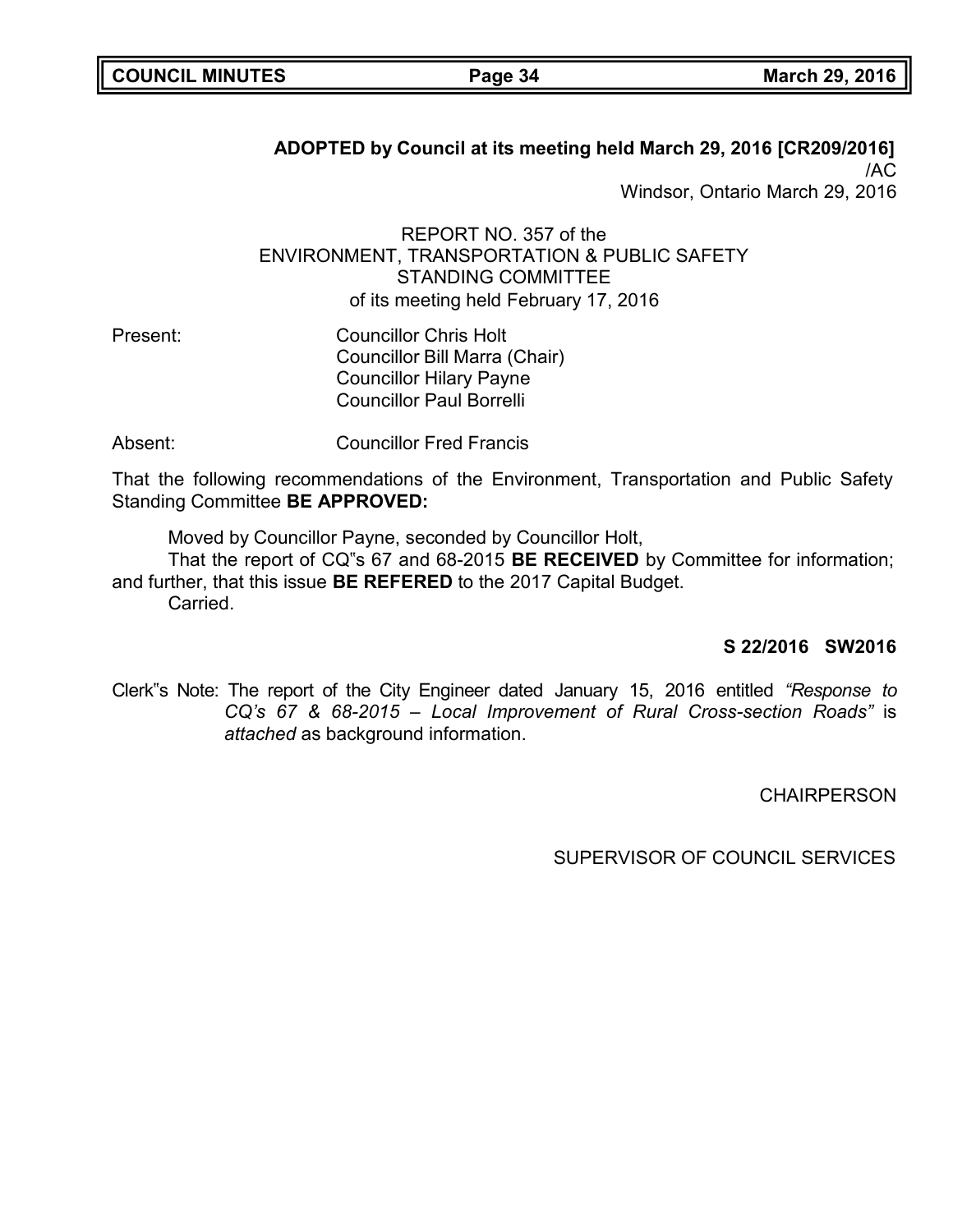| <b>COUNCIL MINUTES</b> |  |  |  |  |
|------------------------|--|--|--|--|
|------------------------|--|--|--|--|

**ADOPTED by Council at its meeting held March 29, 2016 [CR209/2016]** /AC

Windsor, Ontario March 29, 2016

REPORT NO. 357 of the ENVIRONMENT, TRANSPORTATION & PUBLIC SAFETY STANDING COMMITTEE of its meeting held February 17, 2016

- Present: Councillor Chris Holt Councillor Bill Marra (Chair) Councillor Hilary Payne Councillor Paul Borrelli
- Absent: Councillor Fred Francis

That the following recommendations of the Environment, Transportation and Public Safety Standing Committee **BE APPROVED:**

Moved by Councillor Payne, seconded by Councillor Holt,

That the report of CQ"s 67 and 68-2015 **BE RECEIVED** by Committee for information; and further, that this issue **BE REFERED** to the 2017 Capital Budget. Carried.

## **S 22/2016 SW2016**

Clerk"s Note: The report of the City Engineer dated January 15, 2016 entitled *"Response to CQ's 67 & 68-2015 – Local Improvement of Rural Cross-section Roads"* is *attached* as background information.

**CHAIRPERSON**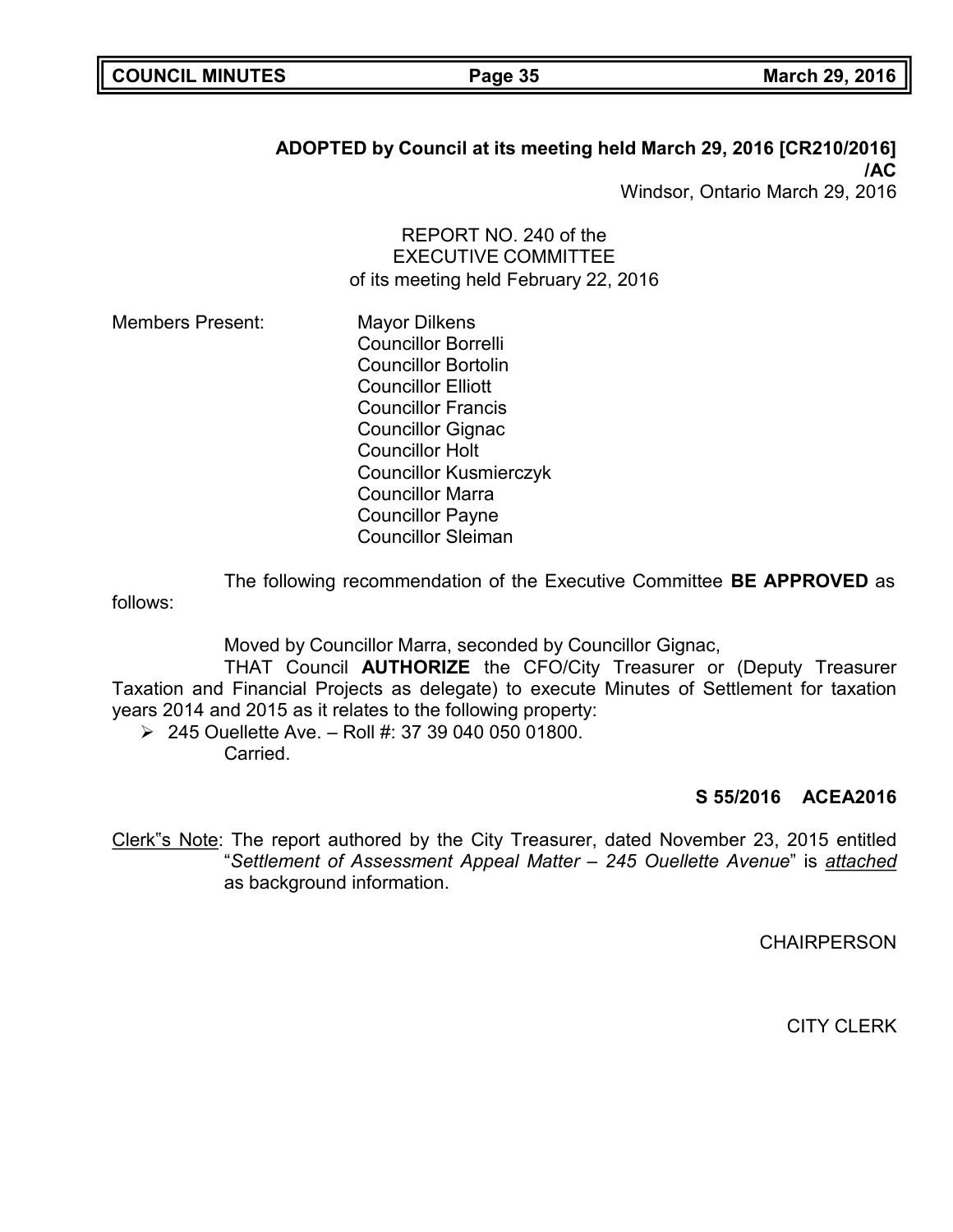| <b>COUNCIL MINUTES</b> |  |  |
|------------------------|--|--|
|------------------------|--|--|

# **ADOPTED by Council at its meeting held March 29, 2016 [CR210/2016] /AC**

Windsor, Ontario March 29, 2016

REPORT NO. 240 of the EXECUTIVE COMMITTEE of its meeting held February 22, 2016

Members Present: Mayor Dilkens Councillor Borrelli Councillor Bortolin Councillor Elliott Councillor Francis Councillor Gignac Councillor Holt Councillor Kusmierczyk Councillor Marra Councillor Payne Councillor Sleiman

The following recommendation of the Executive Committee **BE APPROVED** as follows:

Moved by Councillor Marra, seconded by Councillor Gignac,

THAT Council **AUTHORIZE** the CFO/City Treasurer or (Deputy Treasurer Taxation and Financial Projects as delegate) to execute Minutes of Settlement for taxation years 2014 and 2015 as it relates to the following property:

 $\geq 245$  Ouellette Ave. - Roll #: 37 39 040 050 01800. **Carried** 

## **S 55/2016 ACEA2016**

Clerk"s Note: The report authored by the City Treasurer, dated November 23, 2015 entitled "*Settlement of Assessment Appeal Matter – 245 Ouellette Avenue*" is *attached* as background information.

**CHAIRPERSON**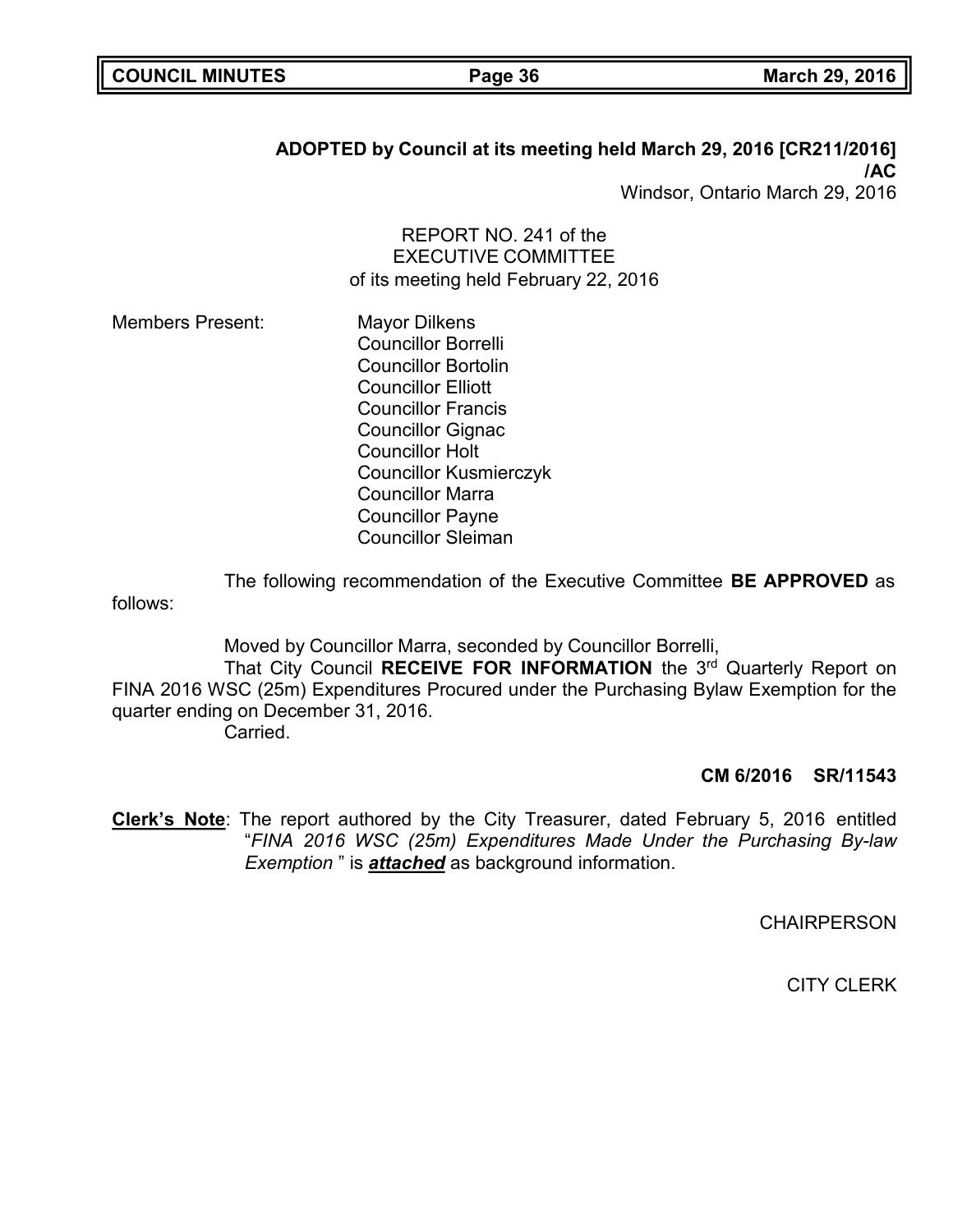| <b>COUNCIL MINUTES</b> |  |  |
|------------------------|--|--|
|------------------------|--|--|

# **ADOPTED by Council at its meeting held March 29, 2016 [CR211/2016] /AC**

Windsor, Ontario March 29, 2016

REPORT NO. 241 of the EXECUTIVE COMMITTEE of its meeting held February 22, 2016

Members Present: Mayor Dilkens Councillor Borrelli Councillor Bortolin Councillor Elliott Councillor Francis Councillor Gignac Councillor Holt Councillor Kusmierczyk Councillor Marra Councillor Payne Councillor Sleiman

The following recommendation of the Executive Committee **BE APPROVED** as follows:

Moved by Councillor Marra, seconded by Councillor Borrelli, That City Council **RECEIVE FOR INFORMATION** the 3rd Quarterly Report on FINA 2016 WSC (25m) Expenditures Procured under the Purchasing Bylaw Exemption for the quarter ending on December 31, 2016. **Carried** 

### **CM 6/2016 SR/11543**

**Clerk's Note**: The report authored by the City Treasurer, dated February 5, 2016 entitled "*FINA 2016 WSC (25m) Expenditures Made Under the Purchasing By-law Exemption* " is *attached* as background information.

**CHAIRPERSON**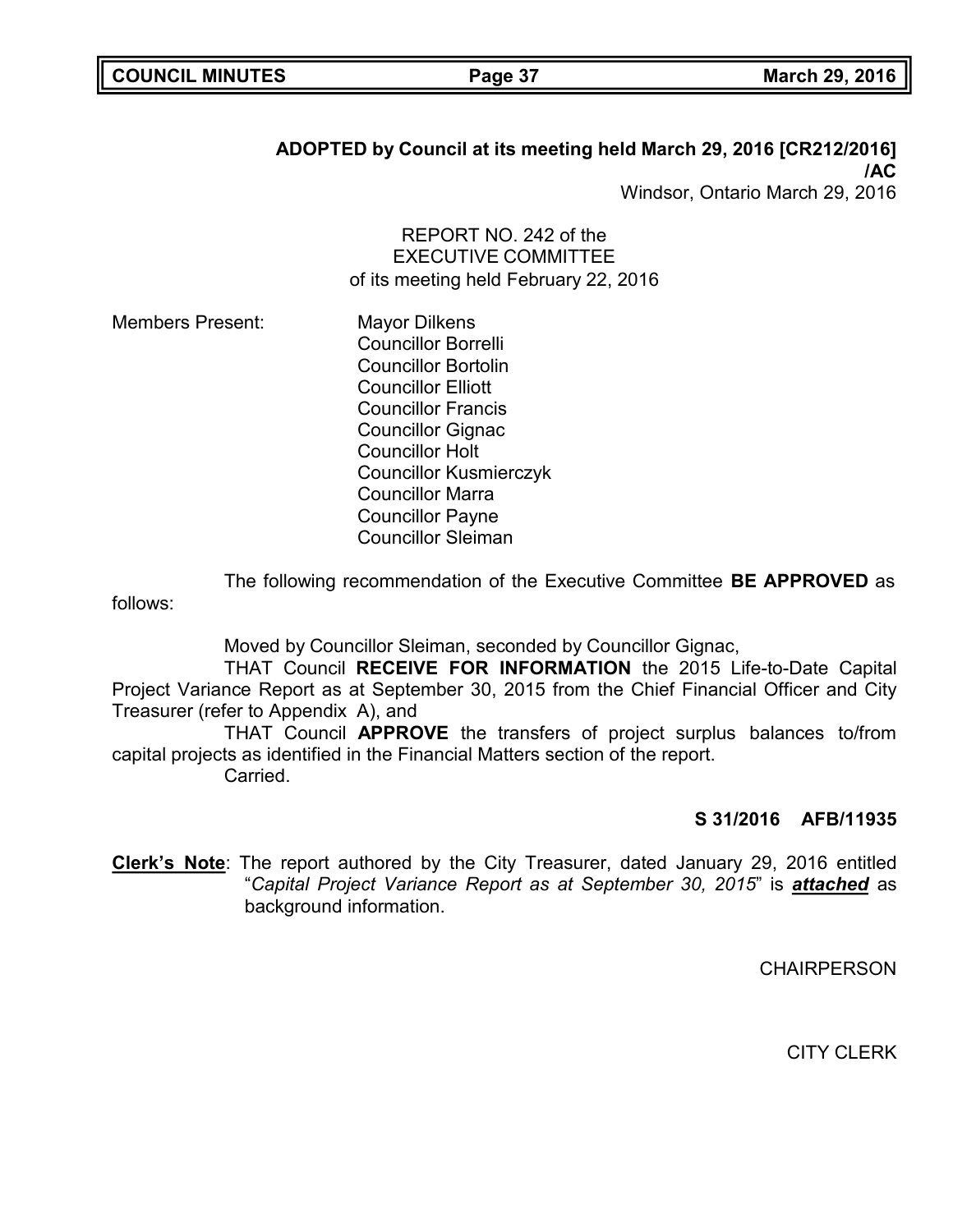| <b>COUNCIL MINUTES</b> |  |
|------------------------|--|
|------------------------|--|

# **ADOPTED by Council at its meeting held March 29, 2016 [CR212/2016] /AC**

Windsor, Ontario March 29, 2016

REPORT NO. 242 of the EXECUTIVE COMMITTEE of its meeting held February 22, 2016

Members Present: Mayor Dilkens Councillor Borrelli Councillor Bortolin Councillor Elliott Councillor Francis Councillor Gignac Councillor Holt Councillor Kusmierczyk Councillor Marra Councillor Payne Councillor Sleiman

The following recommendation of the Executive Committee **BE APPROVED** as follows:

Moved by Councillor Sleiman, seconded by Councillor Gignac,

THAT Council **RECEIVE FOR INFORMATION** the 2015 Life-to-Date Capital Project Variance Report as at September 30, 2015 from the Chief Financial Officer and City Treasurer (refer to Appendix A), and

THAT Council **APPROVE** the transfers of project surplus balances to/from capital projects as identified in the Financial Matters section of the report. Carried.

### **S 31/2016 AFB/11935**

**Clerk's Note**: The report authored by the City Treasurer, dated January 29, 2016 entitled "*Capital Project Variance Report as at September 30, 2015*" is *attached* as background information.

**CHAIRPERSON**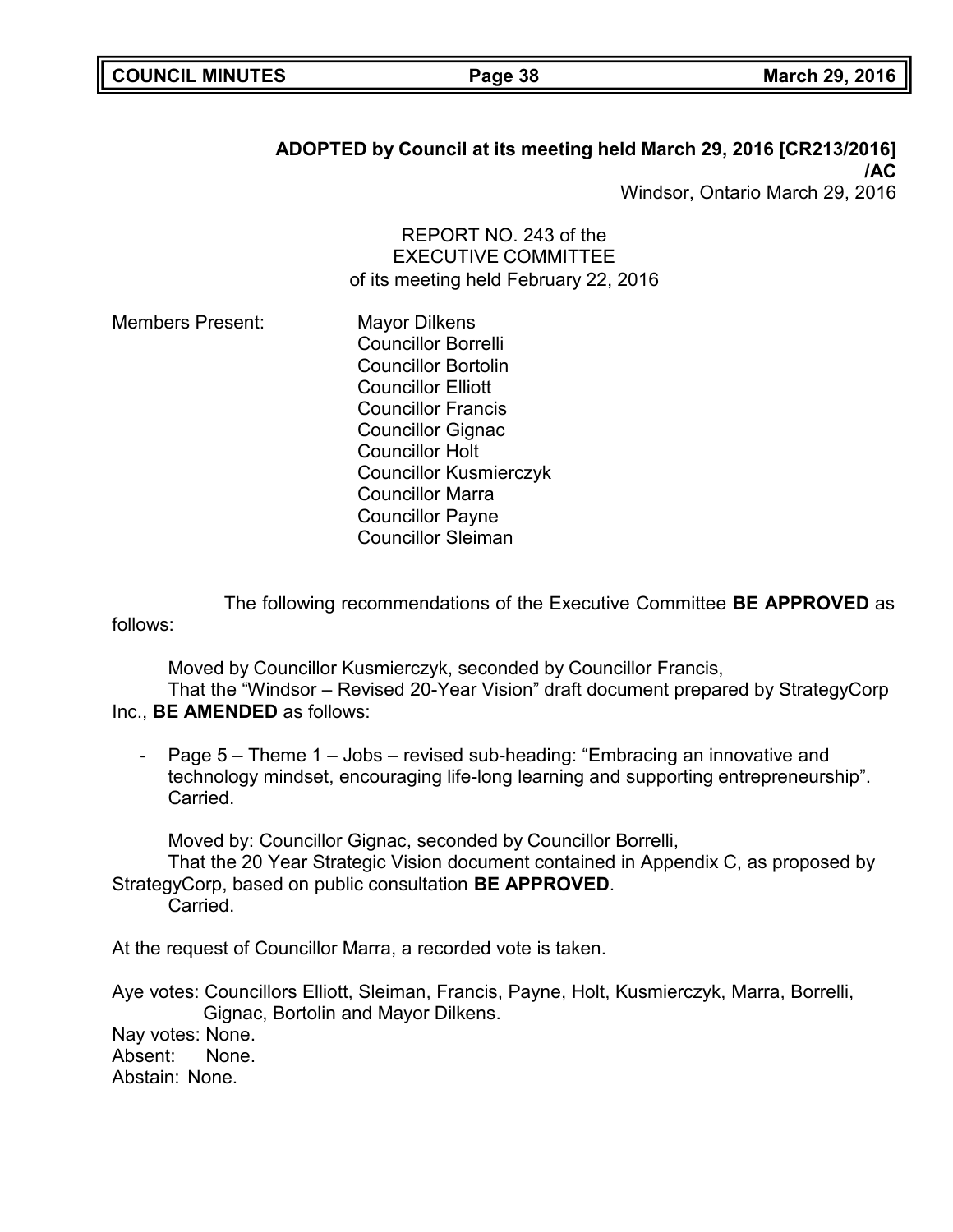| <b>COUNCIL MINUTES</b> |  |
|------------------------|--|
|------------------------|--|

# **ADOPTED by Council at its meeting held March 29, 2016 [CR213/2016] /AC**

Windsor, Ontario March 29, 2016

REPORT NO. 243 of the EXECUTIVE COMMITTEE of its meeting held February 22, 2016

Members Present: Mayor Dilkens Councillor Borrelli Councillor Bortolin Councillor Elliott Councillor Francis Councillor Gignac Councillor Holt Councillor Kusmierczyk Councillor Marra Councillor Payne Councillor Sleiman

The following recommendations of the Executive Committee **BE APPROVED** as follows:

Moved by Councillor Kusmierczyk, seconded by Councillor Francis, That the "Windsor – Revised 20-Year Vision" draft document prepared by StrategyCorp Inc., **BE AMENDED** as follows:

Page 5 – Theme 1 – Jobs – revised sub-heading: "Embracing an innovative and technology mindset, encouraging life-long learning and supporting entrepreneurship". Carried.

Moved by: Councillor Gignac, seconded by Councillor Borrelli,

That the 20 Year Strategic Vision document contained in Appendix C, as proposed by StrategyCorp, based on public consultation **BE APPROVED**.

Carried.

At the request of Councillor Marra, a recorded vote is taken.

Aye votes: Councillors Elliott, Sleiman, Francis, Payne, Holt, Kusmierczyk, Marra, Borrelli, Gignac, Bortolin and Mayor Dilkens. Nay votes: None. Absent: None. Abstain: None.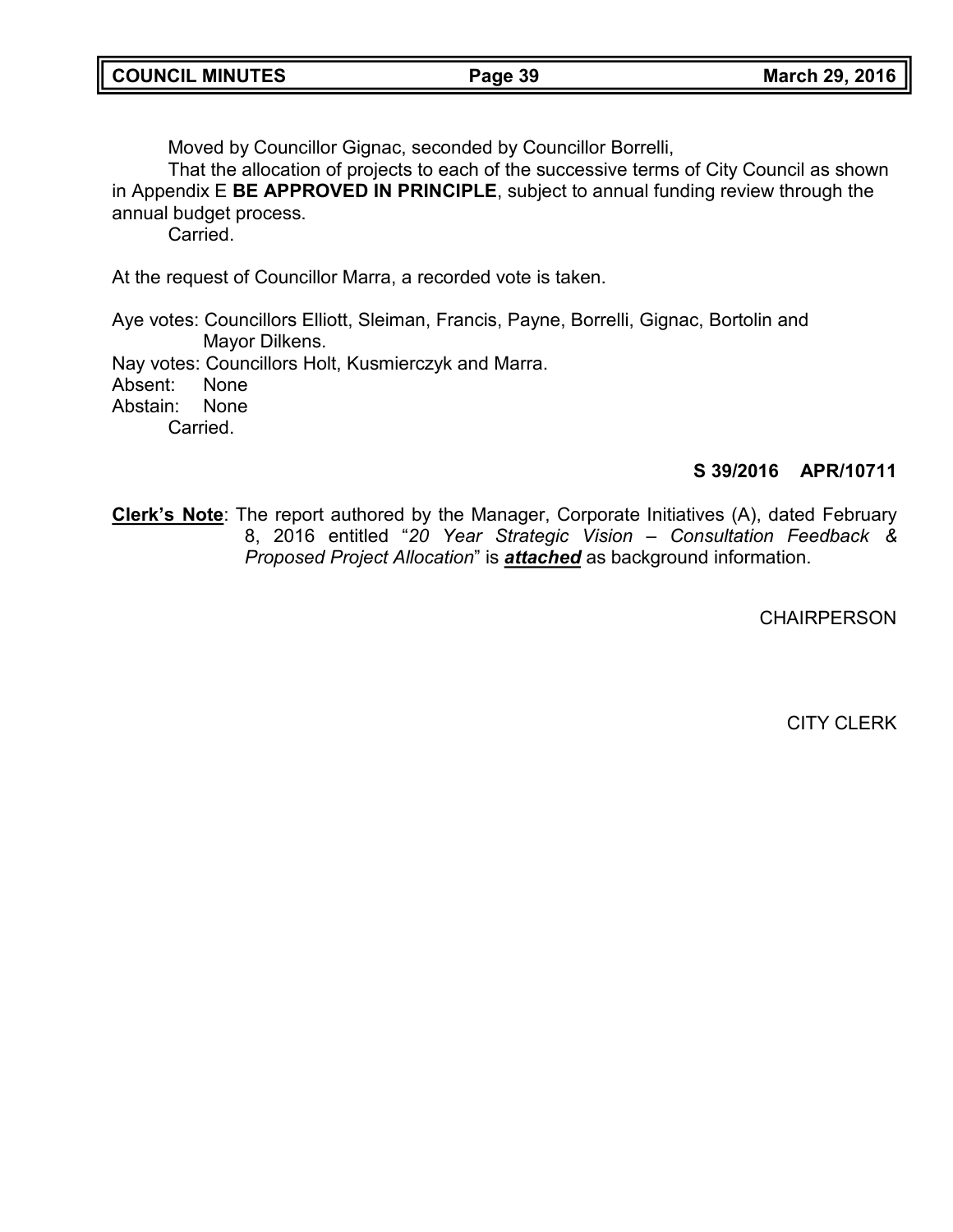Moved by Councillor Gignac, seconded by Councillor Borrelli,

That the allocation of projects to each of the successive terms of City Council as shown in Appendix E **BE APPROVED IN PRINCIPLE**, subject to annual funding review through the annual budget process.

**Carried** 

At the request of Councillor Marra, a recorded vote is taken.

Aye votes: Councillors Elliott, Sleiman, Francis, Payne, Borrelli, Gignac, Bortolin and Mayor Dilkens.

Nay votes: Councillors Holt, Kusmierczyk and Marra.

Absent: None

Abstain: None

Carried.

# **S 39/2016 APR/10711**

**Clerk's Note**: The report authored by the Manager, Corporate Initiatives (A), dated February 8, 2016 entitled "*20 Year Strategic Vision – Consultation Feedback & Proposed Project Allocation*" is *attached* as background information.

**CHAIRPERSON**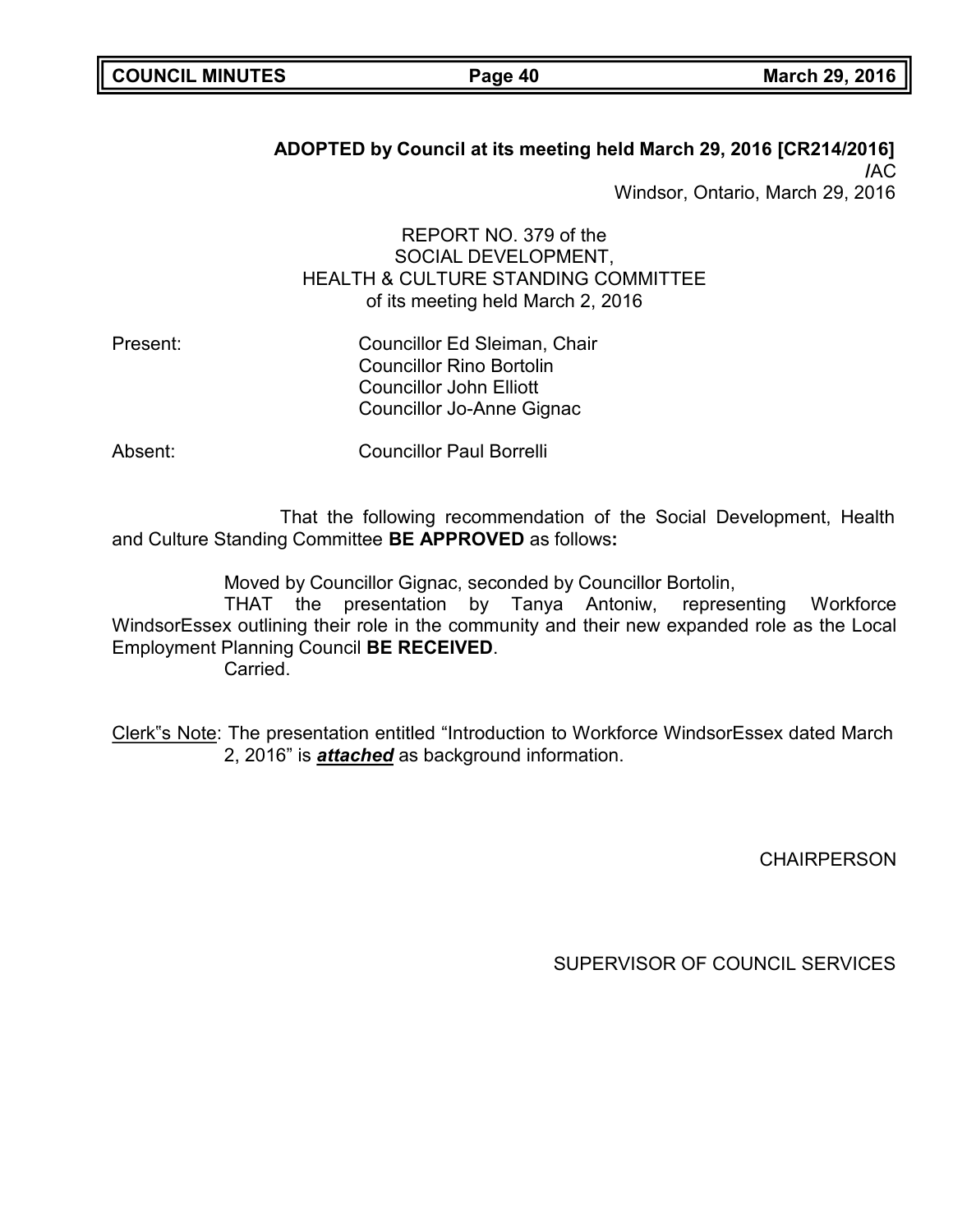# **ADOPTED by Council at its meeting held March 29, 2016 [CR214/2016] /**AC

Windsor, Ontario, March 29, 2016

# REPORT NO. 379 of the SOCIAL DEVELOPMENT, HEALTH & CULTURE STANDING COMMITTEE of its meeting held March 2, 2016

| Councillor Ed Sleiman, Chair    |
|---------------------------------|
| <b>Councillor Rino Bortolin</b> |
| <b>Councillor John Elliott</b>  |
| Councillor Jo-Anne Gignac       |
|                                 |

Absent: Councillor Paul Borrelli

That the following recommendation of the Social Development, Health and Culture Standing Committee **BE APPROVED** as follows**:**

Moved by Councillor Gignac, seconded by Councillor Bortolin,

THAT the presentation by Tanya Antoniw, representing Workforce WindsorEssex outlining their role in the community and their new expanded role as the Local Employment Planning Council **BE RECEIVED**.

Carried.

Clerk"s Note: The presentation entitled "Introduction to Workforce WindsorEssex dated March 2, 2016" is *attached* as background information.

**CHAIRPERSON**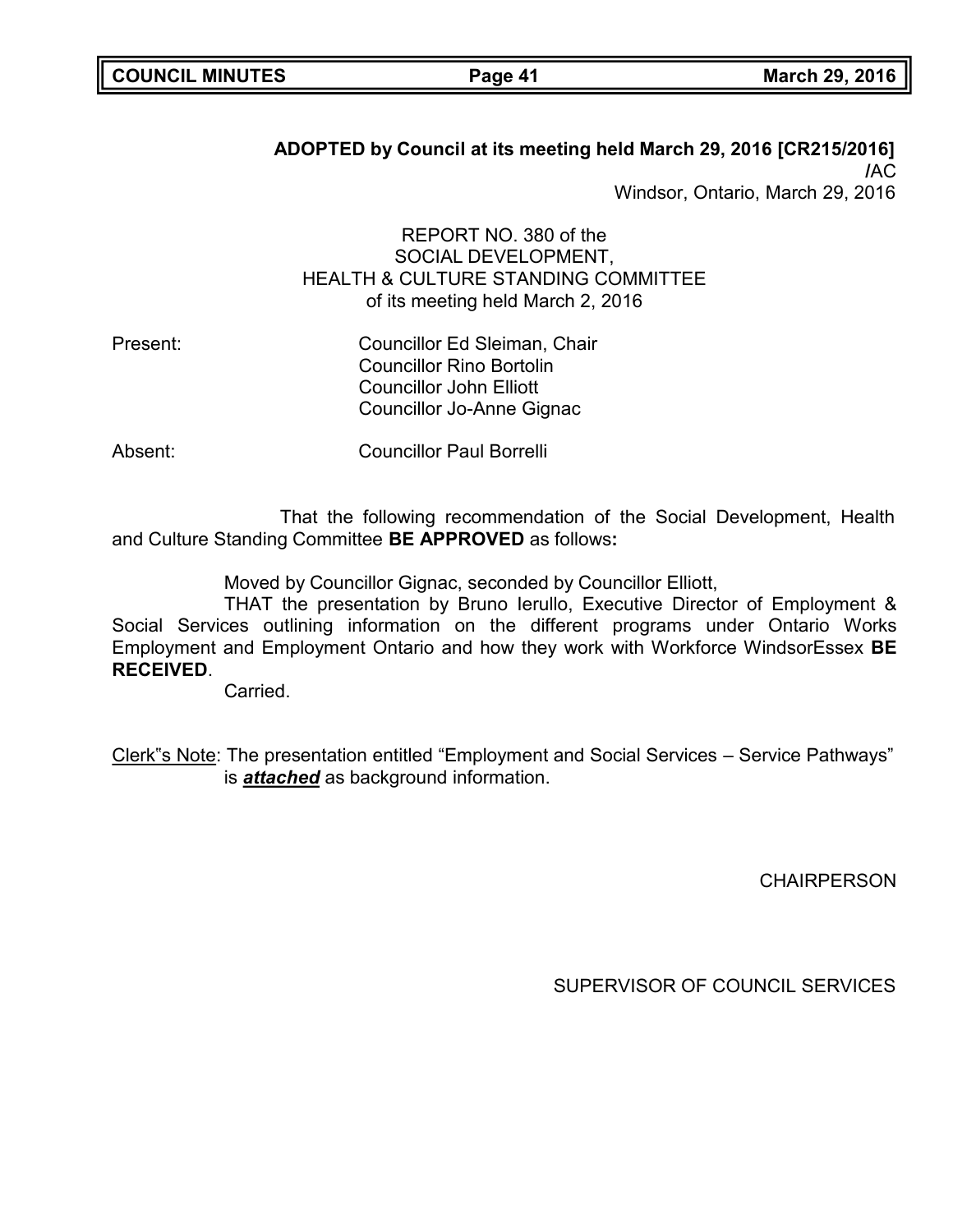# **ADOPTED by Council at its meeting held March 29, 2016 [CR215/2016] /**AC

Windsor, Ontario, March 29, 2016

# REPORT NO. 380 of the SOCIAL DEVELOPMENT, HEALTH & CULTURE STANDING COMMITTEE of its meeting held March 2, 2016

Present: Councillor Ed Sleiman, Chair Councillor Rino Bortolin Councillor John Elliott Councillor Jo-Anne Gignac

Absent: Councillor Paul Borrelli

That the following recommendation of the Social Development, Health and Culture Standing Committee **BE APPROVED** as follows**:**

Moved by Councillor Gignac, seconded by Councillor Elliott,

THAT the presentation by Bruno Ierullo, Executive Director of Employment & Social Services outlining information on the different programs under Ontario Works Employment and Employment Ontario and how they work with Workforce WindsorEssex **BE RECEIVED**.

Carried.

Clerk"s Note: The presentation entitled "Employment and Social Services – Service Pathways" is *attached* as background information.

**CHAIRPERSON**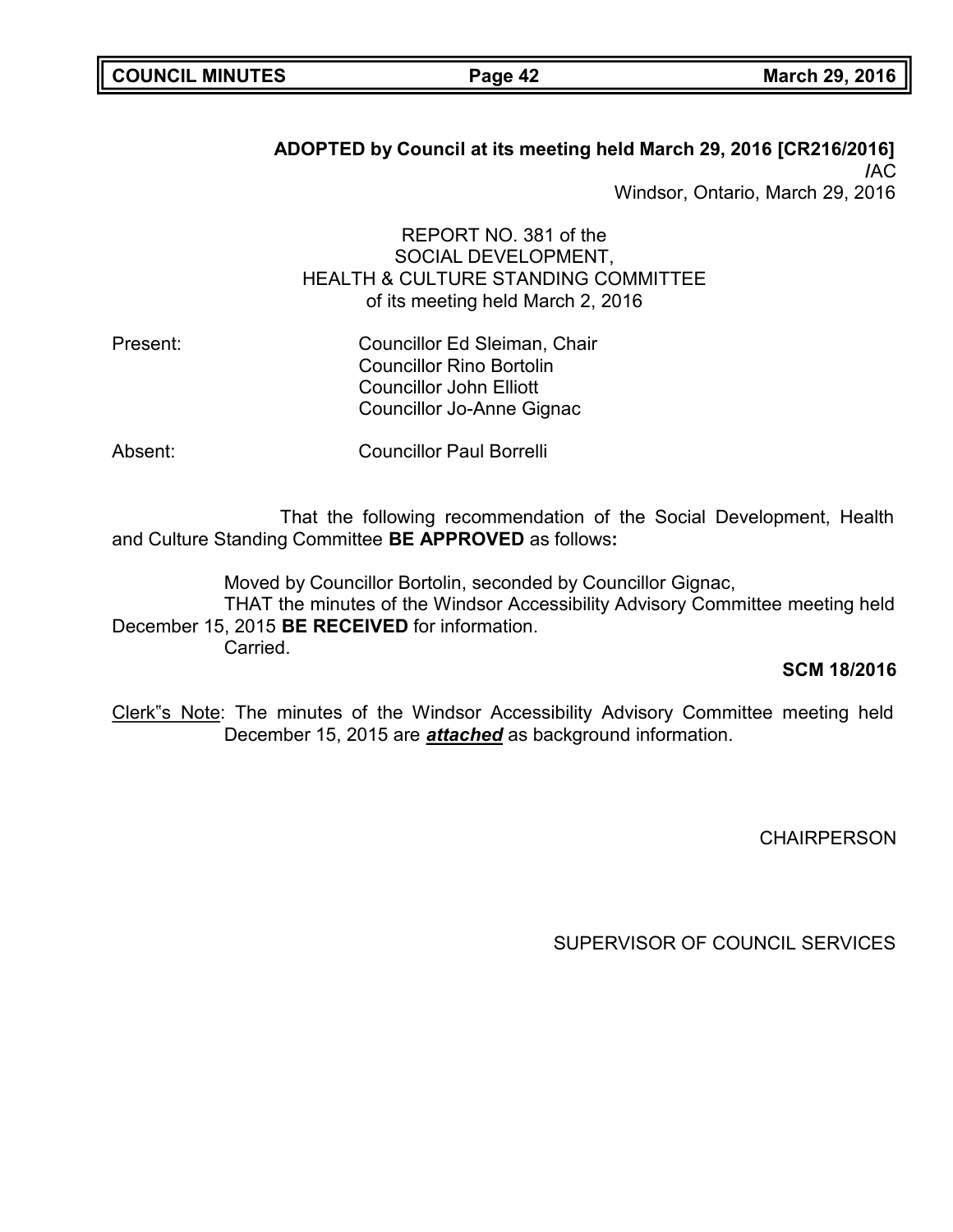# **ADOPTED by Council at its meeting held March 29, 2016 [CR216/2016] /**AC

Windsor, Ontario, March 29, 2016

# REPORT NO. 381 of the SOCIAL DEVELOPMENT, HEALTH & CULTURE STANDING COMMITTEE of its meeting held March 2, 2016

Present: Councillor Ed Sleiman, Chair Councillor Rino Bortolin Councillor John Elliott Councillor Jo-Anne Gignac

Absent: Councillor Paul Borrelli

That the following recommendation of the Social Development, Health and Culture Standing Committee **BE APPROVED** as follows**:**

Moved by Councillor Bortolin, seconded by Councillor Gignac, THAT the minutes of the Windsor Accessibility Advisory Committee meeting held December 15, 2015 **BE RECEIVED** for information. Carried.

### **SCM 18/2016**

Clerk"s Note: The minutes of the Windsor Accessibility Advisory Committee meeting held December 15, 2015 are *attached* as background information.

**CHAIRPERSON**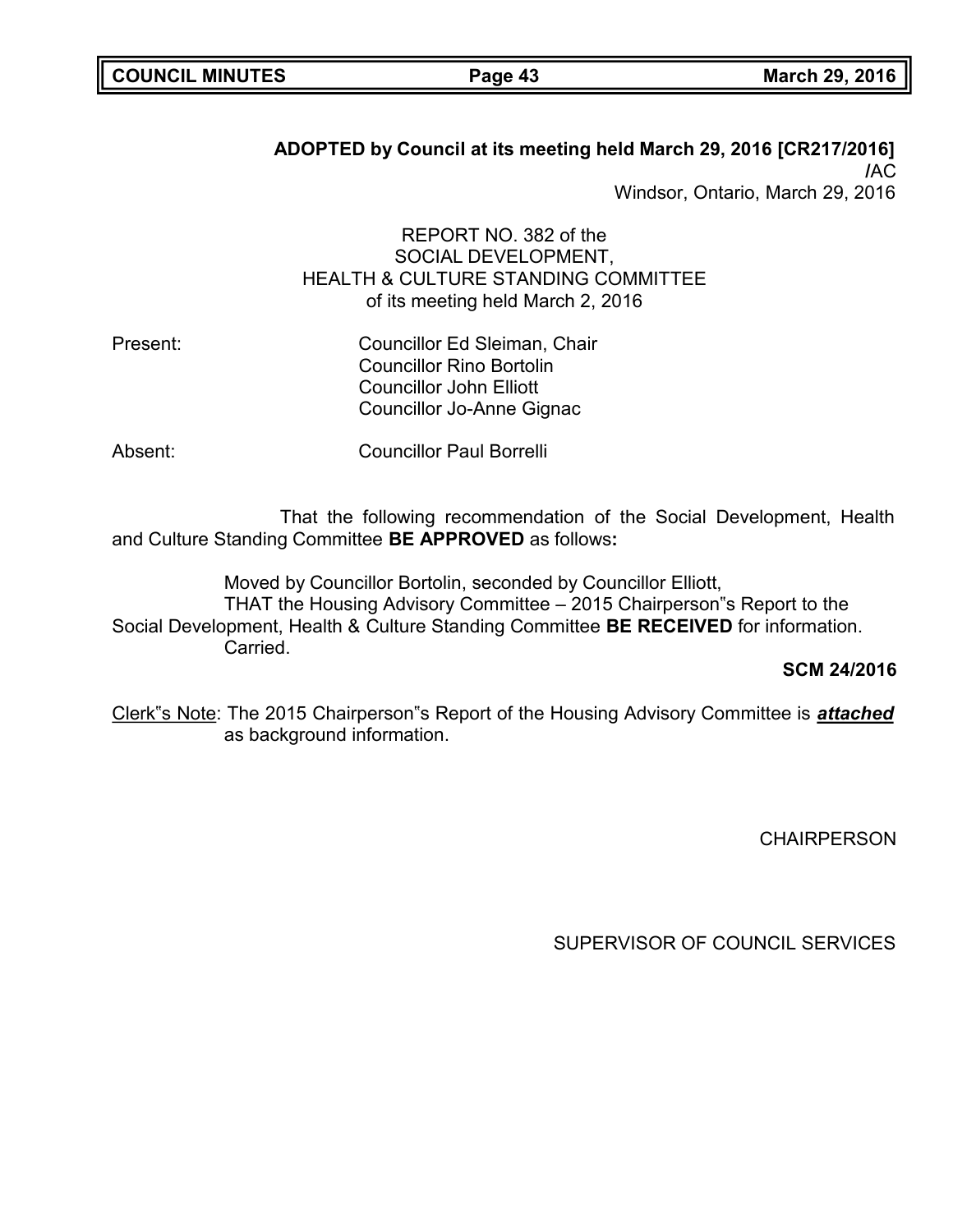# **ADOPTED by Council at its meeting held March 29, 2016 [CR217/2016] /**AC

Windsor, Ontario, March 29, 2016

# REPORT NO. 382 of the SOCIAL DEVELOPMENT, HEALTH & CULTURE STANDING COMMITTEE of its meeting held March 2, 2016

| Councillor Ed Sleiman, Chair    |
|---------------------------------|
| <b>Councillor Rino Bortolin</b> |
| <b>Councillor John Elliott</b>  |
| Councillor Jo-Anne Gignac       |
|                                 |

Absent: Councillor Paul Borrelli

That the following recommendation of the Social Development, Health and Culture Standing Committee **BE APPROVED** as follows**:**

Moved by Councillor Bortolin, seconded by Councillor Elliott, THAT the Housing Advisory Committee – 2015 Chairperson"s Report to the Social Development, Health & Culture Standing Committee **BE RECEIVED** for information. Carried.

**SCM 24/2016**

Clerk"s Note: The 2015 Chairperson"s Report of the Housing Advisory Committee is *attached* as background information.

**CHAIRPERSON**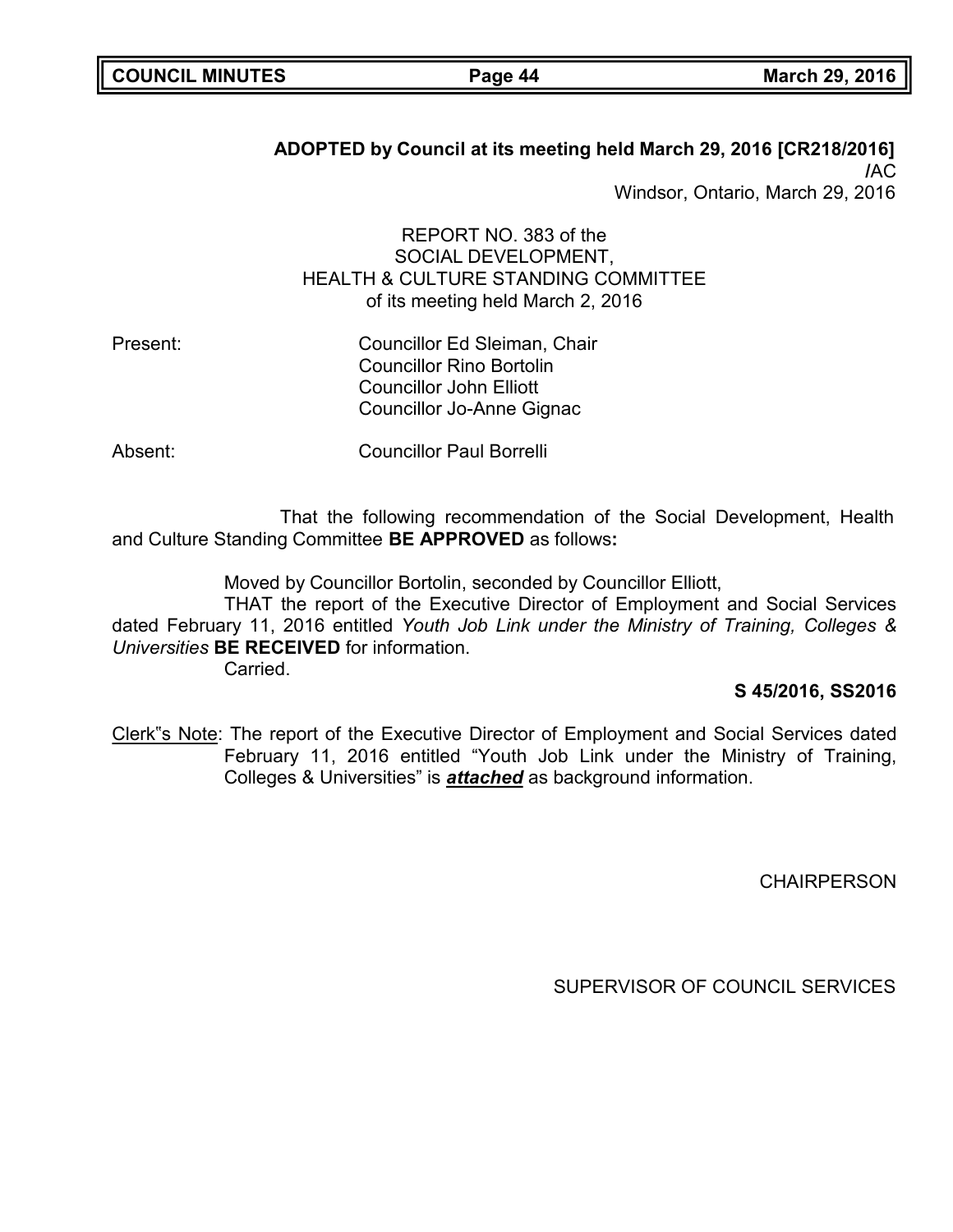# **ADOPTED by Council at its meeting held March 29, 2016 [CR218/2016] /**AC

Windsor, Ontario, March 29, 2016

# REPORT NO. 383 of the SOCIAL DEVELOPMENT, HEALTH & CULTURE STANDING COMMITTEE of its meeting held March 2, 2016

Councillor Ed Sleiman, Chair Councillor Rino Bortolin Councillor John Elliott Councillor Jo-Anne Gignac

Absent: Councillor Paul Borrelli

That the following recommendation of the Social Development, Health and Culture Standing Committee **BE APPROVED** as follows**:**

Moved by Councillor Bortolin, seconded by Councillor Elliott,

THAT the report of the Executive Director of Employment and Social Services dated February 11, 2016 entitled *Youth Job Link under the Ministry of Training, Colleges & Universities* **BE RECEIVED** for information.

Carried.

## **S 45/2016, SS2016**

Clerk"s Note: The report of the Executive Director of Employment and Social Services dated February 11, 2016 entitled "Youth Job Link under the Ministry of Training, Colleges & Universities" is *attached* as background information.

**CHAIRPERSON**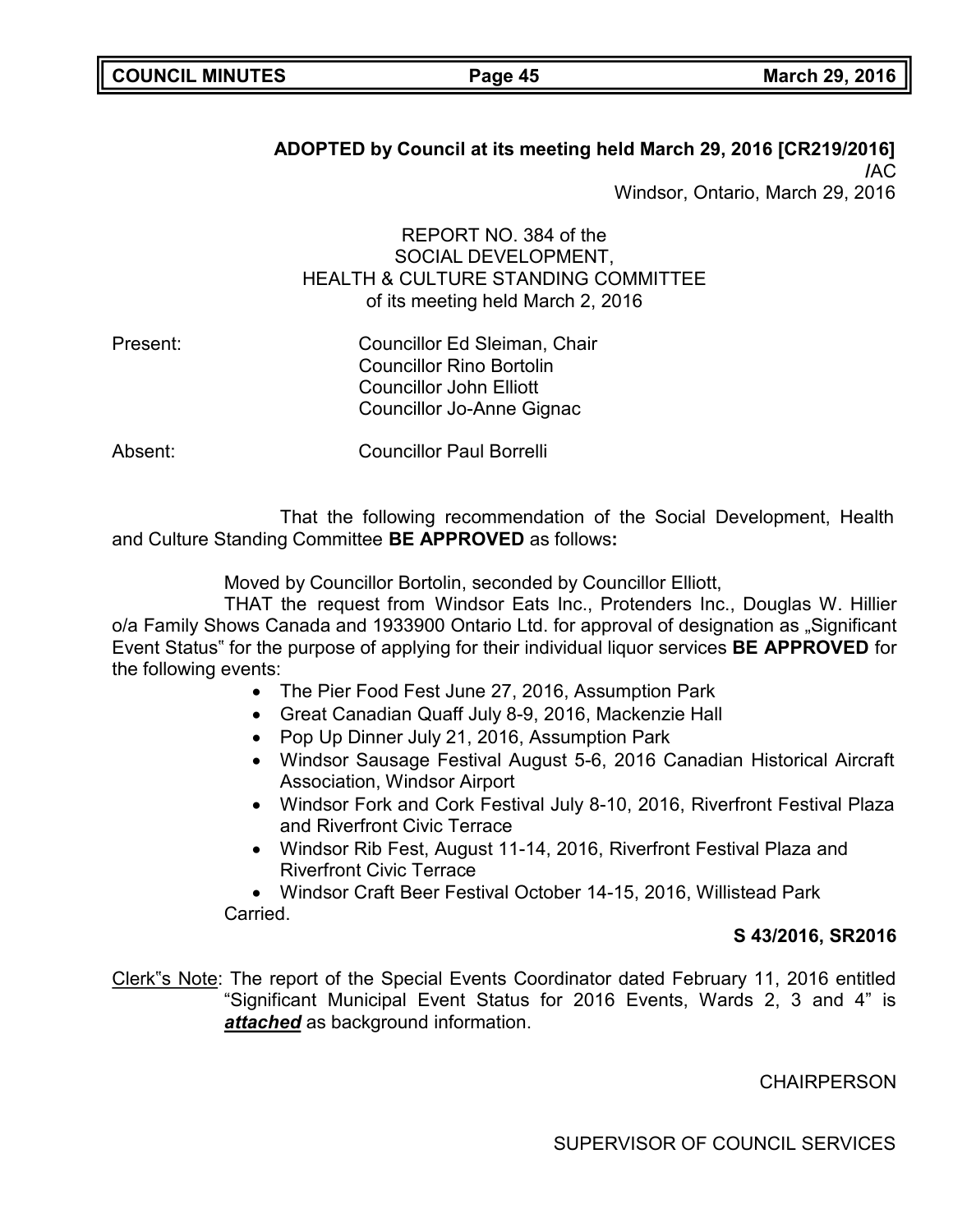# **ADOPTED by Council at its meeting held March 29, 2016 [CR219/2016] /**AC

Windsor, Ontario, March 29, 2016

# REPORT NO. 384 of the SOCIAL DEVELOPMENT, HEALTH & CULTURE STANDING COMMITTEE of its meeting held March 2, 2016

Present: Councillor Ed Sleiman, Chair Councillor Rino Bortolin Councillor John Elliott Councillor Jo-Anne Gignac

Absent: Councillor Paul Borrelli

That the following recommendation of the Social Development, Health and Culture Standing Committee **BE APPROVED** as follows**:**

Moved by Councillor Bortolin, seconded by Councillor Elliott,

THAT the request from Windsor Eats Inc., Protenders Inc., Douglas W. Hillier o/a Family Shows Canada and 1933900 Ontario Ltd. for approval of designation as "Significant Event Status" for the purpose of applying for their individual liquor services **BE APPROVED** for the following events:

- The Pier Food Fest June 27, 2016, Assumption Park
- Great Canadian Quaff July 8-9, 2016, Mackenzie Hall
- Pop Up Dinner July 21, 2016, Assumption Park
- Windsor Sausage Festival August 5-6, 2016 Canadian Historical Aircraft Association, Windsor Airport
- Windsor Fork and Cork Festival July 8-10, 2016, Riverfront Festival Plaza and Riverfront Civic Terrace
- Windsor Rib Fest, August 11-14, 2016, Riverfront Festival Plaza and Riverfront Civic Terrace

• Windsor Craft Beer Festival October 14-15, 2016, Willistead Park Carried.

## **S 43/2016, SR2016**

Clerk"s Note: The report of the Special Events Coordinator dated February 11, 2016 entitled "Significant Municipal Event Status for 2016 Events, Wards 2, 3 and 4" is *attached* as background information.

**CHAIRPERSON**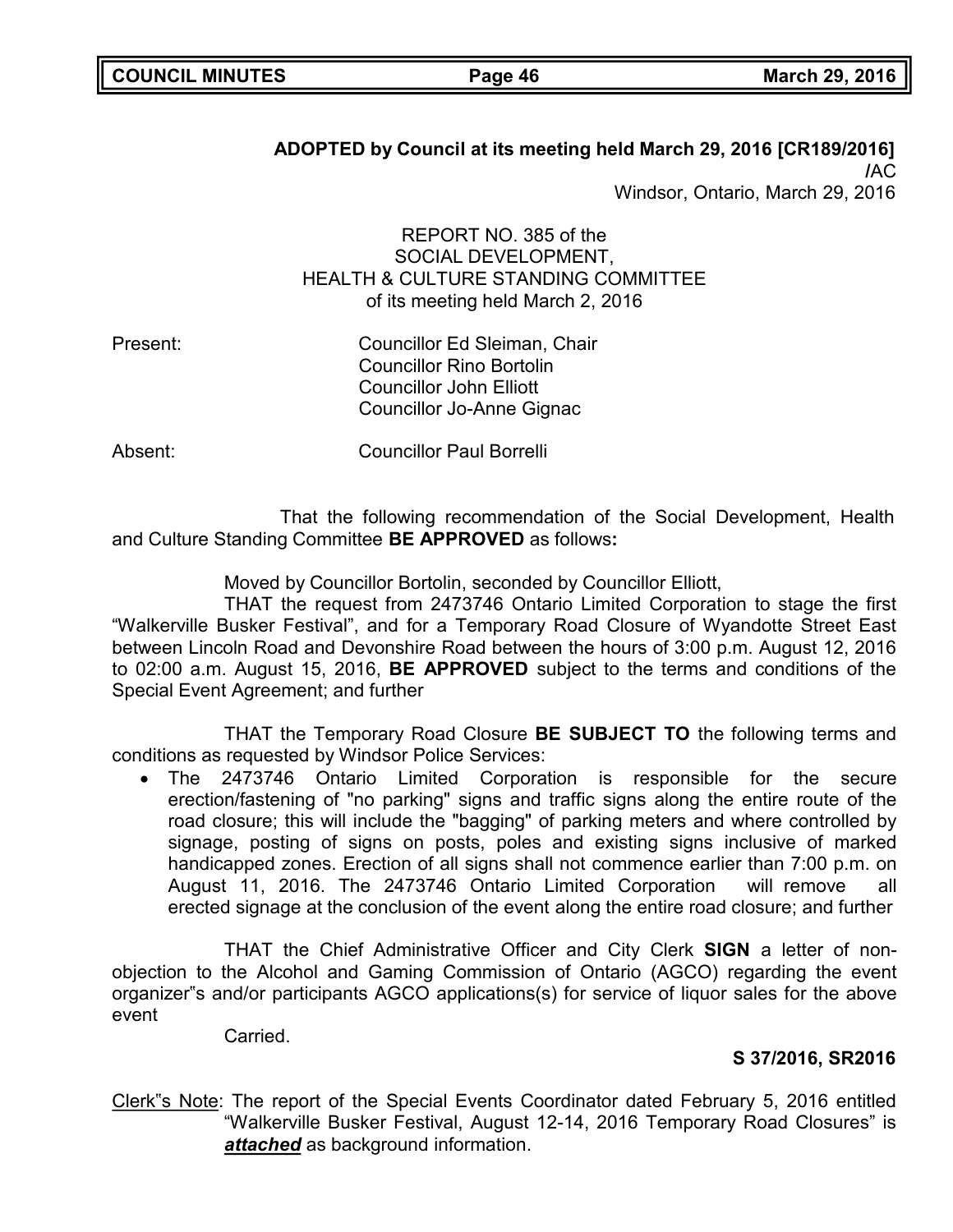# **ADOPTED by Council at its meeting held March 29, 2016 [CR189/2016] /**AC Windsor, Ontario, March 29, 2016

# REPORT NO. 385 of the SOCIAL DEVELOPMENT, HEALTH & CULTURE STANDING COMMITTEE of its meeting held March 2, 2016

Present: Councillor Ed Sleiman, Chair Councillor Rino Bortolin Councillor John Elliott Councillor Jo-Anne Gignac

Absent: Councillor Paul Borrelli

That the following recommendation of the Social Development, Health and Culture Standing Committee **BE APPROVED** as follows**:**

Moved by Councillor Bortolin, seconded by Councillor Elliott,

THAT the request from 2473746 Ontario Limited Corporation to stage the first "Walkerville Busker Festival", and for a Temporary Road Closure of Wyandotte Street East between Lincoln Road and Devonshire Road between the hours of 3:00 p.m. August 12, 2016 to 02:00 a.m. August 15, 2016, **BE APPROVED** subject to the terms and conditions of the Special Event Agreement; and further

THAT the Temporary Road Closure **BE SUBJECT TO** the following terms and conditions as requested by Windsor Police Services:

• The 2473746 Ontario Limited Corporation is responsible for the secure erection/fastening of "no parking" signs and traffic signs along the entire route of the road closure; this will include the "bagging" of parking meters and where controlled by signage, posting of signs on posts, poles and existing signs inclusive of marked handicapped zones. Erection of all signs shall not commence earlier than 7:00 p.m. on August 11, 2016. The 2473746 Ontario Limited Corporation will remove all erected signage at the conclusion of the event along the entire road closure; and further

THAT the Chief Administrative Officer and City Clerk **SIGN** a letter of nonobjection to the Alcohol and Gaming Commission of Ontario (AGCO) regarding the event organizer"s and/or participants AGCO applications(s) for service of liquor sales for the above event

Carried.

# **S 37/2016, SR2016**

Clerk"s Note: The report of the Special Events Coordinator dated February 5, 2016 entitled "Walkerville Busker Festival, August 12-14, 2016 Temporary Road Closures" is *attached* as background information.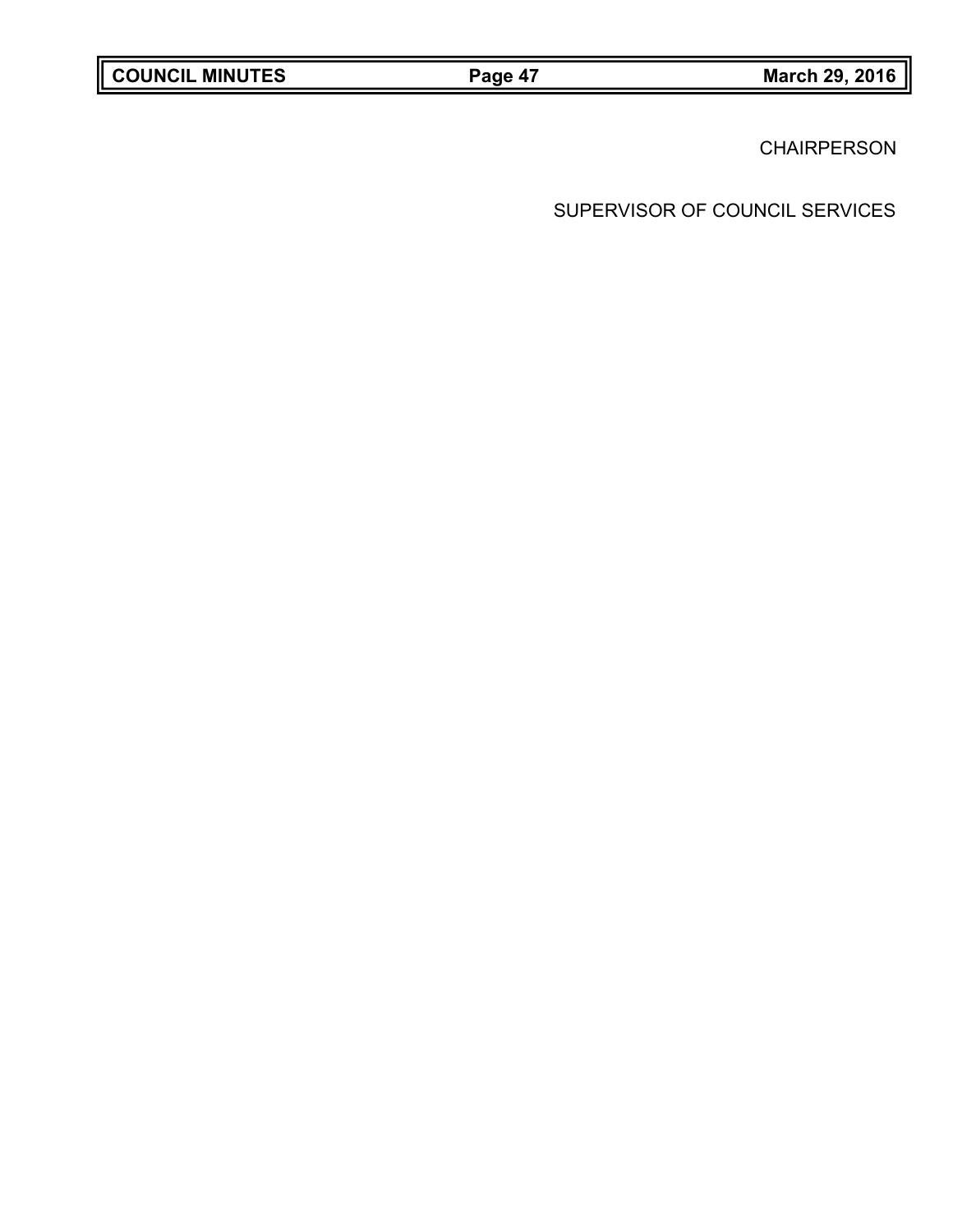**CHAIRPERSON**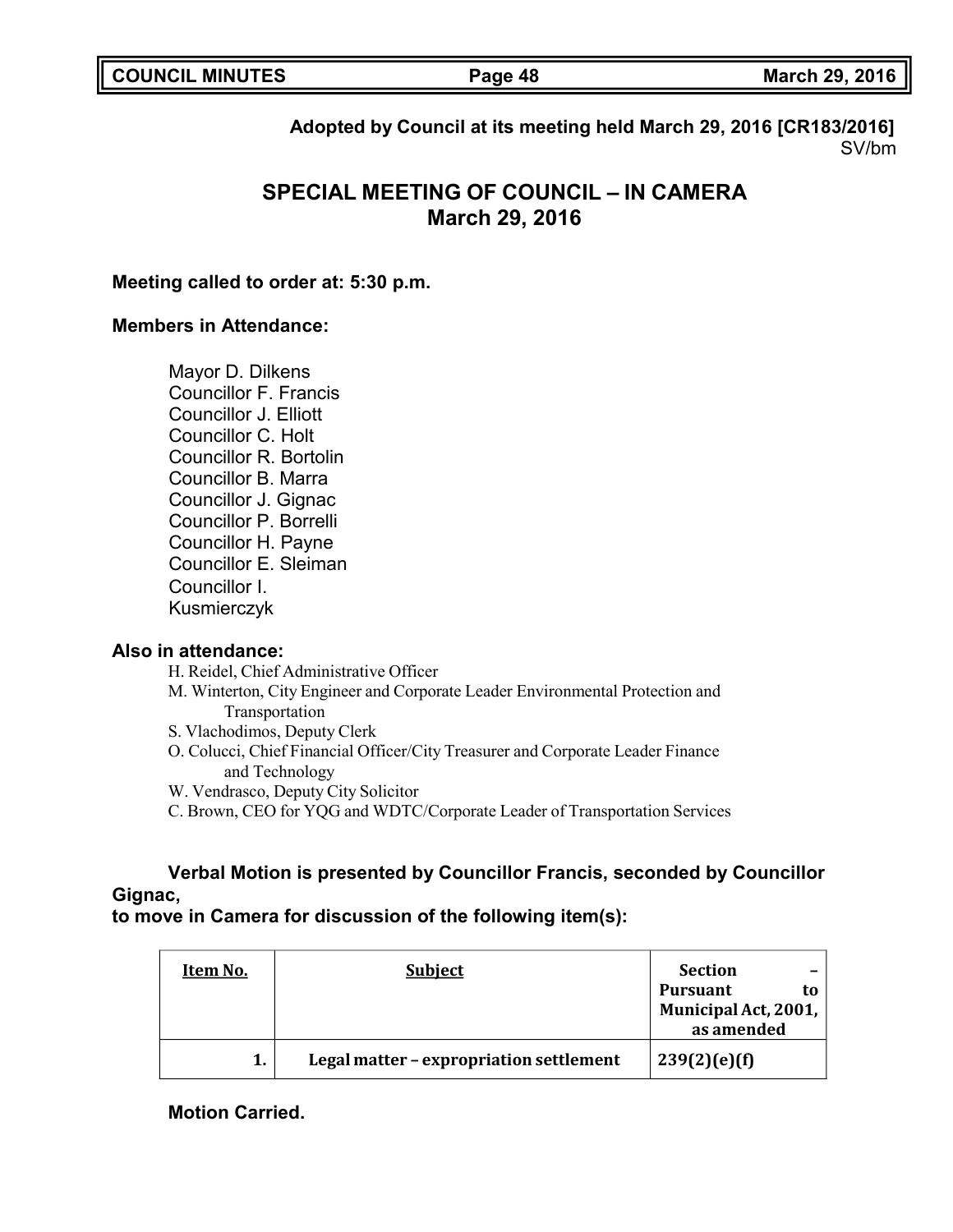|  | <b>COUNCIL MINUTES</b> |
|--|------------------------|
|--|------------------------|

**COUNCIL MINUTES Page 48 March 29, 2016**

**Adopted by Council at its meeting held March 29, 2016 [CR183/2016]** SV/bm

# **SPECIAL MEETING OF COUNCIL – IN CAMERA March 29, 2016**

### **Meeting called to order at: 5:30 p.m.**

#### **Members in Attendance:**

Mayor D. Dilkens Councillor F. Francis Councillor J. Elliott Councillor C. Holt Councillor R. Bortolin Councillor B. Marra Councillor J. Gignac Councillor P. Borrelli Councillor H. Payne Councillor E. Sleiman Councillor I. Kusmierczyk

#### **Also in attendance:**

H. Reidel, Chief Administrative Officer

- M. Winterton, City Engineer and Corporate Leader Environmental Protection and Transportation
- S. Vlachodimos, Deputy Clerk
- O. Colucci, Chief Financial Officer/City Treasurer and Corporate Leader Finance and Technology
- W. Vendrasco, Deputy City Solicitor
- C. Brown, CEO for YQG and WDTC/Corporate Leader of Transportation Services

### **Verbal Motion is presented by Councillor Francis, seconded by Councillor Gignac,**

### **to move in Camera for discussion of the following item(s):**

| Item No. | <b>Subject</b>                          | <b>Section</b>        |
|----------|-----------------------------------------|-----------------------|
|          |                                         | <b>Pursuant</b><br>to |
|          |                                         | Municipal Act, 2001,  |
|          |                                         | as amended            |
|          | Legal matter - expropriation settlement | 239(2)(e)(f)          |

**Motion Carried.**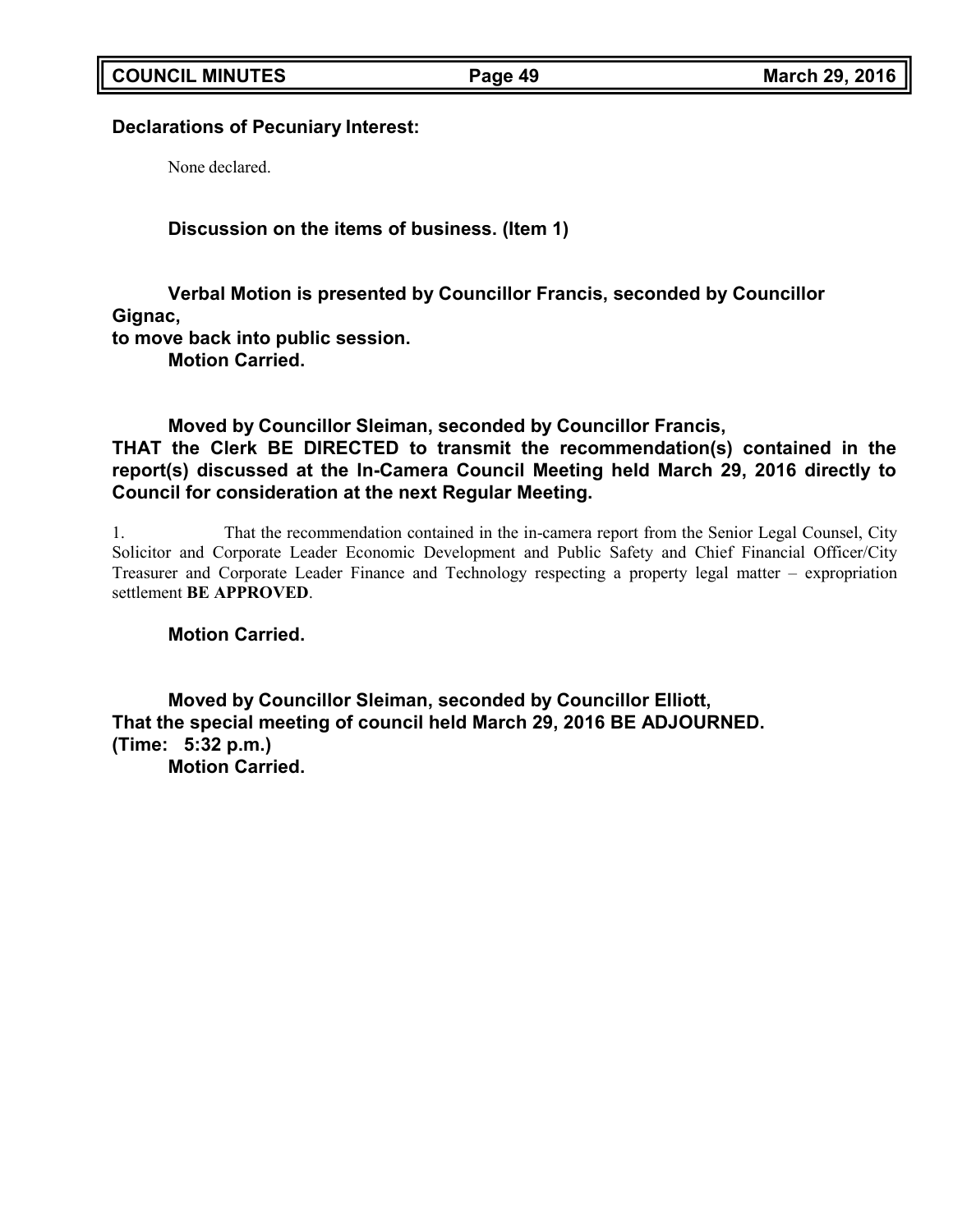### **Declarations of Pecuniary Interest:**

None declared.

**Discussion on the items of business. (Item 1)**

**Verbal Motion is presented by Councillor Francis, seconded by Councillor Gignac, to move back into public session.**

**Motion Carried.**

**Moved by Councillor Sleiman, seconded by Councillor Francis, THAT the Clerk BE DIRECTED to transmit the recommendation(s) contained in the report(s) discussed at the In-Camera Council Meeting held March 29, 2016 directly to Council for consideration at the next Regular Meeting.**

1. That the recommendation contained in the in-camera report from the Senior Legal Counsel, City Solicitor and Corporate Leader Economic Development and Public Safety and Chief Financial Officer/City Treasurer and Corporate Leader Finance and Technology respecting a property legal matter – expropriation settlement **BE APPROVED**.

**Motion Carried.**

**Moved by Councillor Sleiman, seconded by Councillor Elliott, That the special meeting of council held March 29, 2016 BE ADJOURNED. (Time: 5:32 p.m.) Motion Carried.**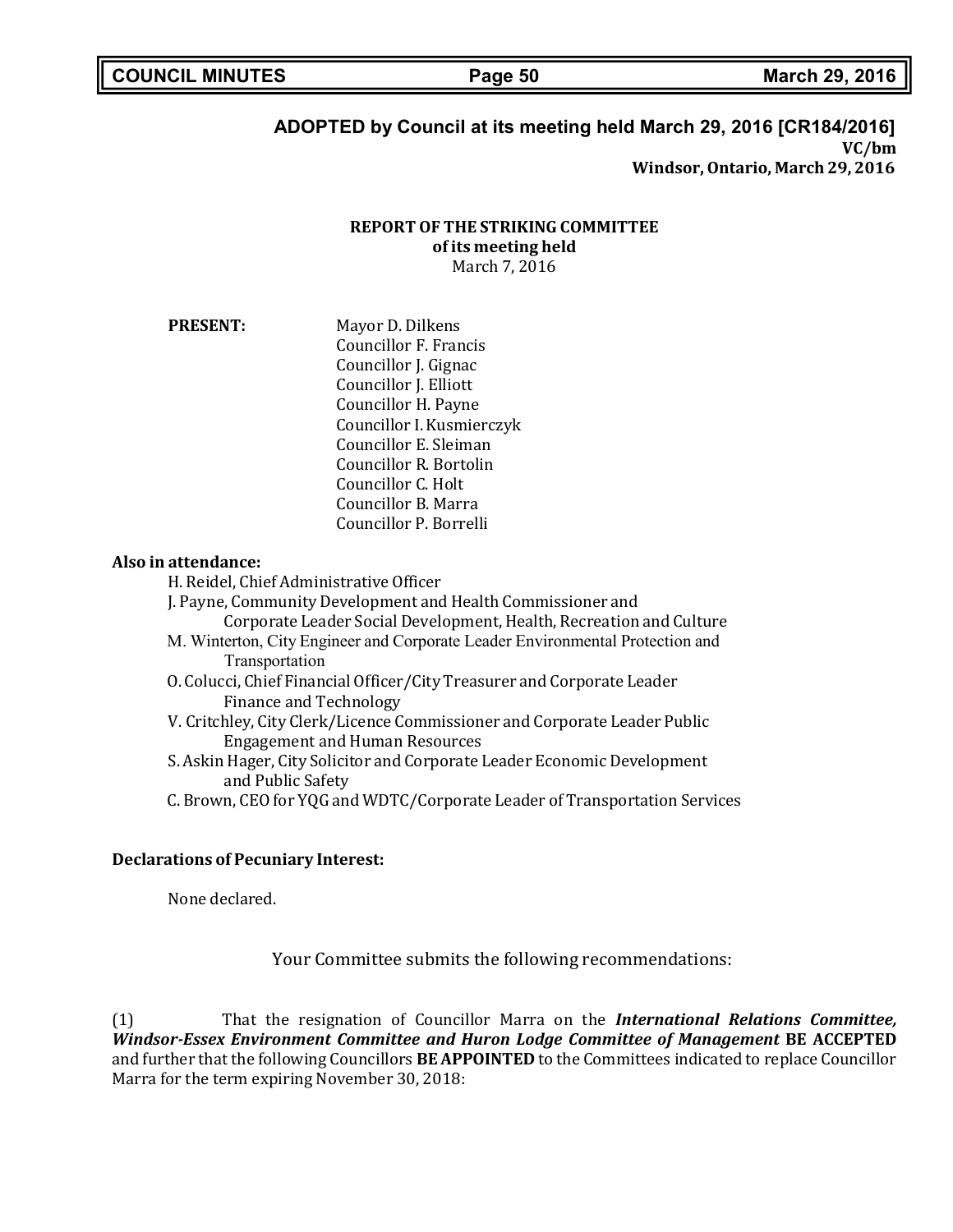### **ADOPTED by Council at its meeting held March 29, 2016 [CR184/2016] VC/bm Windsor,Ontario, March 29, 2016**

**REPORT OF THE STRIKING COMMITTEE of its meeting held**

March 7, 2016

**PRESENT:** Mayor D. Dilkens Councillor F. Francis Councillor J. Gignac Councillor J. Elliott Councillor H. Payne Councillor I. Kusmierczyk Councillor E. Sleiman Councillor R. Bortolin Councillor C. Holt Councillor B. Marra Councillor P. Borrelli

#### **Also in attendance:**

H. Reidel, Chief Administrative Officer

J. Payne, Community Development and Health Commissioner and Corporate Leader Social Development, Health, Recreation and Culture M. Winterton, City Engineer and Corporate Leader Environmental Protection and Transportation O. Colucci, Chief Financial Officer/City Treasurer and Corporate Leader Finance and Technology V. Critchley, City Clerk/Licence Commissioner and Corporate Leader Public Engagement and Human Resources S. Askin Hager, City Solicitor and Corporate Leader Economic Development and Public Safety C. Brown, CEO for YQG and WDTC/Corporate Leader of Transportation Services

#### **Declarations of Pecuniary Interest:**

None declared.

Your Committee submits the following recommendations:

(1) That the resignation of Councillor Marra on the *International Relations Committee, Windsor-Essex Environment Committee and Huron Lodge Committee of Management* **BE ACCEPTED** and further that the following Councillors **BE APPOINTED** to the Committees indicated to replace Councillor Marra for the term expiring November 30, 2018: